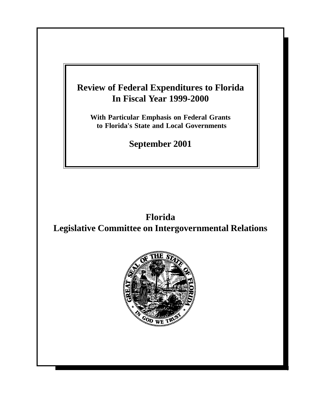# **Review of Federal Expenditures to Florida In Fiscal Year 1999-2000**

**With Particular Emphasis on Federal Grants to Florida's State and Local Governments**

**September 2001**

# **Florida Legislative Committee on Intergovernmental Relations**

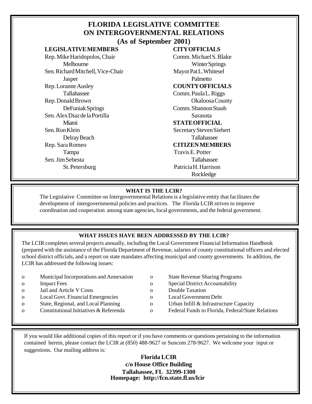# **FLORIDA LEGISLATIVE COMMITTEE ON INTERGOVERNMENTAL RELATIONS**

### **(As of September 2001)**

**LEGISLATIVE MEMBERS CITY OFFICIALS**

Rep. Mike Haridopolos, Chair Comm. Michael S. Blake Sen. Richard Mitchell, Vice-Chair Mayor Pat L.Whitesel Jasper Palmetto Rep. Loranne Ausley **COUNTY OFFICIALS** Tallahassee Comm. Paula L. Riggs Rep. Donald Brown Chaloosa County DeFuniak Springs Comm. Shannon Staub Sen. Alex Diaz de la Portilla Sarasota Miami **STATE OFFICIAL** Sen. Ron Klein Secretary Steven Siebert Delray Beach Tallahassee Rep. Sara Romeo **CITIZEN MEMBERS** Tampa Travis E. Potter Sen. Jim Sebesta Tallahassee St. Petersburg Patricia H. Harrison

Melbourne Winter Springs

Rockledge

### **WHAT IS THE LCIR?**

The Legislative Committee on Intergovernmental Relations is a legislative entity that facilitates the development of intergovernmental policies and practices. The Florida LCIR strives to improve coordination and cooperation among state agencies, local governments, and the federal government.

### **WHAT ISSUES HAVE BEEN ADDRESSED BY THE LCIR?**

The LCIR completes several projects annually, including the Local Government Financial Information Handbook (prepared with the assistance of the Florida Department of Revenue, salaries of county constitutional officers and elected school district officials, and a report on state mandates affecting municipal and county governments. In addition, the LCIR has addressed the following issues:

- o Municipal Incorporations and Annexation o State Revenue Sharing Programs
- 
- o Jail and Article V Costs o Double Taxation
- o Local Govt. Financial Emergencies o Local Government Debt
- o State, Regional, and Local Planning o Urban Infill & Infrastructure Capacity
- 
- 
- o Impact Fees o Special District Accountability
	-
	-
	-
- o Constitutional Initiatives & Referenda o Federal Funds to Florida, Federal/State Relations

If you would like additional copies of this report or if you have comments or questions pertaining to the information contained herein, please contact the LCIR at (850) 488-9627 or Suncom 278-9627. We welcome your input or suggestions. Our mailing address is:

> **Florida LCIR c/o House Office Building Tallahassee, FL 32399-1300 Homepage: http://fcn.state.fl.us/lcir**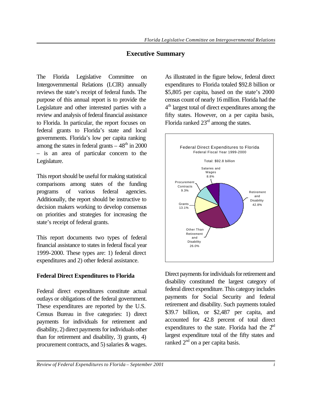### **Executive Summary**

The Florida Legislative Committee on Intergovernmental Relations (LCIR) annually reviews the state's receipt of federal funds. The purpose of this annual report is to provide the Legislature and other interested parties with a review and analysis of federal financial assistance to Florida. In particular, the report focuses on federal grants to Florida's state and local governments. Florida's low per capita ranking among the states in federal grants  $-48<sup>th</sup>$  in 2000 – is an area of particular concern to the Legislature.

This report should be useful for making statistical comparisons among states of the funding programs of various federal agencies. Additionally, the report should be instructive to decision makers working to develop consensus on priorities and strategies for increasing the state's receipt of federal grants.

This report documents two types of federal financial assistance to states in federal fiscal year 1999-2000. These types are: 1) federal direct expenditures and 2) other federal assistance.

### **Federal Direct Expenditures to Florida**

Federal direct expenditures constitute actual outlays or obligations of the federal government. These expenditures are reported by the U.S. Census Bureau in five categories: 1) direct payments for individuals for retirement and disability, 2) direct payments for individuals other than for retirement and disability, 3) grants, 4) procurement contracts, and 5) salaries & wages.

As illustrated in the figure below, federal direct expenditures to Florida totaled \$92.8 billion or \$5,805 per capita, based on the state's 2000 census count of nearly 16 million. Florida had the  $4<sup>th</sup>$  largest total of direct expenditures among the fifty states. However, on a per capita basis, Florida ranked  $23<sup>rd</sup>$  among the states.



Direct payments for individuals for retirement and disability constituted the largest category of federal direct expenditure. This category includes payments for Social Security and federal retirement and disability. Such payments totaled \$39.7 billion, or \$2,487 per capita, and accounted for 42.8 percent of total direct expenditures to the state. Florida had the  $2<sup>nd</sup>$ largest expenditure total of the fifty states and ranked  $2<sup>nd</sup>$  on a per capita basis.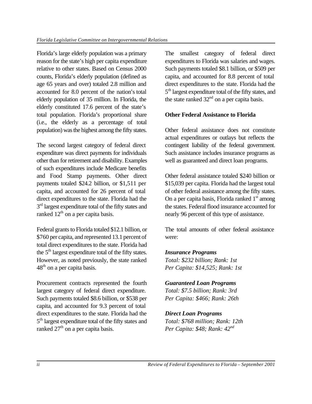Florida's large elderly population was a primary reason for the state's high per capita expenditure relative to other states. Based on Census 2000 counts, Florida's elderly population (defined as age 65 years and over) totaled 2.8 million and accounted for 8.0 percent of the nation's total elderly population of 35 million. In Florida, the elderly constituted 17.6 percent of the state's total population. Florida's proportional share (i.e., the elderly as a percentage of total population) was the highest among the fifty states.

The second largest category of federal direct expenditure was direct payments for individuals other than for retirement and disability. Examples of such expenditures include Medicare benefits and Food Stamp payments. Other direct payments totaled \$24.2 billion, or \$1,511 per capita, and accounted for 26 percent of total direct expenditures to the state. Florida had the 3<sup>rd</sup> largest expenditure total of the fifty states and ranked  $12<sup>th</sup>$  on a per capita basis.

Federal grants to Florida totaled \$12.1 billion, or \$760 per capita, and represented 13.1 percent of total direct expenditures to the state. Florida had the  $5<sup>th</sup>$  largest expenditure total of the fifty states. However, as noted previously, the state ranked  $48<sup>th</sup>$  on a per capita basis.

Procurement contracts represented the fourth largest category of federal direct expenditure. Such payments totaled \$8.6 billion, or \$538 per capita, and accounted for 9.3 percent of total direct expenditures to the state. Florida had the 5<sup>th</sup> largest expenditure total of the fifty states and ranked  $27<sup>th</sup>$  on a per capita basis.

The smallest category of federal direct expenditures to Florida was salaries and wages. Such payments totaled \$8.1 billion, or \$509 per capita, and accounted for 8.8 percent of total direct expenditures to the state. Florida had the 5<sup>th</sup> largest expenditure total of the fifty states, and the state ranked  $32<sup>nd</sup>$  on a per capita basis.

### **Other Federal Assistance to Florida**

Other federal assistance does not constitute actual expenditures or outlays but reflects the contingent liability of the federal government. Such assistance includes insurance programs as well as guaranteed and direct loan programs.

Other federal assistance totaled \$240 billion or \$15,039 per capita. Florida had the largest total of other federal assistance among the fifty states. On a per capita basis, Florida ranked  $1<sup>st</sup>$  among the states. Federal flood insurance accounted for nearly 96 percent of this type of assistance.

The total amounts of other federal assistance were:

### *Insurance Programs*

*Total: \$232 billion; Rank: 1st Per Capita: \$14,525; Rank: 1st*

### *Guaranteed Loan Programs*

*Total: \$7.5 billion; Rank: 3rd Per Capita: \$466; Rank: 26th*

### *Direct Loan Programs*

*Total: \$768 million; Rank: 12th Per Capita: \$48; Rank: 42nd*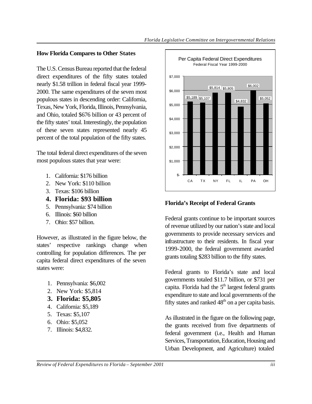### **How Florida Compares to Other States**

The U.S. Census Bureau reported that the federal direct expenditures of the fifty states totaled nearly \$1.58 trillion in federal fiscal year 1999- 2000. The same expenditures of the seven most populous states in descending order: California, Texas, New York, Florida, Illinois, Pennsylvania, and Ohio, totaled \$676 billion or 43 percent of the fifty states' total. Interestingly, the population of these seven states represented nearly 45 percent of the total population of the fifty states.

The total federal direct expenditures of the seven most populous states that year were:

- 1. California: \$176 billion
- 2. New York: \$110 billion
- 3. Texas: \$106 billion
- **4. Florida: \$93 billion**
- 5. Pennsylvania: \$74 billion
- 6. Illinois: \$60 billion
- 7. Ohio: \$57 billion.

However, as illustrated in the figure below, the states' respective rankings change when controlling for population differences. The per capita federal direct expenditures of the seven states were:

- 1. Pennsylvania: \$6,002
- 2. New York: \$5,814
- **3. Florida: \$5,805**
- 4. California: \$5,189
- 5. Texas: \$5,107
- 6. Ohio: \$5,052
- 7. Illinois: \$4,832.



### **Florida's Receipt of Federal Grants**

Federal grants continue to be important sources of revenue utilized by our nation's state and local governments to provide necessary services and infrastructure to their residents. In fiscal year 1999-2000, the federal government awarded grants totaling \$283 billion to the fifty states.

Federal grants to Florida's state and local governments totaled \$11.7 billion, or \$731 per capita. Florida had the  $5<sup>th</sup>$  largest federal grants expenditure to state and local governments of the fifty states and ranked  $48<sup>th</sup>$  on a per capita basis.

As illustrated in the figure on the following page, the grants received from five departments of federal government (i.e., Health and Human Services, Transportation, Education, Housing and Urban Development, and Agriculture) totaled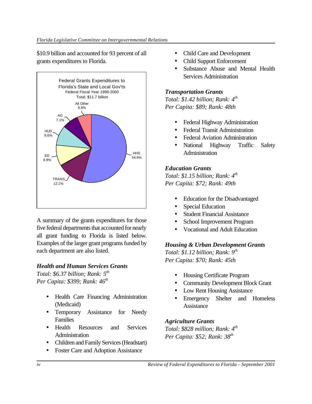\$10.9 billion and accounted for 93 percent of all grants expenditures to Florida.



A summary of the grants expenditures for those five federal departments that accounted for nearly all grant funding to Florida is listed below. Examples of the larger grant programs funded by each department are also listed.

### *Health and Human Services Grants*

*Total: \$6.37 billion; Rank: 5th Per Capita: \$399; Rank: 46th*

- Health Care Financing Administration (Medicaid)
- Temporary Assistance for Needy Families
- Health Resources and Services Administration
- Children and Family Services (Headstart)
- Foster Care and Adoption Assistance
- Child Care and Development
- Child Support Enforcement
- Substance Abuse and Mental Health Services Administration

### *Transportation Grants*

*Total: \$1.42 billion; Rank: 4th Per Capita: \$89; Rank: 48th*

- Federal Highway Administration
- Federal Transit Administration
- Federal Aviation Administration
- National Highway Traffic Safety Administration

### *Education Grants*

*Total: \$1.15 billion; Rank: 4th Per Capita: \$72; Rank: 49th*

- Education for the Disadvantaged
- Special Education
- **Student Financial Assistance**
- School Improvement Program
- Vocational and Adult Education

### *Housing & Urban Development Grants Total: \$1.12 billion; Rank: 9th Per Capita: \$70; Rank: 45th*

- Housing Certificate Program
- Community Development Block Grant
- Low Rent Housing Assistance
- Emergency Shelter and Homeless Assistance

### *Agriculture Grants*

*Total: \$828 million; Rank: 4th Per Capita: \$52; Rank: 38th*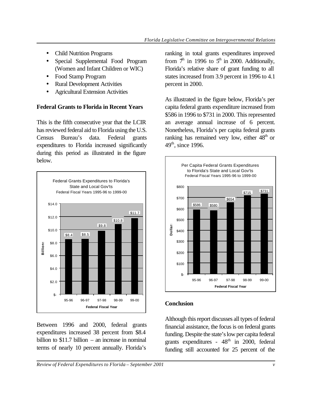- Child Nutrition Programs
- Special Supplemental Food Program (Women and Infant Children or WIC)
- Food Stamp Program
- Rural Development Activities
- Agricultural Extension Activities

### **Federal Grants to Florida in Recent Years**

This is the fifth consecutive year that the LCIR has reviewed federal aid to Florida using the U.S. Census Bureau's data. Federal grants expenditures to Florida increased significantly during this period as illustrated in the figure below.



Between 1996 and 2000, federal grants expenditures increased 38 percent from \$8.4 billion to  $$11.7$  billion – an increase in nominal terms of nearly 10 percent annually. Florida's

ranking in total grants expenditures improved from  $7<sup>h</sup>$  in 1996 to  $5<sup>h</sup>$  in 2000. Additionally, Florida's relative share of grant funding to all states increased from 3.9 percent in 1996 to 4.1 percent in 2000.

As illustrated in the figure below, Florida's per capita federal grants expenditure increased from \$586 in 1996 to \$731 in 2000. This represented an average annual increase of 6 percent. Nonetheless, Florida's per capita federal grants ranking has remained very low, either  $48<sup>th</sup>$  or  $49<sup>th</sup>$ , since 1996.



### **Conclusion**

Although this report discusses all types of federal financial assistance, the focus is on federal grants funding. Despite the state's low per capita federal grants expenditures -  $48<sup>th</sup>$  in 2000, federal funding still accounted for 25 percent of the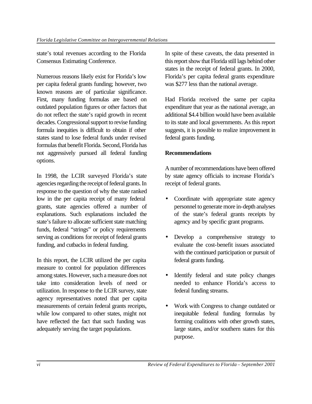state's total revenues according to the Florida Consensus Estimating Conference.

Numerous reasons likely exist for Florida's low per capita federal grants funding; however, two known reasons are of particular significance. First, many funding formulas are based on outdated population figures or other factors that do not reflect the state's rapid growth in recent decades. Congressional support to revise funding formula inequities is difficult to obtain if other states stand to lose federal funds under revised formulas that benefit Florida. Second, Florida has not aggressively pursued all federal funding options.

In 1998, the LCIR surveyed Florida's state agencies regarding the receipt of federal grants. In response to the question of why the state ranked low in the per capita receipt of many federal grants, state agencies offered a number of explanations. Such explanations included the state's failure to allocate sufficient state matching funds, federal "strings" or policy requirements serving as conditions for receipt of federal grants funding, and cutbacks in federal funding.

In this report, the LCIR utilized the per capita measure to control for population differences among states. However, such a measure does not take into consideration levels of need or utilization. In response to the LCIR survey, state agency representatives noted that per capita measurements of certain federal grants receipts, while low compared to other states, might not have reflected the fact that such funding was adequately serving the target populations.

In spite of these caveats, the data presented in this report show that Florida still lags behind other states in the receipt of federal grants. In 2000, Florida's per capita federal grants expenditure was \$277 less than the national average.

Had Florida received the same per capita expenditure that year as the national average, an additional \$4.4 billion would have been available to its state and local governments. As this report suggests, it is possible to realize improvement in federal grants funding.

### **Recommendations**

A number of recommendations have been offered by state agency officials to increase Florida's receipt of federal grants.

- Coordinate with appropriate state agency personnel to generate more in-depth analyses of the state's federal grants receipts by agency and by specific grant programs.
- Develop a comprehensive strategy to evaluate the cost-benefit issues associated with the continued participation or pursuit of federal grants funding.
- Identify federal and state policy changes needed to enhance Florida's access to federal funding streams.
- Work with Congress to change outdated or inequitable federal funding formulas by forming coalitions with other growth states, large states, and/or southern states for this purpose.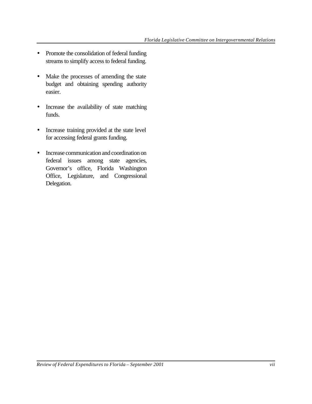- Promote the consolidation of federal funding streams to simplify access to federal funding.
- Make the processes of amending the state budget and obtaining spending authority easier.
- Increase the availability of state matching funds.
- Increase training provided at the state level for accessing federal grants funding.
- Increase communication and coordination on federal issues among state agencies, Governor's office, Florida Washington Office, Legislature, and Congressional Delegation.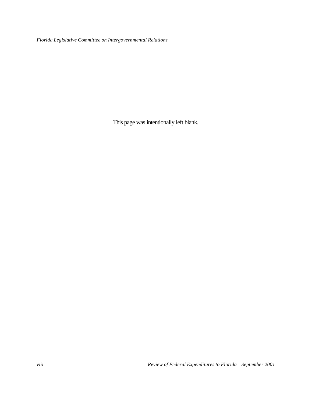This page was intentionally left blank.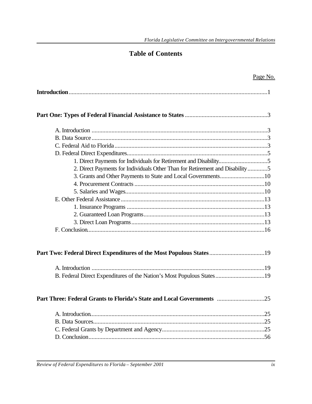### **Table of Contents**

|                                                                              | Page No. |
|------------------------------------------------------------------------------|----------|
|                                                                              |          |
|                                                                              |          |
|                                                                              |          |
|                                                                              |          |
|                                                                              |          |
|                                                                              |          |
|                                                                              |          |
| 2. Direct Payments for Individuals Other Than for Retirement and Disability5 |          |
| 3. Grants and Other Payments to State and Local Governments10                |          |
|                                                                              |          |
|                                                                              |          |
|                                                                              |          |
|                                                                              |          |
|                                                                              |          |
|                                                                              |          |
|                                                                              |          |
|                                                                              |          |
|                                                                              |          |
| B. Federal Direct Expenditures of the Nation's Most Populous States19        |          |
|                                                                              |          |
|                                                                              |          |
|                                                                              |          |
|                                                                              |          |
|                                                                              |          |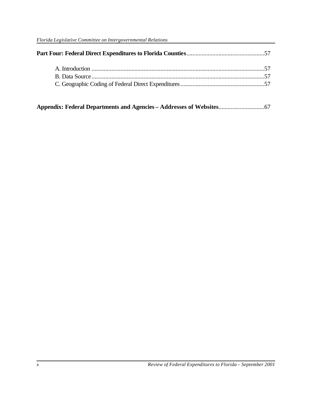**Appendix: Federal Departments and Agencies – Addresses of Websites**..............................67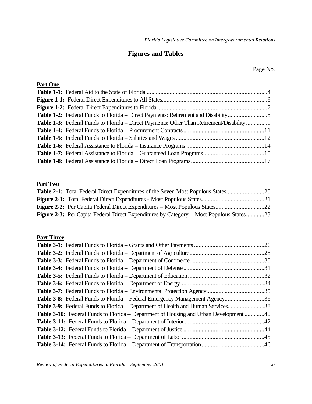### **Figures and Tables**

Page No.

| <b>Part One</b> |                                                                                                 |  |
|-----------------|-------------------------------------------------------------------------------------------------|--|
|                 |                                                                                                 |  |
|                 |                                                                                                 |  |
|                 |                                                                                                 |  |
|                 |                                                                                                 |  |
|                 | <b>Table 1-3:</b> Federal Funds to Florida – Direct Payments: Other Than Retirement/Disability9 |  |
|                 |                                                                                                 |  |
|                 |                                                                                                 |  |
|                 |                                                                                                 |  |
|                 |                                                                                                 |  |
|                 |                                                                                                 |  |

### **Part Two**

| Table 2-1: Total Federal Direct Expenditures of the Seven Most Populous States20               |  |
|------------------------------------------------------------------------------------------------|--|
|                                                                                                |  |
|                                                                                                |  |
| <b>Figure 2-3:</b> Per Capita Federal Direct Expenditures by Category – Most Populous States23 |  |

### **Part Three**

| <b>Table 3-8:</b> Federal Funds to Florida – Federal Emergency Management Agency36           |  |
|----------------------------------------------------------------------------------------------|--|
| <b>Table 3-9:</b> Federal Funds to Florida – Department of Health and Human Services38       |  |
| <b>Table 3-10:</b> Federal Funds to Florida – Department of Housing and Urban Development 40 |  |
|                                                                                              |  |
|                                                                                              |  |
|                                                                                              |  |
|                                                                                              |  |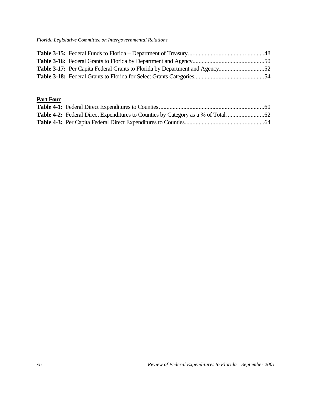### **Part Four**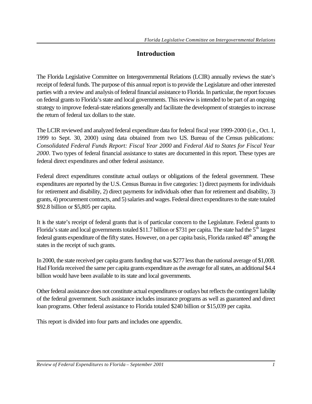## **Introduction**

The Florida Legislative Committee on Intergovernmental Relations (LCIR) annually reviews the state's receipt of federal funds. The purpose of this annual report is to provide the Legislature and other interested parties with a review and analysis of federal financial assistance to Florida. In particular, the report focuses on federal grants to Florida's state and local governments. This review is intended to be part of an ongoing strategy to improve federal-state relations generally and facilitate the development of strategies to increase the return of federal tax dollars to the state.

The LCIR reviewed and analyzed federal expenditure data for federal fiscal year 1999-2000 (i.e., Oct. 1, 1999 to Sept. 30, 2000) using data obtained from two U.S. Bureau of the Census publications: *Consolidated Federal Funds Report: Fiscal Year 2000* and *Federal Aid to States for Fiscal Year 2000*. Two types of federal financial assistance to states are documented in this report. These types are federal direct expenditures and other federal assistance.

Federal direct expenditures constitute actual outlays or obligations of the federal government. These expenditures are reported by the U.S. Census Bureau in five categories: 1) direct payments for individuals for retirement and disability, 2) direct payments for individuals other than for retirement and disability, 3) grants, 4) procurement contracts, and 5) salaries and wages. Federal direct expenditures to the state totaled \$92.8 billion or \$5,805 per capita.

It is the state's receipt of federal grants that is of particular concern to the Legislature. Federal grants to Florida's state and local governments totaled \$11.7 billion or \$731 per capita. The state had the 5<sup>th</sup> largest federal grants expenditure of the fifty states. However, on a per capita basis, Florida ranked 48<sup>th</sup> among the states in the receipt of such grants.

In 2000, the state received per capita grants funding that was \$277 less than the national average of \$1,008. Had Florida received the same per capita grants expenditure as the average for all states, an additional \$4.4 billion would have been available to its state and local governments.

Other federal assistance does not constitute actual expenditures or outlays but reflects the contingent liability of the federal government. Such assistance includes insurance programs as well as guaranteed and direct loan programs. Other federal assistance to Florida totaled \$240 billion or \$15,039 per capita.

This report is divided into four parts and includes one appendix.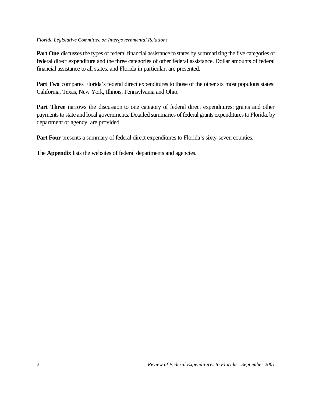**Part One** discusses the types of federal financial assistance to states by summarizing the five categories of federal direct expenditure and the three categories of other federal assistance. Dollar amounts of federal financial assistance to all states, and Florida in particular, are presented.

**Part Two** compares Florida's federal direct expenditures to those of the other six most populous states: California, Texas, New York, Illinois, Pennsylvania and Ohio.

Part Three narrows the discussion to one category of federal direct expenditures: grants and other payments to state and local governments. Detailed summaries of federal grants expenditures to Florida, by department or agency, are provided.

Part Four presents a summary of federal direct expenditures to Florida's sixty-seven counties.

The **Appendix** lists the websites of federal departments and agencies.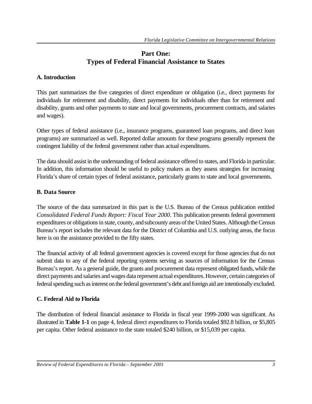### **Part One: Types of Federal Financial Assistance to States**

### **A. Introduction**

This part summarizes the five categories of direct expenditure or obligation (i.e., direct payments for individuals for retirement and disability, direct payments for individuals other than for retirement and disability, grants and other payments to state and local governments, procurement contracts, and salaries and wages).

Other types of federal assistance (i.e., insurance programs, guaranteed loan programs, and direct loan programs) are summarized as well. Reported dollar amounts for these programs generally represent the contingent liability of the federal government rather than actual expenditures.

The data should assist in the understanding of federal assistance offered to states, and Florida in particular. In addition, this information should be useful to policy makers as they assess strategies for increasing Florida's share of certain types of federal assistance, particularly grants to state and local governments.

### **B. Data Source**

The source of the data summarized in this part is the U.S. Bureau of the Census publication entitled *Consolidated Federal Funds Report: Fiscal Year 2000*. This publication presents federal government expenditures or obligations in state, county, and subcounty areas of the United States. Although the Census Bureau's report includes the relevant data for the District of Columbia and U.S. outlying areas, the focus here is on the assistance provided to the fifty states.

The financial activity of all federal government agencies is covered except for those agencies that do not submit data to any of the federal reporting systems serving as sources of information for the Census Bureau's report. As a general guide, the grants and procurement data represent obligated funds, while the direct payments and salaries and wages data represent actual expenditures. However, certain categories of federal spending such as interest on the federal government's debt and foreign aid are intentionally excluded.

### **C. Federal Aid to Florida**

The distribution of federal financial assistance to Florida in fiscal year 1999-2000 was significant. As illustrated in **Table 1-1** on page 4, federal direct expenditures to Florida totaled \$92.8 billion, or \$5,805 per capita. Other federal assistance to the state totaled \$240 billion, or \$15,039 per capita.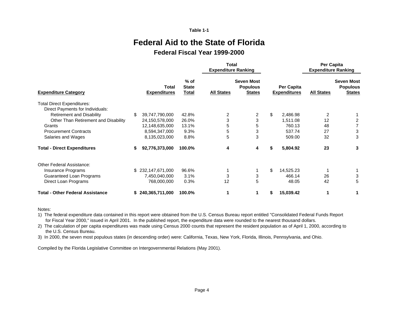# **Federal Aid to the State of Florida**

### **Federal Fiscal Year 1999-2000**

| <b>Expenditure Category</b>             |    |                              |                                 | <b>Total</b><br><b>Expenditure Ranking</b><br><b>Seven Most</b><br><b>Populous</b><br><b>All States</b><br><b>States</b> |   |                                   |           | Per Capita<br><b>Expenditure Ranking</b> |                                                |
|-----------------------------------------|----|------------------------------|---------------------------------|--------------------------------------------------------------------------------------------------------------------------|---|-----------------------------------|-----------|------------------------------------------|------------------------------------------------|
|                                         |    | Total<br><b>Expenditures</b> | $%$ of<br><b>State</b><br>Total |                                                                                                                          |   | Per Capita<br><b>Expenditures</b> |           | <b>All States</b>                        | Seven Most<br><b>Populous</b><br><b>States</b> |
| <b>Total Direct Expenditures:</b>       |    |                              |                                 |                                                                                                                          |   |                                   |           |                                          |                                                |
| Direct Payments for Individuals:        |    |                              |                                 |                                                                                                                          |   |                                   |           |                                          |                                                |
| <b>Retirement and Disability</b>        | \$ | 39,747,790,000               | 42.8%                           | 2                                                                                                                        | 2 | \$                                | 2,486.98  | 2                                        |                                                |
| Other Than Retirement and Disability    |    | 24,150,578,000               | 26.0%                           | 3                                                                                                                        | 3 |                                   | 1,511.08  | 12                                       | 2                                              |
| Grants                                  |    | 12,148,635,000               | 13.1%                           | 5                                                                                                                        | 5 |                                   | 760.13    | 48                                       | 7                                              |
| <b>Procurement Contracts</b>            |    | 8,594,347,000                | 9.3%                            | 5                                                                                                                        | 3 |                                   | 537.74    | 27                                       | 3                                              |
| Salaries and Wages                      |    | 8,135,023,000                | 8.8%                            | 5                                                                                                                        | 3 |                                   | 509.00    | 32                                       | 3                                              |
| <b>Total - Direct Expenditures</b>      | S. | 92,776,373,000               | 100.0%                          | 4                                                                                                                        | 4 | \$                                | 5,804.92  | 23                                       | 3                                              |
| <b>Other Federal Assistance:</b>        |    |                              |                                 |                                                                                                                          |   |                                   |           |                                          |                                                |
| Insurance Programs                      |    | \$232,147,671,000            | 96.6%                           |                                                                                                                          |   | \$                                | 14,525.23 |                                          |                                                |
| Guaranteed Loan Programs                |    | 7,450,040,000                | 3.1%                            | 3                                                                                                                        | 3 |                                   | 466.14    | 26                                       | 3                                              |
| Direct Loan Programs                    |    | 768,000,000                  | 0.3%                            | 12                                                                                                                       | 5 |                                   | 48.05     | 42                                       | 5                                              |
| <b>Total - Other Federal Assistance</b> |    | \$240,365,711,000            | 100.0%                          |                                                                                                                          |   | \$                                | 15,039.42 |                                          |                                                |

#### Notes:

1) The federal expenditure data contained in this report were obtained from the U.S. Census Bureau report entitled "Consolidated Federal Funds Report for Fiscal Year 2000," issued in April 2001. In the published report, the expenditure data were rounded to the nearest thousand dollars.

2) The calculation of per capita expenditures was made using Census 2000 counts that represent the resident population as of April 1, 2000, according to the U.S. Census Bureau.

3) In 2000, the seven most populous states (in descending order) were: California, Texas, New York, Florida, Illinois, Pennsylvania, and Ohio.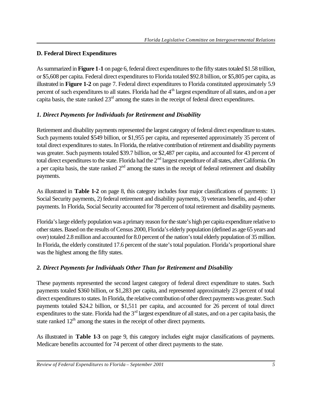### **D. Federal Direct Expenditures**

As summarized in **Figure 1-1** on page 6, federal direct expenditures to the fifty states totaled \$1.58 trillion, or \$5,608 per capita. Federal direct expenditures to Florida totaled \$92.8 billion, or \$5,805 per capita, as illustrated in **Figure 1-2** on page 7. Federal direct expenditures to Florida constituted approximately 5.9 percent of such expenditures to all states. Florida had the 4<sup>th</sup> largest expenditure of all states, and on a per capita basis, the state ranked  $23<sup>rd</sup>$  among the states in the receipt of federal direct expenditures.

### *1. Direct Payments for Individuals for Retirement and Disability*

Retirement and disability payments represented the largest category of federal direct expenditure to states. Such payments totaled \$549 billion, or \$1,955 per capita, and represented approximately 35 percent of total direct expenditures to states. In Florida, the relative contribution of retirement and disability payments was greater. Such payments totaled \$39.7 billion, or \$2,487 per capita, and accounted for 43 percent of total direct expenditures to the state. Florida had the  $2<sup>nd</sup>$  largest expenditure of all states, after California. On a per capita basis, the state ranked  $2<sup>nd</sup>$  among the states in the receipt of federal retirement and disability payments.

As illustrated in **Table 1-2** on page 8, this category includes four major classifications of payments: 1) Social Security payments, 2) federal retirement and disability payments, 3) veterans benefits, and 4) other payments. In Florida, Social Security accounted for 78 percent of total retirement and disability payments.

Florida's large elderly population was a primary reason for the state's high per capita expenditure relative to other states. Based on the results of Census 2000, Florida's elderly population (defined as age 65 years and over) totaled 2.8 million and accounted for 8.0 percent of the nation's total elderly population of 35 million. In Florida, the elderly constituted 17.6 percent of the state's total population. Florida's proportional share was the highest among the fifty states.

### *2. Direct Payments for Individuals Other Than for Retirement and Disability*

These payments represented the second largest category of federal direct expenditure to states. Such payments totaled \$360 billion, or \$1,283 per capita, and represented approximately 23 percent of total direct expenditures to states. In Florida, the relative contribution of other direct payments was greater. Such payments totaled \$24.2 billion, or \$1,511 per capita, and accounted for 26 percent of total direct expenditures to the state. Florida had the  $3<sup>rd</sup>$  largest expenditure of all states, and on a per capita basis, the state ranked  $12<sup>th</sup>$  among the states in the receipt of other direct payments.

As illustrated in **Table 1-3** on page 9, this category includes eight major classifications of payments. Medicare benefits accounted for 74 percent of other direct payments to the state.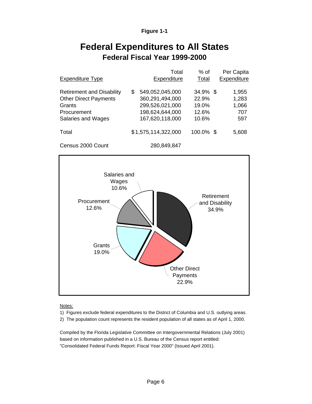### **Figure 1-1**

# **Federal Expenditures to All States Federal Fiscal Year 1999-2000**

| <b>Expenditure Type</b>                                                                                         |   | Total<br>Expenditure                                                                        | % of<br>Total                                | Per Capita<br>Expenditure             |
|-----------------------------------------------------------------------------------------------------------------|---|---------------------------------------------------------------------------------------------|----------------------------------------------|---------------------------------------|
| <b>Retirement and Disability</b><br><b>Other Direct Payments</b><br>Grants<br>Procurement<br>Salaries and Wages | S | 549,052,045,000<br>360,291,494,000<br>299,526,021,000<br>198,624,644,000<br>167,620,118,000 | 34.9% \$<br>22.9%<br>19.0%<br>12.6%<br>10.6% | 1,955<br>1,283<br>1,066<br>707<br>597 |
| Total                                                                                                           |   | \$1,575,114,322,000                                                                         | 100.0% \$                                    | 5,608                                 |



#### Notes:

- 1) Figures exclude federal expenditures to the District of Columbia and U.S. outlying areas.
- 2) The population count represents the resident population of all states as of April 1, 2000.

Compiled by the Florida Legislative Committee on Intergovernmental Relations (July 2001) based on information published in a U.S. Bureau of the Census report entitled: "Consolidated Federal Funds Report: Fiscal Year 2000" (Issued April 2001).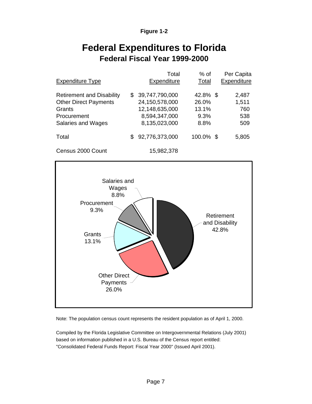### **Figure 1-2**

# **Federal Expenditures to Florida Federal Fiscal Year 1999-2000**

|                                  |     | Total              | % of      | Per Capita         |
|----------------------------------|-----|--------------------|-----------|--------------------|
| <b>Expenditure Type</b>          |     | <b>Expenditure</b> | Total     | <b>Expenditure</b> |
| <b>Retirement and Disability</b> | S   | 39,747,790,000     | 42.8% \$  | 2,487              |
| <b>Other Direct Payments</b>     |     | 24,150,578,000     | 26.0%     | 1,511              |
| Grants                           |     | 12,148,635,000     | 13.1%     | 760                |
| Procurement                      |     | 8,594,347,000      | 9.3%      | 538                |
| <b>Salaries and Wages</b>        |     | 8,135,023,000      | 8.8%      | 509                |
| Total                            | \$. | 92,776,373,000     | 100.0% \$ | 5,805              |
| Census 2000 Count                |     | 15,982,378         |           |                    |



Note: The population census count represents the resident population as of April 1, 2000.

Compiled by the Florida Legislative Committee on Intergovernmental Relations (July 2001) based on information published in a U.S. Bureau of the Census report entitled: "Consolidated Federal Funds Report: Fiscal Year 2000" (Issued April 2001).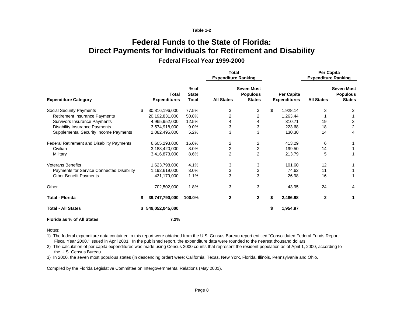# **Federal Funds to the State of Florida: Direct Payments for Individuals for Retirement and Disability**

### **Federal Fiscal Year 1999-2000**

|                                                   |     |                              |                                        | <b>Total</b><br><b>Expenditure Ranking</b> |                                                       |                                   | Per Capita<br><b>Expenditure Ranking</b> |                                                       |
|---------------------------------------------------|-----|------------------------------|----------------------------------------|--------------------------------------------|-------------------------------------------------------|-----------------------------------|------------------------------------------|-------------------------------------------------------|
| <b>Expenditure Category</b>                       |     | Total<br><b>Expenditures</b> | $%$ of<br><b>State</b><br><u>Total</u> | <b>All States</b>                          | <b>Seven Most</b><br><b>Populous</b><br><b>States</b> | Per Capita<br><b>Expenditures</b> | <b>All States</b>                        | <b>Seven Most</b><br><b>Populous</b><br><b>States</b> |
| Social Security Payments                          | \$. | 30,816,196,000               | 77.5%                                  | 3                                          | 3                                                     | \$<br>1,928.14                    | 3                                        | $\overline{c}$                                        |
| Retirement Insurance Payments                     |     | 20,192,831,000               | 50.8%                                  | $\overline{2}$                             | $\overline{c}$                                        | 1,263.44                          |                                          |                                                       |
| Survivors Insurance Payments                      |     | 4,965,952,000                | 12.5%                                  | 4                                          | 4                                                     | 310.71                            | 19                                       | 3                                                     |
| <b>Disability Insurance Payments</b>              |     | 3,574,918,000                | 9.0%                                   | 3                                          | 3                                                     | 223.68                            | 18                                       | $\overline{2}$                                        |
| Supplemental Security Income Payments             |     | 2,082,495,000                | 5.2%                                   | 3                                          | 3                                                     | 130.30                            | 14                                       | 4                                                     |
| <b>Federal Retirement and Disability Payments</b> |     | 6,605,293,000                | 16.6%                                  | $\overline{\mathbf{c}}$                    | 2                                                     | 413.29                            | 6                                        |                                                       |
| Civilian                                          |     | 3,188,420,000                | 8.0%                                   | $\overline{c}$                             | 2                                                     | 199.50                            | 14                                       |                                                       |
| Military                                          |     | 3,416,873,000                | 8.6%                                   | 2                                          | $\overline{2}$                                        | 213.79                            | 5                                        |                                                       |
| <b>Veterans Benefits</b>                          |     | 1,623,798,000                | 4.1%                                   | 3                                          | 3                                                     | 101.60                            | 12                                       |                                                       |
| Payments for Service Connected Disability         |     | 1,192,619,000                | 3.0%                                   | 3                                          | 3                                                     | 74.62                             | 11                                       |                                                       |
| <b>Other Benefit Payments</b>                     |     | 431,179,000                  | 1.1%                                   | 3                                          | 3                                                     | 26.98                             | 16                                       |                                                       |
| Other                                             |     | 702,502,000                  | 1.8%                                   | 3                                          | 3                                                     | 43.95                             | 24                                       | 4                                                     |
| <b>Total - Florida</b>                            | \$  | 39,747,790,000               | 100.0%                                 | $\mathbf{2}$                               | $\mathbf{2}$                                          | \$<br>2,486.98                    | $\mathbf{2}$                             | 1                                                     |
| <b>Total - All States</b>                         | \$  | 549,052,045,000              |                                        |                                            |                                                       | \$<br>1,954.97                    |                                          |                                                       |
| Florida as % of All States                        |     | 7.2%                         |                                        |                                            |                                                       |                                   |                                          |                                                       |

Notes:

1) The federal expenditure data contained in this report were obtained from the U.S. Census Bureau report entitled "Consolidated Federal Funds Report: Fiscal Year 2000," issued in April 2001. In the published report, the expenditure data were rounded to the nearest thousand dollars.

2) The calculation of per capita expenditures was made using Census 2000 counts that represent the resident population as of April 1, 2000, according to the U.S. Census Bureau.

3) In 2000, the seven most populous states (in descending order) were: California, Texas, New York, Florida, Illinois, Pennsylvania and Ohio.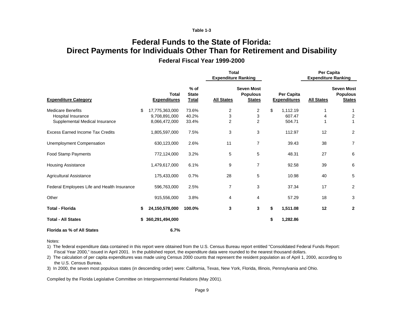## **Federal Funds to the State of Florida: Federal Fiscal Year 1999-2000 Direct Payments for Individuals Other Than for Retirement and Disability**

|                                                                                  |                                                        |                                        | <b>Total</b><br><b>Expenditure Ranking</b> |                                                       |                                    | Per Capita<br><b>Expenditure Ranking</b> |                                                       |
|----------------------------------------------------------------------------------|--------------------------------------------------------|----------------------------------------|--------------------------------------------|-------------------------------------------------------|------------------------------------|------------------------------------------|-------------------------------------------------------|
| <b>Expenditure Category</b>                                                      | <b>Total</b><br><b>Expenditures</b>                    | $%$ of<br><b>State</b><br><u>Total</u> | <b>All States</b>                          | <b>Seven Most</b><br><b>Populous</b><br><b>States</b> | Per Capita<br><b>Expenditures</b>  | <b>All States</b>                        | <b>Seven Most</b><br><b>Populous</b><br><b>States</b> |
| <b>Medicare Benefits</b><br>Hospital Insurance<br>Supplemental Medical Insurance | \$<br>17,775,363,000<br>9,708,891,000<br>8,066,472,000 | 73.6%<br>40.2%<br>33.4%                | 2<br>3<br>$\overline{2}$                   | 2<br>3<br>2                                           | \$<br>1,112.19<br>607.47<br>504.71 | 4                                        | 2<br>1                                                |
| <b>Excess Earned Income Tax Credits</b>                                          | 1,805,597,000                                          | 7.5%                                   | 3                                          | 3                                                     | 112.97                             | 12                                       | 2                                                     |
| Unemployment Compensation                                                        | 630,123,000                                            | 2.6%                                   | 11                                         | $\overline{7}$                                        | 39.43                              | 38                                       | $\overline{7}$                                        |
| <b>Food Stamp Payments</b>                                                       | 772,124,000                                            | 3.2%                                   | 5                                          | 5                                                     | 48.31                              | 27                                       | 6                                                     |
| <b>Housing Assistance</b>                                                        | 1,479,617,000                                          | 6.1%                                   | 9                                          | $\overline{7}$                                        | 92.58                              | 39                                       | 6                                                     |
| Agricultural Assistance                                                          | 175,433,000                                            | 0.7%                                   | 28                                         | 5                                                     | 10.98                              | 40                                       | 5                                                     |
| Federal Employees Life and Health Insurance                                      | 596,763,000                                            | 2.5%                                   | $\overline{7}$                             | 3                                                     | 37.34                              | 17                                       | $\overline{2}$                                        |
| Other                                                                            | 915,556,000                                            | 3.8%                                   | 4                                          | 4                                                     | 57.29                              | 18                                       | 3                                                     |
| <b>Total - Florida</b>                                                           | \$<br>24,150,578,000                                   | 100.0%                                 | 3                                          | 3                                                     | \$<br>1,511.08                     | 12                                       | $\overline{2}$                                        |
| <b>Total - All States</b>                                                        | \$360,291,494,000                                      |                                        |                                            |                                                       | \$<br>1,282.86                     |                                          |                                                       |
| Florida as % of All States                                                       | 6.7%                                                   |                                        |                                            |                                                       |                                    |                                          |                                                       |

Notes:

1) The federal expenditure data contained in this report were obtained from the U.S. Census Bureau report entitled "Consolidated Federal Funds Report: Fiscal Year 2000," issued in April 2001. In the published report, the expenditure data were rounded to the nearest thousand dollars.

2) The calculation of per capita expenditures was made using Census 2000 counts that represent the resident population as of April 1, 2000, according to the U.S. Census Bureau.

3) In 2000, the seven most populous states (in descending order) were: California, Texas, New York, Florida, Illinois, Pennsylvania and Ohio.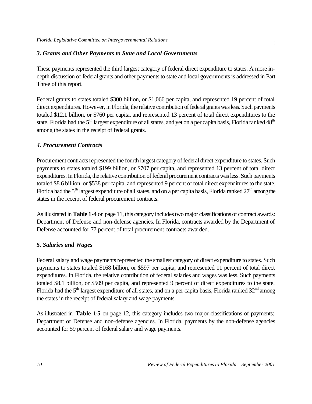### *3. Grants and Other Payments to State and Local Governments*

These payments represented the third largest category of federal direct expenditure to states. A more indepth discussion of federal grants and other payments to state and local governments is addressed in Part Three of this report.

Federal grants to states totaled \$300 billion, or \$1,066 per capita, and represented 19 percent of total direct expenditures. However, in Florida, the relative contribution of federal grants was less. Such payments totaled \$12.1 billion, or \$760 per capita, and represented 13 percent of total direct expenditures to the state. Florida had the  $5<sup>th</sup>$  largest expenditure of all states, and yet on a per capita basis, Florida ranked  $48<sup>th</sup>$ among the states in the receipt of federal grants.

### *4. Procurement Contracts*

Procurement contracts represented the fourth largest category of federal direct expenditure to states. Such payments to states totaled \$199 billion, or \$707 per capita, and represented 13 percent of total direct expenditures. In Florida, the relative contribution of federal procurement contracts was less. Such payments totaled \$8.6 billion, or \$538 per capita, and represented 9 percent of total direct expenditures to the state. Florida had the  $5<sup>th</sup>$  largest expenditure of all states, and on a per capita basis, Florida ranked  $27<sup>th</sup>$  among the states in the receipt of federal procurement contracts.

As illustrated in **Table 1-4** on page 11, this category includes two major classifications of contract awards: Department of Defense and non-defense agencies. In Florida, contracts awarded by the Department of Defense accounted for 77 percent of total procurement contracts awarded.

### *5. Salaries and Wages*

Federal salary and wage payments represented the smallest category of direct expenditure to states. Such payments to states totaled \$168 billion, or \$597 per capita, and represented 11 percent of total direct expenditures. In Florida, the relative contribution of federal salaries and wages was less. Such payments totaled \$8.1 billion, or \$509 per capita, and represented 9 percent of direct expenditures to the state. Florida had the  $5<sup>th</sup>$  largest expenditure of all states, and on a per capita basis, Florida ranked  $32<sup>nd</sup>$  among the states in the receipt of federal salary and wage payments.

As illustrated in **Table 1-5** on page 12, this category includes two major classifications of payments: Department of Defense and non-defense agencies. In Florida, payments by the non-defense agencies accounted for 59 percent of federal salary and wage payments.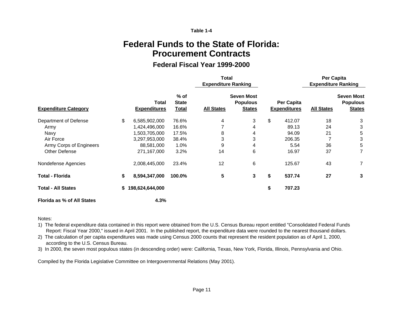# **Federal Funds to the State of Florida: Procurement Contracts**

### **Federal Fiscal Year 1999-2000**

|                             |                              |                                        | <b>Total</b><br><b>Expenditure Ranking</b>                                 |   |                                   | Per Capita<br><b>Expenditure Ranking</b> |                                                       |  |
|-----------------------------|------------------------------|----------------------------------------|----------------------------------------------------------------------------|---|-----------------------------------|------------------------------------------|-------------------------------------------------------|--|
| <b>Expenditure Category</b> | Total<br><b>Expenditures</b> | $%$ of<br><b>State</b><br><b>Total</b> | <b>Seven Most</b><br><b>Populous</b><br><b>All States</b><br><b>States</b> |   | Per Capita<br><b>Expenditures</b> | <b>All States</b>                        | <b>Seven Most</b><br><b>Populous</b><br><b>States</b> |  |
| Department of Defense       | \$<br>6,585,902,000          | 76.6%                                  | 4                                                                          | 3 | \$<br>412.07                      | 18                                       | 3                                                     |  |
| Army                        | 1,424,496,000                | 16.6%                                  | 7                                                                          | 4 | 89.13                             | 24                                       | 3                                                     |  |
| Navy                        | 1,503,705,000                | 17.5%                                  | 8                                                                          | 4 | 94.09                             | 21                                       | 5                                                     |  |
| Air Force                   | 3,297,953,000                | 38.4%                                  | 3                                                                          | 3 | 206.35                            |                                          | 3                                                     |  |
| Army Corps of Engineers     | 88,581,000                   | 1.0%                                   | 9                                                                          | 4 | 5.54                              | 36                                       | 5                                                     |  |
| <b>Other Defense</b>        | 271,167,000                  | 3.2%                                   | 14                                                                         | 6 | 16.97                             | 37                                       | 7                                                     |  |
| Nondefense Agencies         | 2,008,445,000                | 23.4%                                  | 12                                                                         | 6 | 125.67                            | 43                                       | $\overline{7}$                                        |  |
| <b>Total - Florida</b>      | \$<br>8,594,347,000          | 100.0%                                 | 5                                                                          | 3 | \$<br>537.74                      | 27                                       | 3                                                     |  |
| <b>Total - All States</b>   | \$<br>198,624,644,000        |                                        |                                                                            |   | \$<br>707.23                      |                                          |                                                       |  |
| Florida as % of All States  | 4.3%                         |                                        |                                                                            |   |                                   |                                          |                                                       |  |

Notes:

1) The federal expenditure data contained in this report were obtained from the U.S. Census Bureau report entitled "Consolidated Federal Funds Report: Fiscal Year 2000," issued in April 2001. In the published report, the expenditure data were rounded to the nearest thousand dollars.

2) The calculation of per capita expenditures was made using Census 2000 counts that represent the resident population as of April 1, 2000, according to the U.S. Census Bureau.

3) In 2000, the seven most populous states (in descending order) were: California, Texas, New York, Florida, Illinois, Pennsylvania and Ohio.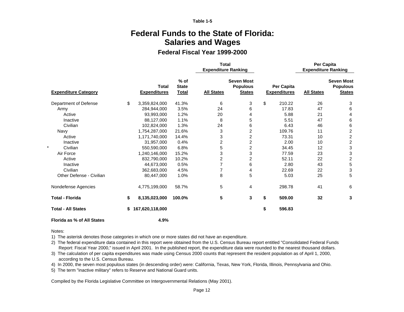# **Federal Funds to the State of Florida: Salaries and Wages**

### **Federal Fiscal Year 1999-2000**

|                             |    |                                     |                                        | <b>Total</b><br><b>Expenditure Ranking</b> |                                                       |                                   | Per Capita<br><b>Expenditure Ranking</b> |                                                       |
|-----------------------------|----|-------------------------------------|----------------------------------------|--------------------------------------------|-------------------------------------------------------|-----------------------------------|------------------------------------------|-------------------------------------------------------|
| <b>Expenditure Category</b> |    | <b>Total</b><br><b>Expenditures</b> | $%$ of<br><b>State</b><br><u>Total</u> | <b>All States</b>                          | <b>Seven Most</b><br><b>Populous</b><br><b>States</b> | Per Capita<br><b>Expenditures</b> | <b>All States</b>                        | <b>Seven Most</b><br><b>Populous</b><br><b>States</b> |
| Department of Defense       | \$ | 3,359,824,000                       | 41.3%                                  | 6                                          | 3                                                     | \$<br>210.22                      | 26                                       | 3                                                     |
| Army                        |    | 284,944,000                         | 3.5%                                   | 24                                         | 6                                                     | 17.83                             | 47                                       | 6                                                     |
| Active                      |    | 93,993,000                          | 1.2%                                   | 20                                         | 4                                                     | 5.88                              | 21                                       | 4                                                     |
| Inactive                    |    | 88,127,000                          | 1.1%                                   | 8                                          | 5                                                     | 5.51                              | 47                                       | $\,6$                                                 |
| Civilian                    |    | 102,824,000                         | 1.3%                                   | 24                                         | 6                                                     | 6.43                              | 46                                       | $\,6$                                                 |
| Navy                        |    | 1,754,287,000                       | 21.6%                                  | 3                                          | 2                                                     | 109.76                            | 11                                       | $\overline{\mathbf{c}}$                               |
| Active                      |    | 1,171,740,000                       | 14.4%                                  | 3                                          | 2                                                     | 73.31                             | 10                                       | $\overline{\mathbf{c}}$                               |
| Inactive                    |    | 31,957,000                          | 0.4%                                   | $\overline{c}$                             | 2                                                     | 2.00                              | 10                                       | $\overline{\mathbf{c}}$                               |
| Civilian                    |    | 550,590,000                         | 6.8%                                   | 5                                          | 2                                                     | 34.45                             | 12                                       | 3                                                     |
| Air Force                   |    | 1,240,146,000                       | 15.2%                                  | 3                                          | 3                                                     | 77.59                             | 23                                       | 3                                                     |
| Active                      |    | 832,790,000                         | 10.2%                                  | $\overline{\mathbf{c}}$                    | 2                                                     | 52.11                             | 22                                       | $\overline{\mathbf{c}}$                               |
| Inactive                    |    | 44,673,000                          | 0.5%                                   | 7                                          | 6                                                     | 2.80                              | 43                                       | 5                                                     |
| Civilian                    |    | 362,683,000                         | 4.5%                                   | 7                                          | 4                                                     | 22.69                             | 22                                       | 3                                                     |
| Other Defense - Civilian    |    | 80,447,000                          | 1.0%                                   | 8                                          | 5                                                     | 5.03                              | 25                                       | 5                                                     |
| Nondefense Agencies         |    | 4,775,199,000                       | 58.7%                                  | 5                                          | 4                                                     | 298.78                            | 41                                       | 6                                                     |
| <b>Total - Florida</b>      | \$ | 8,135,023,000                       | 100.0%                                 | 5                                          | 3                                                     | \$<br>509.00                      | 32                                       | 3                                                     |
| <b>Total - All States</b>   | S  | 167,620,118,000                     |                                        |                                            |                                                       | \$<br>596.83                      |                                          |                                                       |
| Florida as % of All States  |    | 4.9%                                |                                        |                                            |                                                       |                                   |                                          |                                                       |

Notes:

1) The asterisk denotes those categories in which one or more states did not have an expenditure.

2) The federal expenditure data contained in this report were obtained from the U.S. Census Bureau report entitled "Consolidated Federal Funds Report: Fiscal Year 2000," issued in April 2001. In the published report, the expenditure data were rounded to the nearest thousand dollars.

3) The calculation of per capita expenditures was made using Census 2000 counts that represent the resident population as of April 1, 2000, according to the U.S. Census Bureau.

4) In 2000, the seven most populous states (in descending order) were: California, Texas, New York, Florida, Illinois, Pennsylvania and Ohio.

5) The term "inactive military" refers to Reserve and National Guard units.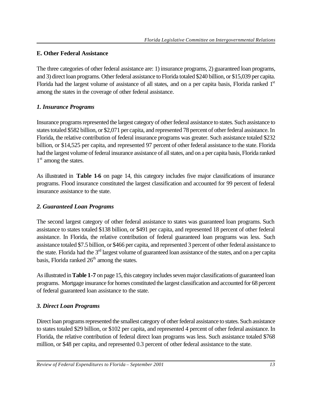### **E. Other Federal Assistance**

The three categories of other federal assistance are: 1) insurance programs, 2) guaranteed loan programs, and 3) direct loan programs. Other federal assistance to Florida totaled \$240 billion, or \$15,039 per capita. Florida had the largest volume of assistance of all states, and on a per capita basis, Florida ranked 1<sup>st</sup> among the states in the coverage of other federal assistance.

### *1. Insurance Programs*

Insurance programs represented the largest category of other federal assistance to states. Such assistance to states totaled \$582 billion, or \$2,071 per capita, and represented 78 percent of other federal assistance. In Florida, the relative contribution of federal insurance programs was greater. Such assistance totaled \$232 billion, or \$14,525 per capita, and represented 97 percent of other federal assistance to the state. Florida had the largest volume of federal insurance assistance of all states, and on a per capita basis, Florida ranked 1<sup>st</sup> among the states.

As illustrated in **Table 1-6** on page 14, this category includes five major classifications of insurance programs. Flood insurance constituted the largest classification and accounted for 99 percent of federal insurance assistance to the state.

### *2. Guaranteed Loan Programs*

The second largest category of other federal assistance to states was guaranteed loan programs. Such assistance to states totaled \$138 billion, or \$491 per capita, and represented 18 percent of other federal assistance. In Florida, the relative contribution of federal guaranteed loan programs was less. Such assistance totaled \$7.5 billion, or \$466 per capita, and represented 3 percent of other federal assistance to the state. Florida had the 3<sup>rd</sup> largest volume of guaranteed loan assistance of the states, and on a per capita basis, Florida ranked  $26<sup>th</sup>$  among the states.

As illustrated in **Table 1-7** on page 15, this category includes seven major classifications of guaranteed loan programs. Mortgage insurance for homes constituted the largest classification and accounted for 68 percent of federal guaranteed loan assistance to the state.

### *3. Direct Loan Programs*

Direct loan programs represented the smallest category of other federal assistance to states. Such assistance to states totaled \$29 billion, or \$102 per capita, and represented 4 percent of other federal assistance. In Florida, the relative contribution of federal direct loan programs was less. Such assistance totaled \$768 million, or \$48 per capita, and represented 0.3 percent of other federal assistance to the state.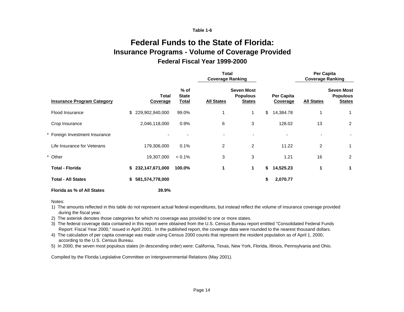## **Federal Funds to the State of Florida: Federal Fiscal Year 1999-2000 Insurance Programs - Volume of Coverage Provided**

|                                   |                                 | Total<br><b>Coverage Ranking</b>     |                   |                                                       |    |                               |                   | Per Capita<br><b>Coverage Ranking</b>                 |  |  |  |
|-----------------------------------|---------------------------------|--------------------------------------|-------------------|-------------------------------------------------------|----|-------------------------------|-------------------|-------------------------------------------------------|--|--|--|
| <b>Insurance Program Category</b> | <b>Total</b><br><b>Coverage</b> | % of<br><b>State</b><br><u>Total</u> | <b>All States</b> | <b>Seven Most</b><br><b>Populous</b><br><b>States</b> |    | Per Capita<br><b>Coverage</b> | <b>All States</b> | <b>Seven Most</b><br><b>Populous</b><br><b>States</b> |  |  |  |
| <b>Flood Insurance</b>            | 229,902,940,000<br>\$           | 99.0%                                |                   | $\mathbf{1}$                                          | \$ | 14,384.78                     |                   | 1                                                     |  |  |  |
| Crop Insurance                    | 2,046,118,000                   | 0.9%                                 | 6                 | 3                                                     |    | 128.02                        | 13                | 2                                                     |  |  |  |
| * Foreign Investment Insurance    |                                 | ٠                                    |                   | ٠                                                     |    | $\overline{\phantom{a}}$      |                   |                                                       |  |  |  |
| Life Insurance for Veterans       | 179,306,000                     | 0.1%                                 | $\overline{2}$    | 2                                                     |    | 11.22                         | 2                 | 1                                                     |  |  |  |
| ×<br>Other                        | 19,307,000                      | $< 0.1\%$                            | 3                 | 3                                                     |    | 1.21                          | 16                | $\overline{2}$                                        |  |  |  |
| <b>Total - Florida</b>            | 232,147,671,000<br>\$           | 100.0%                               | 1                 | 1                                                     | \$ | 14,525.23                     | 1                 | 1                                                     |  |  |  |
| <b>Total - All States</b>         | 581,574,778,000<br>\$           |                                      |                   |                                                       | \$ | 2,070.77                      |                   |                                                       |  |  |  |
| Florida as % of All States        | 39.9%                           |                                      |                   |                                                       |    |                               |                   |                                                       |  |  |  |

Notes:

1) The amounts reflected in this table do not represent actual federal expenditures, but instead reflect the volume of insurance coverage provided during the fiscal year.

2) The asterisk denotes those categories for which no coverage was provided to one or more states.

3) The federal coverage data contained in this report were obtained from the U.S. Census Bureau report entitled "Consolidated Federal Funds Report: Fiscal Year 2000," issued in April 2001. In the published report, the coverage data were rounded to the nearest thousand dollars.

4) The calculation of per capita coverage was made using Census 2000 counts that represent the resident population as of April 1, 2000, according to the U.S. Census Bureau.

5) In 2000, the seven most populous states (in descending order) were: California, Texas, New York, Florida, Illinois, Pennsylvania and Ohio.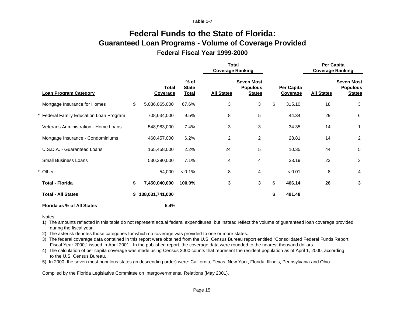# **Federal Funds to the State of Florida: Federal Fiscal Year 1999-2000 Guaranteed Loan Programs - Volume of Coverage Provided**

|                                         |                                 |                                        | <b>Total</b><br><b>Coverage Ranking</b> |                                                       |                        | Per Capita<br><b>Coverage Ranking</b> |                                                       |
|-----------------------------------------|---------------------------------|----------------------------------------|-----------------------------------------|-------------------------------------------------------|------------------------|---------------------------------------|-------------------------------------------------------|
| <b>Loan Program Category</b>            | <b>Total</b><br><b>Coverage</b> | $%$ of<br><b>State</b><br><u>Total</u> | <b>All States</b>                       | <b>Seven Most</b><br><b>Populous</b><br><b>States</b> | Per Capita<br>Coverage | <b>All States</b>                     | <b>Seven Most</b><br><b>Populous</b><br><b>States</b> |
| Mortgage Insurance for Homes            | \$<br>5,036,065,000             | 67.6%                                  | 3                                       | 3                                                     | \$<br>315.10           | 18                                    | 3                                                     |
| * Federal Family Education Loan Program | 708,634,000                     | 9.5%                                   | 8                                       | 5                                                     | 44.34                  | 29                                    | 6                                                     |
| Veterans Administration - Home Loans    | 548,983,000                     | 7.4%                                   | 3                                       | 3                                                     | 34.35                  | 14                                    |                                                       |
| Mortgage Insurance - Condominiums       | 460,457,000                     | 6.2%                                   | $\overline{\mathbf{c}}$                 | $\overline{2}$                                        | 28.81                  | 14                                    | $\mathbf{2}$                                          |
| U.S.D.A. - Guaranteed Loans             | 165,458,000                     | 2.2%                                   | 24                                      | 5                                                     | 10.35                  | 44                                    | 5                                                     |
| <b>Small Business Loans</b>             | 530,390,000                     | 7.1%                                   | 4                                       | 4                                                     | 33.19                  | 23                                    | 3                                                     |
| Other                                   | 54,000                          | $< 0.1\%$                              | 8                                       | 4                                                     | < 0.01                 | 8                                     | 4                                                     |
| <b>Total - Florida</b>                  | \$<br>7,450,040,000             | 100.0%                                 | 3                                       | 3                                                     | \$<br>466.14           | 26                                    | 3                                                     |
| <b>Total - All States</b>               | \$<br>138,031,741,000           |                                        |                                         |                                                       | \$<br>491.48           |                                       |                                                       |
| Florida as % of All States              | 5.4%                            |                                        |                                         |                                                       |                        |                                       |                                                       |

Notes:

1) The amounts reflected in this table do not represent actual federal expenditures, but instead reflect the volume of guaranteed loan coverage provided during the fiscal year.

2) The asterisk denotes those categories for which no coverage was provided to one or more states.

3) The federal coverage data contained in this report were obtained from the U.S. Census Bureau report entitled "Consolidated Federal Funds Report: Fiscal Year 2000," issued in April 2001. In the published report, the coverage data were rounded to the nearest thousand dollars.

4) The calculation of per capita coverage was made using Census 2000 counts that represent the resident population as of April 1, 2000, according to the U.S. Census Bureau.

5) In 2000, the seven most populous states (in descending order) were: California, Texas, New York, Florida, Illinois, Pennsylvania and Ohio.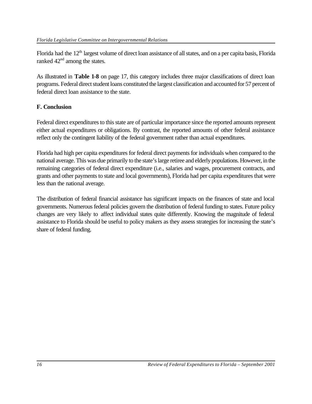Florida had the 12<sup>th</sup> largest volume of direct loan assistance of all states, and on a per capita basis, Florida ranked  $42<sup>nd</sup>$  among the states.

As illustrated in **Table 1-8** on page 17, this category includes three major classifications of direct loan programs. Federal direct student loans constituted the largest classification and accounted for 57 percent of federal direct loan assistance to the state.

### **F. Conclusion**

Federal direct expenditures to this state are of particular importance since the reported amounts represent either actual expenditures or obligations. By contrast, the reported amounts of other federal assistance reflect only the contingent liability of the federal government rather than actual expenditures.

Florida had high per capita expenditures for federal direct payments for individuals when compared to the national average. This was due primarily to the state's large retiree and elderly populations. However, in the remaining categories of federal direct expenditure (i.e., salaries and wages, procurement contracts, and grants and other payments to state and local governments), Florida had per capita expenditures that were less than the national average.

The distribution of federal financial assistance has significant impacts on the finances of state and local governments. Numerous federal policies govern the distribution of federal funding to states. Future policy changes are very likely to affect individual states quite differently. Knowing the magnitude of federal assistance to Florida should be useful to policy makers as they assess strategies for increasing the state's share of federal funding.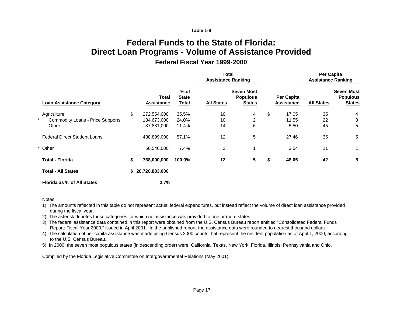# **Federal Funds to the State of Florida: Direct Loan Programs - Volume of Assistance Provided**

### **Federal Fiscal Year 1999-2000**

|                                                       |                            |                  |                                        | <b>Total</b><br><b>Assistance Ranking</b>                                  |                |                          |       | Per Capita<br><b>Assistance Ranking</b> |                                                       |  |
|-------------------------------------------------------|----------------------------|------------------|----------------------------------------|----------------------------------------------------------------------------|----------------|--------------------------|-------|-----------------------------------------|-------------------------------------------------------|--|
| <b>Loan Assistance Category</b>                       | Total<br><b>Assistance</b> |                  | $%$ of<br><b>State</b><br><b>Total</b> | <b>Seven Most</b><br><b>Populous</b><br><b>All States</b><br><b>States</b> |                | Per Capita<br>Assistance |       | <b>All States</b>                       | <b>Seven Most</b><br><b>Populous</b><br><b>States</b> |  |
| Agriculture                                           | \$                         | 272,554,000      | 35.5%                                  | 10                                                                         | 4              | \$                       | 17.05 | 35                                      | 4                                                     |  |
| $^{\star}$<br><b>Commodity Loans - Price Supports</b> |                            | 184,673,000      | 24.0%                                  | 10                                                                         | $\overline{a}$ |                          | 11.55 | 22                                      | 3                                                     |  |
| Other                                                 |                            | 87,881,000       | 11.4%                                  | 14                                                                         | 6              |                          | 5.50  | 45                                      | 5                                                     |  |
| <b>Federal Direct Student Loans</b>                   |                            | 438,899,000      | 57.1%                                  | 12                                                                         | 5              |                          | 27.46 | 35                                      | 5                                                     |  |
| k<br>Other                                            |                            | 56,546,000       | 7.4%                                   | 3                                                                          |                |                          | 3.54  | 11                                      | $\mathbf{1}$                                          |  |
| <b>Total - Florida</b>                                | \$                         | 768,000,000      | 100.0%                                 | 12                                                                         | 5              | \$                       | 48.05 | 42                                      | 5                                                     |  |
| <b>Total - All States</b>                             |                            | \$28,720,883,000 |                                        |                                                                            |                |                          |       |                                         |                                                       |  |
| Florida as % of All States                            |                            | 2.7%             |                                        |                                                                            |                |                          |       |                                         |                                                       |  |

Notes:

- 1) The amounts reflected in this table do not represent actual federal expenditures, but instead reflect the volume of direct loan assistance provided during the fiscal year.
- 2) The asterisk denotes those categories for which no assistance was provided to one or more states.
- 3) The federal assistance data contained in this report were obtained from the U.S. Census Bureau report entitled "Consolidated Federal Funds Report: Fiscal Year 2000," issued in April 2001. In the published report, the assistance data were rounded to nearest thousand dollars.
- 4) The calculation of per capita assistance was made using Census 2000 counts that represent the resident population as of April 1, 2000, according to the U.S. Census Bureau.
- 5) In 2000, the seven most populous states (in descending order) were: California, Texas, New York, Florida, Illinois, Pennsylvania and Ohio.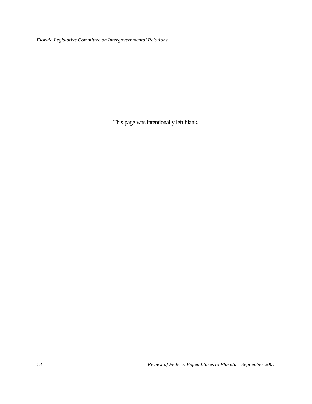This page was intentionally left blank.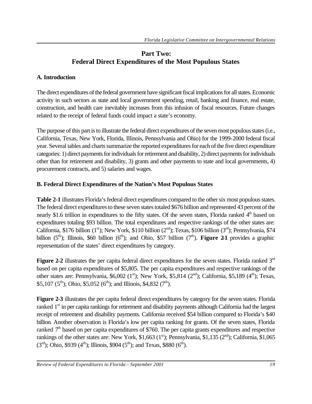### **Part Two: Federal Direct Expenditures of the Most Populous States**

### **A. Introduction**

The direct expenditures of the federal government have significant fiscal implications for all states. Economic activity in such sectors as state and local government spending, retail, banking and finance, real estate, construction, and health care inevitably increases from this infusion of fiscal resources. Future changes related to the receipt of federal funds could impact a state's economy.

The purpose of this part is to illustrate the federal direct expenditures of the seven most populous states (i.e., California, Texas, New York, Florida, Illinois, Pennsylvania and Ohio) for the 1999-2000 federal fiscal year. Several tables and charts summarize the reported expenditures for each of the five direct expenditure categories: 1) direct payments for individuals for retirement and disability, 2) direct payments for individuals other than for retirement and disability, 3) grants and other payments to state and local governments, 4) procurement contracts, and 5) salaries and wages.

### **B. Federal Direct Expenditures of the Nation's Most Populous States**

**Table 2-1** illustrates Florida's federal direct expenditures compared to the other six most populous states. The federal direct expenditures to these seven states totaled \$676 billion and represented 43 percent of the nearly \$1.6 trillion in expenditures to the fifty states. Of the seven states, Florida ranked 4<sup>th</sup> based on expenditures totaling \$93 billion. The total expenditures and respective rankings of the other states are: California, \$176 billion (1<sup>st</sup>); New York, \$110 billion (2<sup>nd</sup>); Texas, \$106 billion (3<sup>rd</sup>); Pennsylvania, \$74 billion  $(5<sup>th</sup>)$ ; Illinois, \$60 billion  $(6<sup>th</sup>)$ ; and Ohio, \$57 billion  $(7<sup>th</sup>)$ . **Figure 21** provides a graphic representation of the states' direct expenditures by category.

**Figure 2-2** illustrates the per capita federal direct expenditures for the seven states. Florida ranked 3<sup>rd</sup> based on per capita expenditures of \$5,805. The per capita expenditures and respective rankings of the other states are: Pennsylvania, \$6,002 (1<sup>st</sup>); New York, \$5,814 (2<sup>nd</sup>); California, \$5,189 (4<sup>th</sup>); Texas, \$5,107 (5<sup>th</sup>); Ohio, \$5,052 (6<sup>th</sup>); and Illinois, \$4,832 (7<sup>th</sup>).

**Figure 2-3** illustrates the per capita federal direct expenditures by category for the seven states. Florida ranked 1<sup>st</sup> in per capita rankings for retirement and disability payments although California had the largest receipt of retirement and disability payments. California received \$54 billion compared to Florida's \$40 billion. Another observation is Florida's low per capita ranking for grants. Of the seven states, Florida ranked 7<sup>th</sup> based on per capita expenditures of \$760. The per capita grants expenditures and respective rankings of the other states are: New York, \$1,663 (1<sup>st</sup>); Pennsylvania, \$1,135 (2<sup>nd</sup>); California, \$1,065  $(3<sup>rd</sup>)$ ; Ohio, \$939 (4<sup>th</sup>); Illinois, \$904 (5<sup>th</sup>); and Texas, \$880 (6<sup>th</sup>).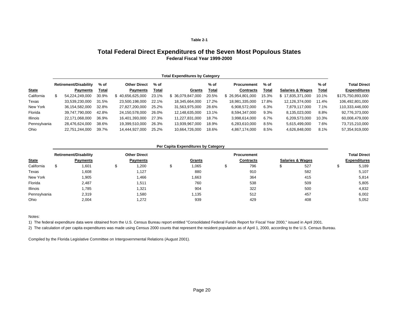#### **Table 2-1**

### **Total Federal Direct Expenditures of the Seven Most Populous States Federal Fiscal Year 1999-2000**

|              | <b>Total Expenditures by Category</b> |                 |       |                     |       |                |              |                    |       |                             |       |                     |  |  |
|--------------|---------------------------------------|-----------------|-------|---------------------|-------|----------------|--------------|--------------------|-------|-----------------------------|-------|---------------------|--|--|
|              | <b>Retirement/Disability</b>          |                 | % of  | <b>Other Direct</b> | % of  |                | % of         | <b>Procurement</b> | % of  |                             | % of  | <b>Total Direct</b> |  |  |
| <b>State</b> |                                       | <b>Payments</b> | Total | <b>Payments</b>     | Total | Grants         | <u>Total</u> | Contracts          | Total | <b>Salaries &amp; Wages</b> | Total | <b>Expenditures</b> |  |  |
| California   | \$                                    | 54.224.249.000  | 30.9% | 40.656.625.000      | 23.1% | 36.079.847.000 | 20.5%        | \$26,954,801,000   | 15.3% | \$17,835,371,000            | 10.1% | \$175,750,893,000   |  |  |
| Texas        |                                       | 33,539,230,000  | 31.5% | 23.500.198.000      | 22.1% | 18.345.664.000 | 17.2%        | 18.981.335.000     | 17.8% | 12,126,374,000              | 11.4% | 106,492,801,000     |  |  |
| New York     |                                       | 36,154,582,000  | 32.8% | 27.827.200.000      | 25.2% | 31,563,975,000 | 28.6%        | 6,908,572,000      | 6.3%  | 7,879,117,000               | 7.1%  | 110,333,446,000     |  |  |
| Florida      |                                       | 39.747.790.000  | 42.8% | 24.150.578.000      | 26.0% | 12.148.635.000 | 13.1%        | 8,594,347,000      | 9.3%  | 8.135.023.000               | 8.8%  | 92,776,373,000      |  |  |
| Illinois     |                                       | 22,171,068,000  | 36.9% | 16,401,393,000      | 27.3% | 11,227,831,000 | 18.7%        | 3,998,614,000      | 6.7%  | 6,209,573,000               | 10.3% | 60,008,479,000      |  |  |
| Pennsylvania |                                       | 28.476.624.000  | 38.6% | 19,399,510,000      | 26.3% | 13,939,967,000 | 18.9%        | 6,283,610,000      | 8.5%  | 5,615,499,000               | 7.6%  | 73,715,210,000      |  |  |
| Ohio         |                                       | 22,751,244,000  | 39.7% | 14,444,927,000      | 25.2% | 10,664,726,000 | 18.6%        | 4,867,174,000      | 8.5%  | 4,626,848,000               | 8.1%  | 57,354,919,000      |  |  |

#### **Per Capita Expenditures by Category**

|              | <b>Other Direct</b><br>Retirement/Disability |                 |  |          |  |        | <b>Total Direct</b> |   |                             |    |                     |
|--------------|----------------------------------------------|-----------------|--|----------|--|--------|---------------------|---|-----------------------------|----|---------------------|
| <b>State</b> |                                              | <b>Payments</b> |  | Payments |  | Grants | Contracts           |   | <b>Salaries &amp; Wages</b> |    | <b>Expenditures</b> |
| California   |                                              | .601            |  | .200     |  | 1,065  | 796                 | æ | 527                         | ۰D | 5,189               |
| Texas        |                                              | 0.608           |  | 1,127    |  | 880    | 910                 |   | 582                         |    | 5,107               |
| New York     |                                              | .905            |  | 1,466    |  | 1,663  | 364                 |   | 415                         |    | 5,814               |
| Florida      |                                              | 2,487           |  | 1,511    |  | 760    | 538                 |   | 509                         |    | 5,805               |
| Illinois     |                                              | .785            |  | 1,321    |  | 904    | 322                 |   | 500                         |    | 4,832               |
| Pennsylvania |                                              | 2,319           |  | 1,580    |  | 1,135  | 512                 |   | 457                         |    | 6,002               |
| Ohio         |                                              | 2,004           |  | 1,272    |  | 939    | 429                 |   | 408                         |    | 5,052               |

Notes:

1) The federal expenditure data were obtained from the U.S. Census Bureau report entitled "Consolidated Federal Funds Report for Fiscal Year 2000," issued in April 2001.

2) The calculation of per capita expenditures was made using Census 2000 counts that represent the resident population as of April 1, 2000, according to the U.S. Census Bureau.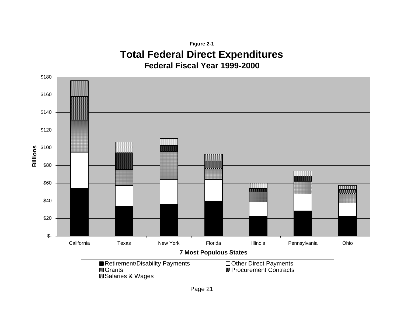# **Figure 2-1 Total Federal Direct Expenditures Federal Fiscal Year 1999-2000**

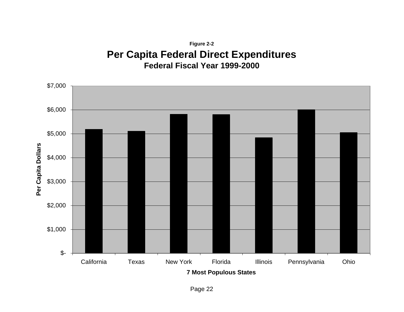

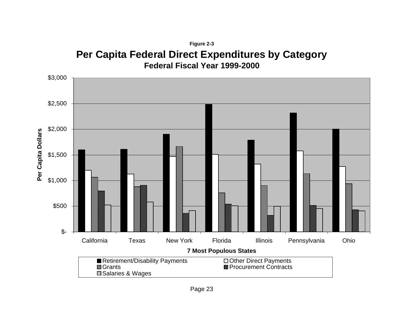# **Figure 2-3 Per Capita Federal Direct Expenditures by Category**

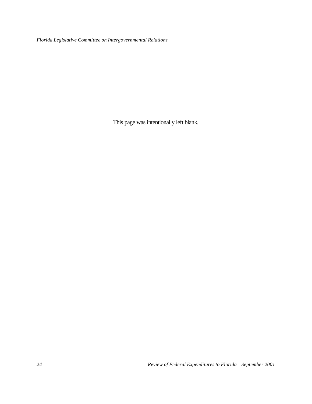This page was intentionally left blank.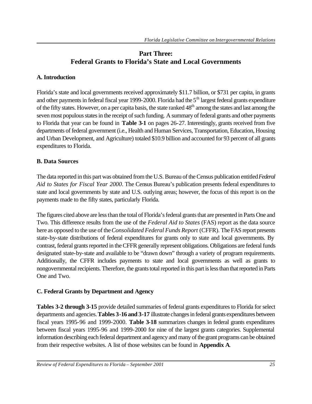## **Part Three: Federal Grants to Florida's State and Local Governments**

## **A. Introduction**

Florida's state and local governments received approximately \$11.7 billion, or \$731 per capita, in grants and other payments in federal fiscal year 1999-2000. Florida had the 5<sup>th</sup> largest federal grants expenditure of the fifty states. However, on a per capita basis, the state ranked 48<sup>th</sup> among the states and last among the seven most populous states in the receipt of such funding. A summary of federal grants and other payments to Florida that year can be found in **Table 3-1** on pages 26-27. Interestingly, grants received from five departments of federal government (i.e., Health and Human Services, Transportation, Education, Housing and Urban Development, and Agriculture) totaled \$10.9 billion and accounted for 93 percent of all grants expenditures to Florida.

## **B. Data Sources**

The data reported in this part was obtained from the U.S. Bureau of the Census publication entitled *Federal Aid to States for Fiscal Year 2000*. The Census Bureau's publication presents federal expenditures to state and local governments by state and U.S. outlying areas; however, the focus of this report is on the payments made to the fifty states, particularly Florida.

The figures cited above are less than the total of Florida's federal grants that are presented in Parts One and Two. This difference results from the use of the *Federal Aid to States* (FAS) report as the data source here as opposed to the use of the *Consolidated Federal Funds Report* (CFFR). The FAS report presents state-by-state distributions of federal expenditures for grants only to state and local governments. By contrast, federal grants reported in the CFFR generally represent obligations. Obligations are federal funds designated state-by-state and available to be "drawn down" through a variety of program requirements. Additionally, the CFFR includes payments to state and local governments as well as grants to nongovernmental recipients. Therefore, the grants total reported in this part is less than that reported in Parts One and Two.

### **C. Federal Grants by Department and Agency**

**Tables 3-2 through 3-15** provide detailed summaries of federal grants expenditures to Florida for select departments and agencies. **Tables 3-16 and 3-17** illustrate changes in federal grants expenditures between fiscal years 1995-96 and 1999-2000. **Table 3-18** summarizes changes in federal grants expenditures between fiscal years 1995-96 and 1999-2000 for nine of the largest grants categories. Supplemental information describing each federal department and agency and many of the grant programs can be obtained from their respective websites. A list of those websites can be found in **Appendix A**.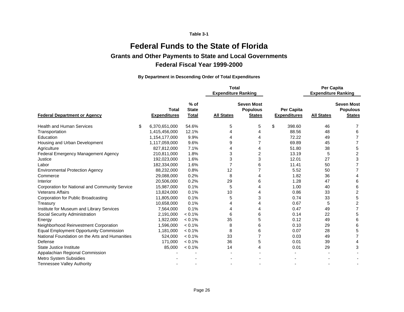# **Federal Funds to the State of Florida Grants and Other Payments to State and Local Governments Federal Fiscal Year 1999-2000**

### **By Department in Descending Order of Total Expenditures**

|                                                |    |                                     |                                        | <b>Total</b><br><b>Expenditure Ranking</b> |                                                       |                                          |        | Per Capita<br><b>Expenditure Ranking</b> |                                                       |  |
|------------------------------------------------|----|-------------------------------------|----------------------------------------|--------------------------------------------|-------------------------------------------------------|------------------------------------------|--------|------------------------------------------|-------------------------------------------------------|--|
|                                                |    |                                     |                                        |                                            |                                                       |                                          |        |                                          |                                                       |  |
| <b>Federal Department or Agency</b>            |    | <b>Total</b><br><b>Expenditures</b> | $%$ of<br><b>State</b><br><b>Total</b> | <b>All States</b>                          | <b>Seven Most</b><br><b>Populous</b><br><b>States</b> | <b>Per Capita</b><br><b>Expenditures</b> |        | <b>All States</b>                        | <b>Seven Most</b><br><b>Populous</b><br><b>States</b> |  |
| Health and Human Services                      | \$ | 6,370,651,000                       | 54.6%                                  | 5                                          | 5                                                     | \$                                       | 398.60 | 46                                       | 7                                                     |  |
| Transportation                                 |    | 1,415,456,000                       | 12.1%                                  | 4                                          | 4                                                     |                                          | 88.56  | 48                                       | 6                                                     |  |
| Education                                      |    | 1,154,177,000                       | 9.9%                                   |                                            | 4                                                     |                                          | 72.22  | 49                                       | $\overline{7}$                                        |  |
| Housing and Urban Development                  |    | 1,117,059,000                       | 9.6%                                   | 9                                          |                                                       |                                          | 69.89  | 45                                       | $\overline{7}$                                        |  |
| Agriculture                                    |    | 827,812,000                         | 7.1%                                   |                                            |                                                       |                                          | 51.80  | 38                                       | $\mathbf 5$                                           |  |
| Federal Emergency Management Agency            |    | 210,811,000                         | 1.8%                                   | 3                                          | $\overline{2}$                                        |                                          | 13.19  | 5                                        | $\boldsymbol{2}$                                      |  |
| Justice                                        |    | 192,023,000                         | 1.6%                                   | 3                                          | 3                                                     |                                          | 12.01  | 27                                       | 3                                                     |  |
| Labor                                          |    | 182,334,000                         | 1.6%                                   | $\overline{7}$                             | 6                                                     |                                          | 11.41  | 50                                       | $\overline{7}$                                        |  |
| <b>Environmental Protection Agency</b>         |    | 88,232,000                          | 0.8%                                   | 12                                         |                                                       |                                          | 5.52   | 50                                       | 7                                                     |  |
| Commerce                                       |    | 29,088,000                          | 0.2%                                   | 8                                          | 4                                                     |                                          | 1.82   | 36                                       | 4                                                     |  |
| Interior                                       |    | 20,506,000                          | 0.2%                                   | 29                                         | 6                                                     |                                          | 1.28   | 47                                       | 6                                                     |  |
| Corporation for National and Community Service |    | 15,987,000                          | 0.1%                                   | 5                                          |                                                       |                                          | 1.00   | 40                                       | 6                                                     |  |
| <b>Veterans Affairs</b>                        |    | 13,824,000                          | 0.1%                                   | 10                                         | 4                                                     |                                          | 0.86   | 33                                       | $\boldsymbol{2}$                                      |  |
| Corporation for Public Broadcasting            |    | 11,805,000                          | 0.1%                                   | 5                                          | 3                                                     |                                          | 0.74   | 33                                       | 5                                                     |  |
| Treasury                                       |    | 10,658,000                          | 0.1%                                   |                                            | 4                                                     |                                          | 0.67   | 5                                        | $\overline{c}$                                        |  |
| Institute for Museum and Library Services      |    | 7,564,000                           | 0.1%                                   |                                            | 4                                                     |                                          | 0.47   | 49                                       | $\overline{7}$                                        |  |
| Social Security Administration                 |    | 2,191,000                           | $< 0.1\%$                              | 6                                          | 6                                                     |                                          | 0.14   | 22                                       | 5                                                     |  |
| Energy                                         |    | 1,922,000                           | $< 0.1\%$                              | 35                                         | 5                                                     |                                          | 0.12   | 49                                       | 6                                                     |  |
| Neighborhood Reinvestment Corporation          |    | 1,596,000                           | $< 0.1\%$                              | 8                                          | 6                                                     |                                          | 0.10   | 29                                       | 6                                                     |  |
| <b>Equal Employment Opportunity Commission</b> |    | 1,181,000                           | $< 0.1\%$                              | 8                                          | 6                                                     |                                          | 0.07   | 28                                       | $\mathbf 5$                                           |  |
| National Foundation on the Arts and Humanities |    | 524,000                             | $< 0.1\%$                              | 33                                         |                                                       |                                          | 0.03   | 49                                       | $\overline{7}$                                        |  |
| Defense                                        |    | 171,000                             | $< 0.1\%$                              | 36                                         | 5                                                     |                                          | 0.01   | 39                                       | 4                                                     |  |
| State Justice Institute                        |    | 85,000                              | $< 0.1\%$                              | 14                                         | 4                                                     |                                          | 0.01   | 29                                       | 3                                                     |  |
| Appalachian Regional Commission                |    |                                     |                                        |                                            |                                                       |                                          |        |                                          |                                                       |  |
| Metro System Subsidies                         |    |                                     |                                        |                                            |                                                       |                                          |        |                                          |                                                       |  |
| <b>Tennessee Valley Authority</b>              |    |                                     |                                        |                                            |                                                       |                                          |        |                                          |                                                       |  |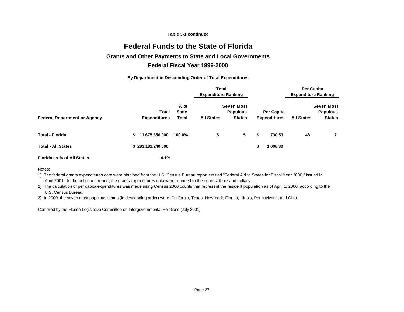**Table 3-1 continued**

## **Federal Funds to the State of Florida**

### **Grants and Other Payments to State and Local Governments**

### **Federal Fiscal Year 1999-2000**

### **By Department in Descending Order of Total Expenditures**

|                                     |                                     |                                        | <b>Total</b><br><b>Expenditure Ranking</b> |                                                       |                                          | Per Capita<br><b>Expenditure Ranking</b> |                                                       |
|-------------------------------------|-------------------------------------|----------------------------------------|--------------------------------------------|-------------------------------------------------------|------------------------------------------|------------------------------------------|-------------------------------------------------------|
| <b>Federal Department or Agency</b> | <b>Total</b><br><b>Expenditures</b> | $%$ of<br><b>State</b><br><b>Total</b> | <b>All States</b>                          | <b>Seven Most</b><br><b>Populous</b><br><b>States</b> | <b>Per Capita</b><br><b>Expenditures</b> | <b>All States</b>                        | <b>Seven Most</b><br><b>Populous</b><br><b>States</b> |
| <b>Total - Florida</b>              | 11,675,656,000<br>s.                | 100.0%                                 | 5                                          | 5                                                     | \$<br>730.53                             | 48                                       |                                                       |
| <b>Total - All States</b>           | \$283,181,240,000                   |                                        |                                            |                                                       | \$<br>1,008.30                           |                                          |                                                       |
| Florida as % of All States          | 4.1%                                |                                        |                                            |                                                       |                                          |                                          |                                                       |

Notes:

1) The federal grants expenditures data were obtained from the U.S. Census Bureau report entitled "Federal Aid to States for Fiscal Year 2000," issued in April 2001. In the published report, the grants expenditures data were rounded to the nearest thousand dollars.

2) The calculation of per capita expenditures was made using Census 2000 counts that represent the resident population as of April 1, 2000, according to the U.S. Census Bureau.

3) In 2000, the seven most populous states (in descending order) were: California, Texas, New York, Florida, Illinois, Pennsylvania and Ohio.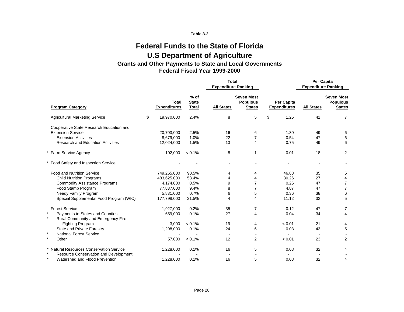# **U.S Department of Agriculture Federal Funds to the State of Florida**

### **Grants and Other Payments to State and Local Governments Federal Fiscal Year 1999-2000**

|                                              |                                     |                                        | <b>Total</b><br><b>Expenditure Ranking</b> |                                                       |                                          | Per Capita<br><b>Expenditure Ranking</b> |                                                       |  |
|----------------------------------------------|-------------------------------------|----------------------------------------|--------------------------------------------|-------------------------------------------------------|------------------------------------------|------------------------------------------|-------------------------------------------------------|--|
| <b>Program Category</b>                      | <b>Total</b><br><b>Expenditures</b> | $%$ of<br><b>State</b><br><b>Total</b> | <b>All States</b>                          | <b>Seven Most</b><br><b>Populous</b><br><b>States</b> | <b>Per Capita</b><br><b>Expenditures</b> | <b>All States</b>                        | <b>Seven Most</b><br><b>Populous</b><br><b>States</b> |  |
| <b>Agricultural Marketing Service</b>        | \$<br>19,970,000                    | 2.4%                                   | 8                                          | 5                                                     | \$<br>1.25                               | 41                                       | $\overline{7}$                                        |  |
| Cooperative State Research Education and     |                                     |                                        |                                            |                                                       |                                          |                                          |                                                       |  |
| <b>Extension Service</b>                     | 20,703,000                          | 2.5%                                   | 16                                         | 6                                                     | 1.30                                     | 49                                       | 6                                                     |  |
| <b>Extension Activities</b>                  | 8,679,000                           | 1.0%                                   | 22                                         | $\overline{7}$                                        | 0.54                                     | 47                                       | 6                                                     |  |
| <b>Research and Education Activities</b>     | 12,024,000                          | 1.5%                                   | 13                                         | 4                                                     | 0.75                                     | 49                                       | 6                                                     |  |
| * Farm Service Agency                        | 102,000                             | $< 0.1\%$                              | 8                                          | $\mathbf{1}$                                          | 0.01                                     | 18                                       | 2                                                     |  |
| Food Safety and Inspection Service           |                                     |                                        |                                            | $\blacksquare$                                        |                                          |                                          |                                                       |  |
| <b>Food and Nutrition Service</b>            | 749,265,000                         | 90.5%                                  | 4                                          | 4                                                     | 46.88                                    | 35                                       | 5                                                     |  |
| <b>Child Nutrition Programs</b>              | 483,625,000                         | 58.4%                                  | 4                                          | 4                                                     | 30.26                                    | 27                                       | 4                                                     |  |
| <b>Commodity Assistance Programs</b>         | 4,174,000                           | 0.5%                                   | 9                                          | $\overline{7}$                                        | 0.26                                     | 47                                       | $\overline{7}$                                        |  |
| Food Stamp Program                           | 77,837,000                          | 9.4%                                   | 8                                          | 7                                                     | 4.87                                     | 47                                       | $\overline{7}$                                        |  |
| Needy Family Program                         | 5,831,000                           | 0.7%                                   | 6                                          | 5                                                     | 0.36                                     | 38                                       | 6                                                     |  |
| Special Supplemental Food Program (WIC)      | 177,798,000                         | 21.5%                                  | 4                                          | 4                                                     | 11.12                                    | 32                                       | 5                                                     |  |
| <b>Forest Service</b>                        | 1,927,000                           | 0.2%                                   | 35                                         | 7                                                     | 0.12                                     | 47                                       | 7                                                     |  |
| Payments to States and Counties              | 659,000                             | 0.1%                                   | 27                                         | $\overline{4}$                                        | 0.04                                     | 34                                       | 4                                                     |  |
| Rural Community and Emergency Fire           |                                     |                                        |                                            |                                                       |                                          |                                          |                                                       |  |
| <b>Fighting Program</b>                      | 3,000                               | $< 0.1\%$                              | 19                                         | 4                                                     | < 0.01                                   | 21                                       | 4                                                     |  |
| State and Private Forestry                   | 1,208,000                           | 0.1%                                   | 24                                         | 6                                                     | 0.08                                     | 43                                       | 5                                                     |  |
| *<br><b>National Forest Service</b>          |                                     |                                        |                                            |                                                       |                                          |                                          |                                                       |  |
| Other                                        | 57,000                              | $< 0.1\%$                              | 12                                         | $\overline{2}$                                        | < 0.01                                   | 23                                       | 2                                                     |  |
| Natural Resources Conservation Service       | 1,228,000                           | 0.1%                                   | 16                                         | 5                                                     | 0.08                                     | 32                                       | 4                                                     |  |
| <b>Resource Conservation and Development</b> |                                     |                                        |                                            |                                                       |                                          |                                          |                                                       |  |
| Watershed and Flood Prevention               | 1,228,000                           | 0.1%                                   | 16                                         | 5                                                     | 0.08                                     | 32                                       | 4                                                     |  |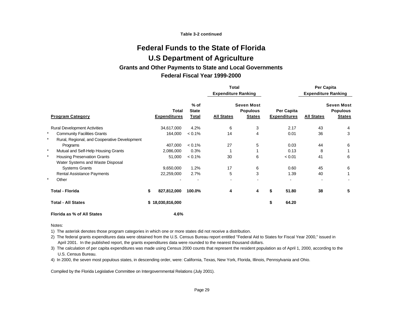**Table 3-2 continued**

# **Federal Funds to the State of Florida U.S Department of Agriculture**

### **Federal Fiscal Year 1999-2000 Grants and Other Payments to State and Local Governments**

|                                                         |                              |                                        | <b>Total</b><br><b>Expenditure Ranking</b> |                                                       |                                   |                   | Per Capita<br><b>Expenditure Ranking</b>              |  |  |  |
|---------------------------------------------------------|------------------------------|----------------------------------------|--------------------------------------------|-------------------------------------------------------|-----------------------------------|-------------------|-------------------------------------------------------|--|--|--|
| <b>Program Category</b>                                 | Total<br><b>Expenditures</b> | $%$ of<br><b>State</b><br><b>Total</b> | <b>All States</b>                          | <b>Seven Most</b><br><b>Populous</b><br><b>States</b> | Per Capita<br><b>Expenditures</b> | <b>All States</b> | <b>Seven Most</b><br><b>Populous</b><br><b>States</b> |  |  |  |
| <b>Rural Development Activities</b>                     | 34,617,000                   | 4.2%                                   | 6                                          | 3                                                     | 2.17                              | 43                | 4                                                     |  |  |  |
| $\star$<br><b>Community Facilities Grants</b>           | 164,000                      | $< 0.1\%$                              | 14                                         | 4                                                     | 0.01                              | 36                | 3                                                     |  |  |  |
| $\star$<br>Rural, Regional, and Cooperative Development |                              |                                        |                                            |                                                       |                                   |                   |                                                       |  |  |  |
| Programs                                                | 407,000                      | $< 0.1\%$                              | 27                                         | 5                                                     | 0.03                              | 44                | 6                                                     |  |  |  |
| $\star$<br>Mutual and Self-Help Housing Grants          | 2,086,000                    | 0.3%                                   |                                            |                                                       | 0.13                              | 8                 |                                                       |  |  |  |
| $\star$<br><b>Housing Preservation Grants</b>           | 51,000                       | $< 0.1\%$                              | 30                                         | 6                                                     | < 0.01                            | 41                | 6                                                     |  |  |  |
| Water Systems and Waste Disposal                        |                              |                                        |                                            |                                                       |                                   |                   |                                                       |  |  |  |
| <b>Systems Grants</b>                                   | 9,650,000                    | 1.2%                                   | 17                                         | 6                                                     | 0.60                              | 45                | 6                                                     |  |  |  |
| Rental Assistance Payments                              | 22,259,000                   | 2.7%                                   | 5                                          | 3                                                     | 1.39                              | 40                |                                                       |  |  |  |
| $\star$<br>Other                                        |                              |                                        |                                            |                                                       |                                   |                   |                                                       |  |  |  |
| <b>Total - Florida</b>                                  | \$<br>827,812,000            | 100.0%                                 | 4                                          | 4                                                     | 51.80<br>\$                       | 38                | 5                                                     |  |  |  |
| <b>Total - All States</b>                               | \$18,030,816,000             |                                        |                                            |                                                       | \$<br>64.20                       |                   |                                                       |  |  |  |
| Florida as % of All States                              | 4.6%                         |                                        |                                            |                                                       |                                   |                   |                                                       |  |  |  |

Notes:

1) The asterisk denotes those program categories in which one or more states did not receive a distribution.

2) The federal grants expenditures data were obtained from the U.S. Census Bureau report entitled "Federal Aid to States for Fiscal Year 2000," issued in April 2001. In the published report, the grants expenditures data were rounded to the nearest thousand dollars.

3) The calculation of per capita expenditures was made using Census 2000 counts that represent the resident population as of April 1, 2000, according to the U.S. Census Bureau.

4) In 2000, the seven most populous states, in descending order, were: California, Texas, New York, Florida, Illinois, Pennsylvania and Ohio.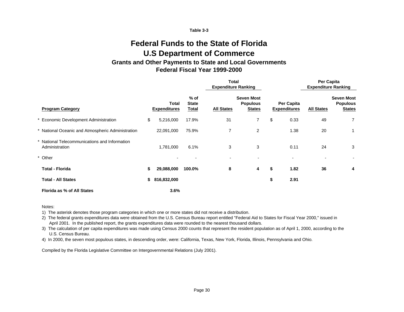## **U.S Department of Commerce Federal Funds to the State of Florida Grants and Other Payments to State and Local Governments Federal Fiscal Year 1999-2000**

|                                                                 |                              |                                        | <b>Total</b><br><b>Expenditure Ranking</b> |                                                       |                                   | Per Capita<br><b>Expenditure Ranking</b> |                                                       |  |
|-----------------------------------------------------------------|------------------------------|----------------------------------------|--------------------------------------------|-------------------------------------------------------|-----------------------------------|------------------------------------------|-------------------------------------------------------|--|
| <b>Program Category</b>                                         | Total<br><b>Expenditures</b> | $%$ of<br><b>State</b><br><b>Total</b> | <b>All States</b>                          | <b>Seven Most</b><br><b>Populous</b><br><b>States</b> | Per Capita<br><b>Expenditures</b> | <b>All States</b>                        | <b>Seven Most</b><br><b>Populous</b><br><b>States</b> |  |
| * Economic Development Administration                           | \$<br>5,216,000              | 17.9%                                  | 31                                         | $\overline{7}$                                        | \$<br>0.33                        | 49                                       | 7                                                     |  |
| * National Oceanic and Atmospheric Administration               | 22,091,000                   | 75.9%                                  | $\overline{7}$                             | $\overline{2}$                                        | 1.38                              | 20                                       | 1                                                     |  |
| * National Telecommunications and Information<br>Administration | 1,781,000                    | 6.1%                                   | 3                                          | 3                                                     | 0.11                              | 24                                       | 3                                                     |  |
| k<br>Other                                                      |                              |                                        | $\overline{\phantom{a}}$                   | $\overline{\phantom{a}}$                              | $\overline{\phantom{a}}$          |                                          |                                                       |  |
| <b>Total - Florida</b>                                          | \$<br>29,088,000             | 100.0%                                 | 8                                          | 4                                                     | \$<br>1.82                        | 36                                       | 4                                                     |  |
| <b>Total - All States</b>                                       | \$<br>816,832,000            |                                        |                                            |                                                       | \$<br>2.91                        |                                          |                                                       |  |
| Florida as % of All States                                      | 3.6%                         |                                        |                                            |                                                       |                                   |                                          |                                                       |  |

Notes:

1) The asterisk denotes those program categories in which one or more states did not receive a distribution.

2) The federal grants expenditures data were obtained from the U.S. Census Bureau report entitled "Federal Aid to States for Fiscal Year 2000," issued in April 2001. In the published report, the grants expenditures data were rounded to the nearest thousand dollars.

3) The calculation of per capita expenditures was made using Census 2000 counts that represent the resident population as of April 1, 2000, according to the U.S. Census Bureau.

4) In 2000, the seven most populous states, in descending order, were: California, Texas, New York, Florida, Illinois, Pennsylvania and Ohio.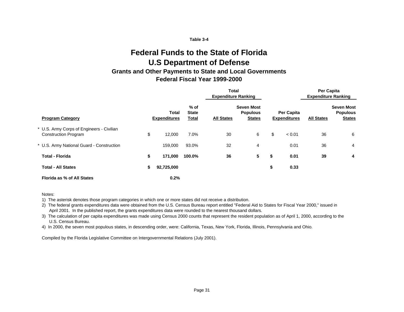# **U.S Department of Defense Federal Funds to the State of Florida**

### **Grants and Other Payments to State and Local Governments Federal Fiscal Year 1999-2000**

|                                                                          |                                     |                                      | <b>Total</b><br><b>Expenditure Ranking</b> |                                                       |                                   |                   | Per Capita                                            | <b>Expenditure Ranking</b> |
|--------------------------------------------------------------------------|-------------------------------------|--------------------------------------|--------------------------------------------|-------------------------------------------------------|-----------------------------------|-------------------|-------------------------------------------------------|----------------------------|
| <b>Program Category</b>                                                  | <b>Total</b><br><b>Expenditures</b> | % of<br><b>State</b><br><b>Total</b> | <b>All States</b>                          | <b>Seven Most</b><br><b>Populous</b><br><b>States</b> | Per Capita<br><b>Expenditures</b> | <b>All States</b> | <b>Seven Most</b><br><b>Populous</b><br><b>States</b> |                            |
| * U.S. Army Corps of Engineers - Civilian<br><b>Construction Program</b> | \$<br>12,000                        | 7.0%                                 | 30                                         | 6                                                     | \$                                | < 0.01            | 36                                                    | 6                          |
| * U.S. Army National Guard - Construction                                | 159,000                             | 93.0%                                | 32                                         | 4                                                     |                                   | 0.01              | 36                                                    | 4                          |
| <b>Total - Florida</b>                                                   | \$<br>171,000                       | 100.0%                               | 36                                         | 5                                                     | \$                                | 0.01              | 39                                                    | 4                          |
| <b>Total - All States</b>                                                | \$<br>92,725,000                    |                                      |                                            |                                                       | \$                                | 0.33              |                                                       |                            |
| Florida as % of All States                                               | 0.2%                                |                                      |                                            |                                                       |                                   |                   |                                                       |                            |

Notes:

1) The asterisk denotes those program categories in which one or more states did not receive a distribution.

2) The federal grants expenditures data were obtained from the U.S. Census Bureau report entitled "Federal Aid to States for Fiscal Year 2000," issued in April 2001. In the published report, the grants expenditures data were rounded to the nearest thousand dollars.

3) The calculation of per capita expenditures was made using Census 2000 counts that represent the resident population as of April 1, 2000, according to the U.S. Census Bureau.

4) In 2000, the seven most populous states, in descending order, were: California, Texas, New York, Florida, Illinois, Pennsylvania and Ohio.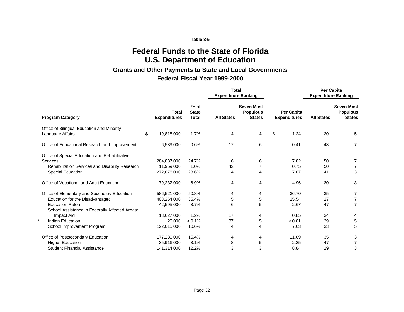# **Federal Funds to the State of Florida U.S. Department of Education**

## **Grants and Other Payments to State and Local Governments**

## **Federal Fiscal Year 1999-2000**

|                                                                                                                                                              |    |                                          |                                 | <b>Total</b><br><b>Expenditure Ranking</b> |                                                       |                                   |                        | <b>Per Capita</b><br><b>Expenditure Ranking</b> |                                                       |
|--------------------------------------------------------------------------------------------------------------------------------------------------------------|----|------------------------------------------|---------------------------------|--------------------------------------------|-------------------------------------------------------|-----------------------------------|------------------------|-------------------------------------------------|-------------------------------------------------------|
| <b>Program Category</b>                                                                                                                                      |    | <b>Total</b><br><b>Expenditures</b>      | $%$ of<br><b>State</b><br>Total | <b>All States</b>                          | <b>Seven Most</b><br><b>Populous</b><br><b>States</b> | Per Capita<br><b>Expenditures</b> |                        | <b>All States</b>                               | <b>Seven Most</b><br><b>Populous</b><br><b>States</b> |
| Office of Bilingual Education and Minority<br>Language Affairs                                                                                               | \$ | 19,818,000                               | 1.7%                            | 4                                          | 4                                                     | \$                                | 1.24                   | 20                                              | 5                                                     |
| Office of Educational Research and Improvement                                                                                                               |    | 6,539,000                                | 0.6%                            | 17                                         | 6                                                     |                                   | 0.41                   | 43                                              | $\overline{7}$                                        |
| Office of Special Education and Rehabilitative<br><b>Services</b><br>Rehabilitation Services and Disability Research<br>Special Education                    |    | 284,837,000<br>11,959,000<br>272,878,000 | 24.7%<br>1.0%<br>23.6%          | 6<br>42<br>4                               | 6<br>4                                                |                                   | 17.82<br>0.75<br>17.07 | 50<br>50<br>41                                  | 7<br>$\overline{7}$<br>3                              |
| Office of Vocational and Adult Education                                                                                                                     |    | 79,232,000                               | 6.9%                            | 4                                          | 4                                                     |                                   | 4.96                   | 30                                              | 3                                                     |
| Office of Elementary and Secondary Education<br>Education for the Disadvantaged<br><b>Education Reform</b><br>School Assistance in Federally Affected Areas: |    | 586,521,000<br>408,264,000<br>42,595,000 | 50.8%<br>35.4%<br>3.7%          | 4<br>5<br>6                                | 4<br>5<br>5                                           |                                   | 36.70<br>25.54<br>2.67 | 35<br>27<br>47                                  | $\overline{7}$<br>$\overline{7}$<br>$\overline{7}$    |
| Impact Aid<br>Indian Education<br>School Improvement Program                                                                                                 |    | 13,627,000<br>20,000<br>122,015,000      | 1.2%<br>$< 0.1\%$<br>10.6%      | 17<br>37<br>4                              | 4<br>5<br>4                                           |                                   | 0.85<br>< 0.01<br>7.63 | 34<br>39<br>33                                  | 4<br>5<br>5                                           |
| Office of Postsecondary Education<br><b>Higher Education</b><br><b>Student Financial Assistance</b>                                                          |    | 177,230,000<br>35,916,000<br>141,314,000 | 15.4%<br>3.1%<br>12.2%          | 4<br>8<br>3                                | 4<br>5<br>3                                           |                                   | 11.09<br>2.25<br>8.84  | 35<br>47<br>29                                  | 3<br>$\overline{7}$<br>3                              |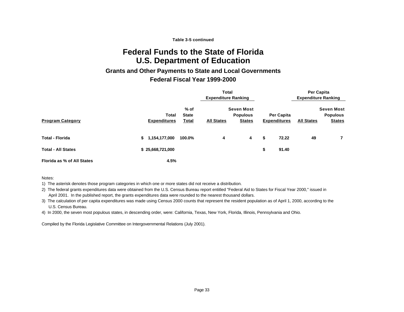**Table 3-5 continued**

# **Federal Funds to the State of Florida U.S. Department of Education**

### **Grants and Other Payments to State and Local Governments**

### **Federal Fiscal Year 1999-2000**

|                            |                              |                                        | <b>Total</b><br><b>Expenditure Ranking</b> |                                                       | Per Capita<br><b>Expenditure Ranking</b> |       |                   |                                                       |  |
|----------------------------|------------------------------|----------------------------------------|--------------------------------------------|-------------------------------------------------------|------------------------------------------|-------|-------------------|-------------------------------------------------------|--|
| <b>Program Category</b>    | Total<br><b>Expenditures</b> | $%$ of<br><b>State</b><br><b>Total</b> | <b>All States</b>                          | <b>Seven Most</b><br><b>Populous</b><br><b>States</b> | Per Capita<br><b>Expenditures</b>        |       | <b>All States</b> | <b>Seven Most</b><br><b>Populous</b><br><b>States</b> |  |
| <b>Total - Florida</b>     | 1,154,177,000<br>\$          | 100.0%                                 | 4                                          | 4                                                     | \$                                       | 72.22 | 49                | 7                                                     |  |
| <b>Total - All States</b>  | \$25,668,721,000             |                                        |                                            |                                                       | \$                                       | 91.40 |                   |                                                       |  |
| Florida as % of All States | 4.5%                         |                                        |                                            |                                                       |                                          |       |                   |                                                       |  |

Notes:

1) The asterisk denotes those program categories in which one or more states did not receive a distribution.

2) The federal grants expenditures data were obtained from the U.S. Census Bureau report entitled "Federal Aid to States for Fiscal Year 2000," issued in April 2001. In the published report, the grants expenditures data were rounded to the nearest thousand dollars.

3) The calculation of per capita expenditures was made using Census 2000 counts that represent the resident population as of April 1, 2000, according to the U.S. Census Bureau.

4) In 2000, the seven most populous states, in descending order, were: California, Texas, New York, Florida, Illinois, Pennsylvania and Ohio.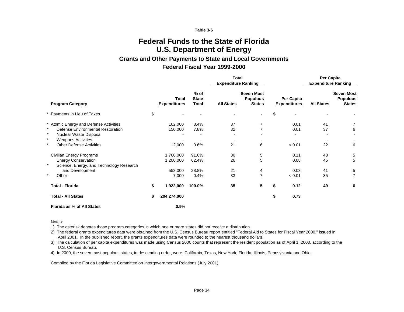## **Federal Funds to the State of Florida U.S. Department of Energy**

### **Grants and Other Payments to State and Local Governments Federal Fiscal Year 1999-2000**

|                                                                                                             |                              |                                        | <b>Total</b><br><b>Expenditure Ranking</b> |                                                       |                                   |                | Per Capita<br><b>Expenditure Ranking</b> |                                                       |
|-------------------------------------------------------------------------------------------------------------|------------------------------|----------------------------------------|--------------------------------------------|-------------------------------------------------------|-----------------------------------|----------------|------------------------------------------|-------------------------------------------------------|
| <b>Program Category</b>                                                                                     | Total<br><b>Expenditures</b> | $%$ of<br><b>State</b><br><u>Total</u> | <b>All States</b>                          | <b>Seven Most</b><br><b>Populous</b><br><b>States</b> | Per Capita<br><b>Expenditures</b> |                | <b>All States</b>                        | <b>Seven Most</b><br><b>Populous</b><br><b>States</b> |
| * Payments in Lieu of Taxes                                                                                 | \$                           |                                        |                                            | $\blacksquare$                                        | \$                                |                |                                          |                                                       |
| * Atomic Energy and Defense Activities<br>$\star$<br>Defense Environmental Restoration<br>$\ast$            | 162,000<br>150,000           | 8.4%<br>7.8%                           | 37<br>32                                   | 7                                                     |                                   | 0.01<br>0.01   | 41<br>37                                 | 6                                                     |
| Nuclear Waste Disposal<br>$\star$<br><b>Weapons Activities</b><br>$\ast$<br><b>Other Defense Activities</b> | 12,000                       | 0.6%                                   | 21                                         | 6                                                     |                                   | < 0.01         | 22                                       | 6                                                     |
| Civilian Energy Programs<br><b>Energy Conservation</b><br>$\star$                                           | 1,760,000<br>1,200,000       | 91.6%<br>62.4%                         | 30<br>26                                   | 5<br>5                                                |                                   | 0.11<br>0.08   | 48<br>45                                 | 5<br>5                                                |
| Science, Energy, and Technology Research<br>and Development<br>$\star$<br>Other                             | 553,000<br>7,000             | 28.8%<br>0.4%                          | 21<br>33                                   | 4<br>7                                                |                                   | 0.03<br>< 0.01 | 41<br>35                                 | 5<br>$\overline{7}$                                   |
| <b>Total - Florida</b>                                                                                      | \$<br>1,922,000              | 100.0%                                 | 35                                         | 5                                                     | \$                                | 0.12           | 49                                       | 6                                                     |
| <b>Total - All States</b>                                                                                   | \$<br>204,274,000            |                                        |                                            |                                                       | \$                                | 0.73           |                                          |                                                       |
| Florida as % of All States                                                                                  | 0.9%                         |                                        |                                            |                                                       |                                   |                |                                          |                                                       |

Notes:

1) The asterisk denotes those program categories in which one or more states did not receive a distribution.

2) The federal grants expenditures data were obtained from the U.S. Census Bureau report entitled "Federal Aid to States for Fiscal Year 2000," issued in April 2001. In the published report, the grants expenditures data were rounded to the nearest thousand dollars.

3) The calculation of per capita expenditures was made using Census 2000 counts that represent the resident population as of April 1, 2000, according to the U.S. Census Bureau.

4) In 2000, the seven most populous states, in descending order, were: California, Texas, New York, Florida, Illinois, Pennsylvania and Ohio.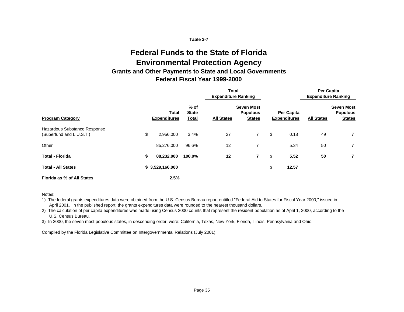## **Environmental Protection Agency Federal Funds to the State of Florida Grants and Other Payments to State and Local Governments Federal Fiscal Year 1999-2000**

| <b>Program Category</b>                                  |                                     |                                        | <b>Total</b><br><b>Expenditure Ranking</b> |                                                       | Per Capita<br><b>Expenditure Ranking</b> |                   |                                                       |
|----------------------------------------------------------|-------------------------------------|----------------------------------------|--------------------------------------------|-------------------------------------------------------|------------------------------------------|-------------------|-------------------------------------------------------|
|                                                          | <b>Total</b><br><b>Expenditures</b> | $%$ of<br><b>State</b><br><b>Total</b> | <b>All States</b>                          | <b>Seven Most</b><br><b>Populous</b><br><b>States</b> | <b>Per Capita</b><br><b>Expenditures</b> | <b>All States</b> | <b>Seven Most</b><br><b>Populous</b><br><b>States</b> |
| Hazardous Substance Response<br>(Superfund and L.U.S.T.) | \$<br>2,956,000                     | 3.4%                                   | 27                                         | $\overline{7}$                                        | \$<br>0.18                               | 49                | 7                                                     |
| Other                                                    | 85,276,000                          | 96.6%                                  | 12                                         | 7                                                     | 5.34                                     | 50                | 7                                                     |
| <b>Total - Florida</b>                                   | \$<br>88,232,000                    | 100.0%                                 | 12                                         | 7                                                     | \$<br>5.52                               | 50                | 7                                                     |
| <b>Total - All States</b>                                | \$3,529,166,000                     |                                        |                                            |                                                       | \$<br>12.57                              |                   |                                                       |
| Florida as % of All States                               | 2.5%                                |                                        |                                            |                                                       |                                          |                   |                                                       |

Notes:

- 1) The federal grants expenditures data were obtained from the U.S. Census Bureau report entitled "Federal Aid to States for Fiscal Year 2000," issued in April 2001. In the published report, the grants expenditures data were rounded to the nearest thousand dollars.
- 2) The calculation of per capita expenditures was made using Census 2000 counts that represent the resident population as of April 1, 2000, according to the U.S. Census Bureau.

3) In 2000, the seven most populous states, in descending order, were: California, Texas, New York, Florida, Illinois, Pennsylvania and Ohio.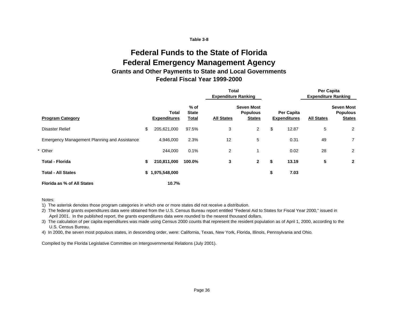## **Federal Emergency Management Agency Federal Funds to the State of Florida Grants and Other Payments to State and Local Governments Federal Fiscal Year 1999-2000**

|                                              |                              |                                        | <b>Total</b><br><b>Expenditure Ranking</b> |                                                       |                                   | Per Capita<br><b>Expenditure Ranking</b> |                                                       |
|----------------------------------------------|------------------------------|----------------------------------------|--------------------------------------------|-------------------------------------------------------|-----------------------------------|------------------------------------------|-------------------------------------------------------|
| <b>Program Category</b>                      | Total<br><b>Expenditures</b> | $%$ of<br><b>State</b><br><b>Total</b> | <b>All States</b>                          | <b>Seven Most</b><br><b>Populous</b><br><b>States</b> | Per Capita<br><b>Expenditures</b> | <b>All States</b>                        | <b>Seven Most</b><br><b>Populous</b><br><b>States</b> |
| Disaster Relief                              | \$<br>205,621,000            | 97.5%                                  | 3                                          | $\overline{\mathbf{c}}$                               | \$<br>12.87                       | 5                                        | 2                                                     |
| Emergency Management Planning and Assistance | 4,946,000                    | 2.3%                                   | 12                                         | 5                                                     | 0.31                              | 49                                       | 7                                                     |
| Other                                        | 244,000                      | 0.1%                                   | 2                                          |                                                       | 0.02                              | 28                                       | 2                                                     |
| <b>Total - Florida</b>                       | \$<br>210,811,000            | 100.0%                                 | 3                                          | $\mathbf{2}$                                          | \$<br>13.19                       | 5                                        | $\mathbf{2}$                                          |
| <b>Total - All States</b>                    | \$1,975,548,000              |                                        |                                            |                                                       | \$<br>7.03                        |                                          |                                                       |
| Florida as % of All States                   | 10.7%                        |                                        |                                            |                                                       |                                   |                                          |                                                       |

### Notes:

1) The asterisk denotes those program categories in which one or more states did not receive a distribution.

2) The federal grants expenditures data were obtained from the U.S. Census Bureau report entitled "Federal Aid to States for Fiscal Year 2000," issued in April 2001. In the published report, the grants expenditures data were rounded to the nearest thousand dollars.

3) The calculation of per capita expenditures was made using Census 2000 counts that represent the resident population as of April 1, 2000, according to the U.S. Census Bureau.

4) In 2000, the seven most populous states, in descending order, were: California, Texas, New York, Florida, Illinois, Pennsylvania and Ohio.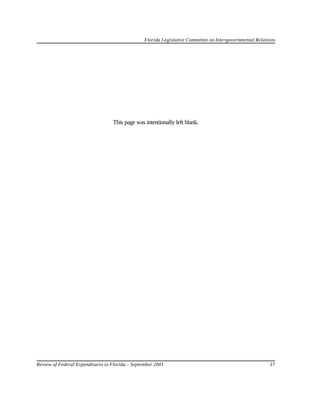This page was intentionally left blank.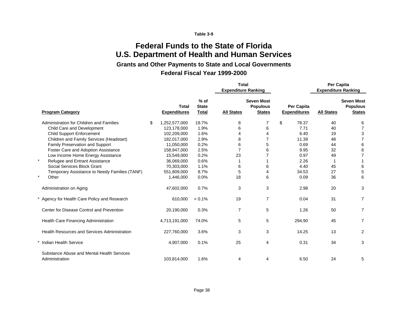# **Federal Funds to the State of Florida U.S. Department of Health and Human Services**

### **Grants and Other Payments to State and Local Governments Federal Fiscal Year 1999-2000**

|                                                              |    |                                     |                                 | Per Capita<br><b>Expenditure Ranking</b> |                                                       |    |                                          |                   |                                                       |  |
|--------------------------------------------------------------|----|-------------------------------------|---------------------------------|------------------------------------------|-------------------------------------------------------|----|------------------------------------------|-------------------|-------------------------------------------------------|--|
| <b>Program Category</b>                                      |    | <b>Total</b><br><b>Expenditures</b> | $%$ of<br><b>State</b><br>Total | <b>All States</b>                        | <b>Seven Most</b><br><b>Populous</b><br><b>States</b> |    | <b>Per Capita</b><br><b>Expenditures</b> | <b>All States</b> | <b>Seven Most</b><br><b>Populous</b><br><b>States</b> |  |
| Administration for Children and Families                     | \$ | 1,252,577,000                       | 19.7%                           | 8                                        | 7                                                     | \$ | 78.37                                    | 40                | 6                                                     |  |
| Child Care and Development                                   |    | 123,178,000                         | 1.9%                            | 6                                        | 6                                                     |    | 7.71                                     | 40                | 7                                                     |  |
| <b>Child Support Enforcement</b>                             |    | 102,209,000                         | 1.6%                            | 4                                        | 4                                                     |    | 6.40                                     | 19                | 3                                                     |  |
| Children and Family Services (Headstart)                     |    | 182,017,000                         | 2.9%                            | 8                                        | 7                                                     |    | 11.39                                    | 48                | $\overline{7}$                                        |  |
| Family Preservation and Support                              |    | 11,050,000                          | 0.2%                            | 6                                        | 5                                                     |    | 0.69                                     | 44                | 6                                                     |  |
| Foster Care and Adoption Assistance                          |    | 158,947,000                         | 2.5%                            | $\overline{7}$                           | 6                                                     |    | 9.95                                     | 32                | 6                                                     |  |
| Low Income Home Energy Assistance                            |    | 15,549,000                          | 0.2%                            | 23                                       | 7                                                     |    | 0.97                                     | 49                | $\overline{7}$                                        |  |
| Refugee and Entrant Assistance                               |    | 36,069,000                          | 0.6%                            |                                          |                                                       |    | 2.26                                     |                   | 1                                                     |  |
| Social Services Block Grant                                  |    | 70,303,000                          | 1.1%                            | 6                                        | 6                                                     |    | 4.40                                     | 45                | 6                                                     |  |
| Temporary Assistance to Needy Families (TANF)                |    | 551,809,000                         | 8.7%                            | 5                                        | 4                                                     |    | 34.53                                    | 27                | 5                                                     |  |
| $\star$<br>Other                                             |    | 1,446,000                           | 0.0%                            | 18                                       | 6                                                     |    | 0.09                                     | 36                | 6                                                     |  |
| Administration on Aging                                      |    | 47,602,000                          | 0.7%                            | 3                                        | 3                                                     |    | 2.98                                     | 20                | 3                                                     |  |
| Agency for Health Care Policy and Research                   |    | 610,000                             | $< 0.1\%$                       | 19                                       | $\overline{7}$                                        |    | 0.04                                     | 31                | $\overline{7}$                                        |  |
| Center for Disease Control and Prevention                    |    | 20,190,000                          | 0.3%                            | $\overline{7}$                           | 5                                                     |    | 1.26                                     | 50                | $\overline{7}$                                        |  |
| Health Care Financing Administration                         |    | 4,713,191,000                       | 74.0%                           | 5                                        | 5                                                     |    | 294.90                                   | 45                | $\overline{7}$                                        |  |
| <b>Health Resources and Services Administration</b>          |    | 227,760,000                         | 3.6%                            | 3                                        | 3                                                     |    | 14.25                                    | 13                | 2                                                     |  |
| Indian Health Service                                        |    | 4,907,000                           | 0.1%                            | 25                                       | 4                                                     |    | 0.31                                     | 34                | 3                                                     |  |
| Substance Abuse and Mental Health Services<br>Administration |    | 103,814,000                         | 1.6%                            | 4                                        | 4                                                     |    | 6.50                                     | 24                | 5                                                     |  |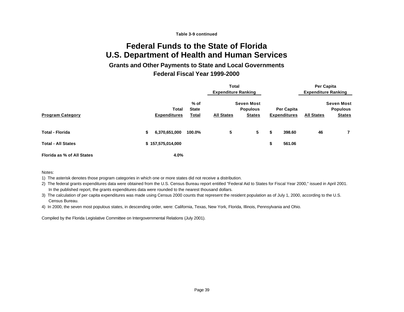**Table 3-9 continued**

# **Federal Funds to the State of Florida U.S. Department of Health and Human Services**

### **Grants and Other Payments to State and Local Governments**

### **Federal Fiscal Year 1999-2000**

|                            |                              |                                 | <b>Total</b><br><b>Expenditure Ranking</b> |                                                       |    |                                          | Per Capita<br><b>Expenditure Ranking</b> |                                                       |  |
|----------------------------|------------------------------|---------------------------------|--------------------------------------------|-------------------------------------------------------|----|------------------------------------------|------------------------------------------|-------------------------------------------------------|--|
| <b>Program Category</b>    | Total<br><b>Expenditures</b> | $%$ of<br><b>State</b><br>Total | <b>All States</b>                          | <b>Seven Most</b><br><b>Populous</b><br><b>States</b> |    | <b>Per Capita</b><br><b>Expenditures</b> | <b>All States</b>                        | <b>Seven Most</b><br><b>Populous</b><br><b>States</b> |  |
| <b>Total - Florida</b>     | \$<br>6,370,651,000          | 100.0%                          | 5                                          | 5                                                     | \$ | 398.60                                   | 46                                       | 7                                                     |  |
| <b>Total - All States</b>  | \$157,575,014,000            |                                 |                                            |                                                       | \$ | 561.06                                   |                                          |                                                       |  |
| Florida as % of All States | 4.0%                         |                                 |                                            |                                                       |    |                                          |                                          |                                                       |  |

Notes:

1) The asterisk denotes those program categories in which one or more states did not receive a distribution.

2) The federal grants expenditures data were obtained from the U.S. Census Bureau report entitled "Federal Aid to States for Fiscal Year 2000," issued in April 2001. In the published report, the grants expenditures data were rounded to the nearest thousand dollars.

3) The calculation of per capita expenditures was made using Census 2000 counts that represent the resident population as of July 1, 2000, according to the U.S. Census Bureau.

4) In 2000, the seven most populous states, in descending order, were: California, Texas, New York, Florida, Illinois, Pennsylvania and Ohio.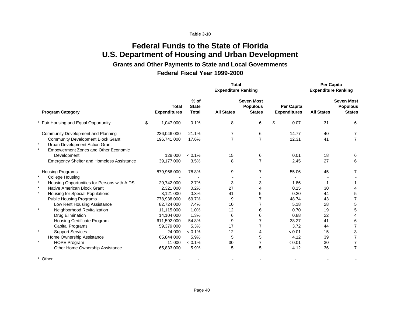# **Federal Funds to the State of Florida U.S. Department of Housing and Urban Development**

# **Grants and Other Payments to State and Local Governments**

**Federal Fiscal Year 1999-2000**

|                                                        |    |                                     |                                        | <b>Total</b><br><b>Expenditure Ranking</b> |                                                       |                                   |        | Per Capita<br><b>Expenditure Ranking</b> |                                                       |  |
|--------------------------------------------------------|----|-------------------------------------|----------------------------------------|--------------------------------------------|-------------------------------------------------------|-----------------------------------|--------|------------------------------------------|-------------------------------------------------------|--|
| <b>Program Category</b>                                |    | <b>Total</b><br><b>Expenditures</b> | $%$ of<br><b>State</b><br><b>Total</b> | <b>All States</b>                          | <b>Seven Most</b><br><b>Populous</b><br><b>States</b> | Per Capita<br><b>Expenditures</b> |        | <b>All States</b>                        | <b>Seven Most</b><br><b>Populous</b><br><b>States</b> |  |
| Fair Housing and Equal Opportunity                     | \$ | 1,047,000                           | 0.1%                                   | 8                                          | 6                                                     | \$                                | 0.07   | 31                                       | 6                                                     |  |
| Community Development and Planning                     |    | 236,046,000                         | 21.1%                                  | 7                                          | 6                                                     |                                   | 14.77  | 40                                       |                                                       |  |
| <b>Community Development Block Grant</b>               |    | 196,741,000                         | 17.6%                                  | $\overline{7}$                             | $\overline{7}$                                        |                                   | 12.31  | 41                                       | 7                                                     |  |
| $\star$<br>Urban Development Action Grant              |    |                                     |                                        |                                            |                                                       |                                   |        |                                          |                                                       |  |
| $\star$<br><b>Empowerment Zones and Other Economic</b> |    |                                     |                                        |                                            |                                                       |                                   |        |                                          |                                                       |  |
| Development                                            |    | 128,000                             | $< 0.1\%$                              | 15                                         | 6                                                     |                                   | 0.01   | 18                                       | 6                                                     |  |
| <b>Emergency Shelter and Homeless Assistance</b>       |    | 39,177,000                          | 3.5%                                   | 8                                          | $\overline{7}$                                        |                                   | 2.45   | 27                                       | 6                                                     |  |
| <b>Housing Programs</b>                                |    | 879,966,000                         | 78.8%                                  | 9                                          | $\overline{7}$                                        |                                   | 55.06  | 45                                       | 7                                                     |  |
| $\star$<br>College Housing                             |    |                                     |                                        |                                            |                                                       |                                   |        |                                          |                                                       |  |
| $\star$<br>Housing Opportunities for Persons with AIDS |    | 29,742,000                          | 2.7%                                   | 3                                          | 3                                                     |                                   | 1.86   |                                          |                                                       |  |
| $\star$<br>Native American Block Grant                 |    | 2,321,000                           | 0.2%                                   | 27                                         | 4                                                     |                                   | 0.15   | 30                                       |                                                       |  |
| $\star$<br>Housing for Special Populations             |    | 3,121,000                           | 0.3%                                   | 41                                         | 5                                                     |                                   | 0.20   | 44                                       |                                                       |  |
| <b>Public Housing Programs</b>                         |    | 778,938,000                         | 69.7%                                  | 9                                          |                                                       |                                   | 48.74  | 43                                       |                                                       |  |
| Low Rent Housing Assistance                            |    | 82,724,000                          | 7.4%                                   | 10                                         |                                                       |                                   | 5.18   | 28                                       | 5                                                     |  |
| $\star$<br>Neighborhood Revitalization                 |    | 11,115,000                          | 1.0%                                   | 12                                         | 6                                                     |                                   | 0.70   | 19                                       | 5                                                     |  |
| Drug Elimination                                       |    | 14,104,000                          | 1.3%                                   | 6                                          | 6                                                     |                                   | 0.88   | 22                                       |                                                       |  |
| Housing Certificate Program                            |    | 611,592,000                         | 54.8%                                  | 9                                          | 7                                                     |                                   | 38.27  | 41                                       | 6                                                     |  |
| Capital Programs                                       |    | 59,379,000                          | 5.3%                                   | 17                                         |                                                       |                                   | 3.72   | 44                                       |                                                       |  |
| <b>Support Services</b>                                |    | 24,000                              | $< 0.1\%$                              | 12                                         | 4                                                     |                                   | < 0.01 | 15                                       | 3                                                     |  |
| Home Ownership Assistance                              |    | 65,844,000                          | 5.9%                                   | 5                                          | 5                                                     |                                   | 4.12   | 39                                       |                                                       |  |
| $\star$<br>HOPE Program                                |    | 11,000                              | $< 0.1\%$                              | 30                                         | 7                                                     |                                   | < 0.01 | 30                                       |                                                       |  |
| Other Home Ownership Assistance                        |    | 65,833,000                          | 5.9%                                   | 5                                          | 5                                                     |                                   | 4.12   | 36                                       | 7                                                     |  |
| *<br>Other                                             |    |                                     |                                        |                                            |                                                       |                                   |        |                                          |                                                       |  |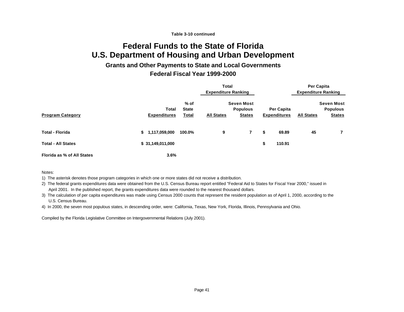**Table 3-10 continued**

# **Federal Funds to the State of Florida U.S. Department of Housing and Urban Development**

### **Grants and Other Payments to State and Local Governments**

### **Federal Fiscal Year 1999-2000**

|                            |                              |                                        | <b>Total</b><br><b>Expenditure Ranking</b> |                                                       |                                   | Per Capita<br><b>Expenditure Ranking</b> |                                                       |
|----------------------------|------------------------------|----------------------------------------|--------------------------------------------|-------------------------------------------------------|-----------------------------------|------------------------------------------|-------------------------------------------------------|
| <b>Program Category</b>    | Total<br><b>Expenditures</b> | $%$ of<br><b>State</b><br><b>Total</b> | <b>All States</b>                          | <b>Seven Most</b><br><b>Populous</b><br><b>States</b> | Per Capita<br><b>Expenditures</b> | <b>All States</b>                        | <b>Seven Most</b><br><b>Populous</b><br><b>States</b> |
| <b>Total - Florida</b>     | \$<br>1,117,059,000          | 100.0%                                 | 9                                          | $\overline{7}$                                        | \$<br>69.89                       | 45                                       | 7                                                     |
| <b>Total - All States</b>  | \$ 31,149,011,000            |                                        |                                            |                                                       | \$<br>110.91                      |                                          |                                                       |
| Florida as % of All States | 3.6%                         |                                        |                                            |                                                       |                                   |                                          |                                                       |

Notes:

1) The asterisk denotes those program categories in which one or more states did not receive a distribution.

2) The federal grants expenditures data were obtained from the U.S. Census Bureau report entitled "Federal Aid to States for Fiscal Year 2000," issued in April 2001. In the published report, the grants expenditures data were rounded to the nearest thousand dollars.

3) The calculation of per capita expenditures was made using Census 2000 counts that represent the resident population as of April 1, 2000, according to the U.S. Census Bureau.

4) In 2000, the seven most populous states, in descending order, were: California, Texas, New York, Florida, Illinois, Pennsylvania and Ohio.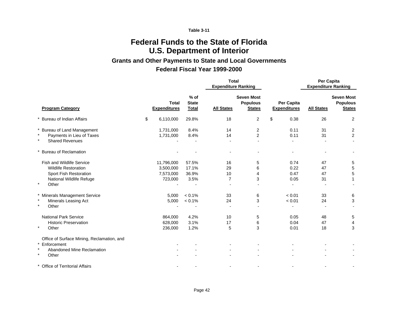# **Federal Funds to the State of Florida U.S. Department of Interior**

# **Grants and Other Payments to State and Local Governments**

## **Federal Fiscal Year 1999-2000**

|                                                                                                                                           |                                                 |                                        | <b>Total</b><br><b>Expenditure Ranking</b> |                                                       |                                   | Per Capita<br><b>Expenditure Ranking</b> |                                                       |
|-------------------------------------------------------------------------------------------------------------------------------------------|-------------------------------------------------|----------------------------------------|--------------------------------------------|-------------------------------------------------------|-----------------------------------|------------------------------------------|-------------------------------------------------------|
| <b>Program Category</b>                                                                                                                   | <b>Total</b><br><b>Expenditures</b>             | $%$ of<br><b>State</b><br><b>Total</b> | <b>All States</b>                          | <b>Seven Most</b><br><b>Populous</b><br><b>States</b> | Per Capita<br><b>Expenditures</b> | <b>All States</b>                        | <b>Seven Most</b><br><b>Populous</b><br><b>States</b> |
| <b>Bureau of Indian Affairs</b>                                                                                                           | \$<br>6,110,000                                 | 29.8%                                  | 18                                         | $\overline{\mathbf{c}}$                               | \$<br>0.38                        | 26                                       | $\overline{2}$                                        |
| Bureau of Land Management<br>$\star$<br>Payments in Lieu of Taxes<br>$\star$<br><b>Shared Revenues</b>                                    | 1,731,000<br>1,731,000                          | 8.4%<br>8.4%                           | 14<br>14<br>۰                              | 2<br>$\overline{2}$<br>$\blacksquare$                 | 0.11<br>0.11                      | 31<br>31                                 | $\boldsymbol{2}$<br>$\overline{2}$                    |
| <b>Bureau of Reclamation</b>                                                                                                              |                                                 |                                        |                                            |                                                       |                                   |                                          |                                                       |
| <b>Fish and Wildlife Service</b><br><b>Wildlife Restoration</b><br>Sport Fish Restoration<br>National Wildlife Refuge<br>$\star$<br>Other | 11,796,000<br>3,500,000<br>7,573,000<br>723,000 | 57.5%<br>17.1%<br>36.9%<br>3.5%        | 16<br>29<br>10<br>$\overline{7}$           | 5<br>6<br>$\overline{\mathbf{4}}$<br>3                | 0.74<br>0.22<br>0.47<br>0.05      | 47<br>47<br>47<br>31                     | 5<br>5<br>5<br>$\mathbf{1}$                           |
| * Minerals Management Service<br>$\star$<br>Minerals Leasing Act<br>$\star$<br>Other                                                      | 5,000<br>5,000                                  | $< 0.1\%$<br>$< 0.1\%$                 | 33<br>24<br>$\overline{\phantom{a}}$       | 6<br>3                                                | < 0.01<br>< 0.01                  | 33<br>24                                 | 6<br>3                                                |
| <b>National Park Service</b><br><b>Historic Preservation</b><br>$\star$<br>Other                                                          | 864,000<br>628,000<br>236,000                   | 4.2%<br>3.1%<br>1.2%                   | 10<br>17<br>5                              | 5<br>6<br>3                                           | 0.05<br>0.04<br>0.01              | 48<br>47<br>18                           | 5<br>4<br>3                                           |
| Office of Surface Mining, Reclamation, and<br>$\star$<br>Enforcement<br>$\star$<br>Abandoned Mine Reclamation<br>$\star$<br>Other         |                                                 |                                        |                                            |                                                       |                                   |                                          |                                                       |
| <b>Office of Territorial Affairs</b>                                                                                                      |                                                 |                                        |                                            |                                                       |                                   |                                          |                                                       |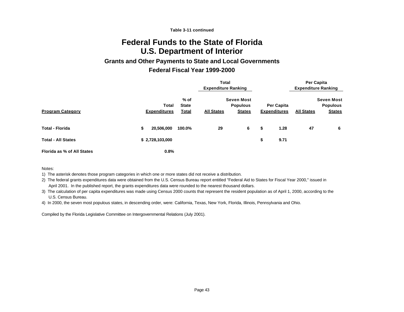**Table 3-11 continued**

# **Federal Funds to the State of Florida U.S. Department of Interior**

# **Grants and Other Payments to State and Local Governments**

## **Federal Fiscal Year 1999-2000**

|                                   |                     |                                                 | <b>Total</b><br><b>Expenditure Ranking</b> |                                                       | <b>Per Capita</b><br><b>Expenditure Ranking</b> |                   |                                                       |
|-----------------------------------|---------------------|-------------------------------------------------|--------------------------------------------|-------------------------------------------------------|-------------------------------------------------|-------------------|-------------------------------------------------------|
| <b>Program Category</b>           | <b>Expenditures</b> | $%$ of<br><b>Total</b><br><b>State</b><br>Total | <b>All States</b>                          | <b>Seven Most</b><br><b>Populous</b><br><b>States</b> | <b>Per Capita</b><br><b>Expenditures</b>        | <b>All States</b> | <b>Seven Most</b><br><b>Populous</b><br><b>States</b> |
| <b>Total - Florida</b>            | \$<br>20,506,000    | 100.0%                                          | 29                                         | 6                                                     | \$<br>1.28                                      | 47                | 6                                                     |
| <b>Total - All States</b>         | \$2,728,103,000     |                                                 |                                            |                                                       | \$<br>9.71                                      |                   |                                                       |
| <b>Florida as % of All States</b> |                     | 0.8%                                            |                                            |                                                       |                                                 |                   |                                                       |

Notes:

1) The asterisk denotes those program categories in which one or more states did not receive a distribution.

2) The federal grants expenditures data were obtained from the U.S. Census Bureau report entitled "Federal Aid to States for Fiscal Year 2000," issued in April 2001. In the published report, the grants expenditures data were rounded to the nearest thousand dollars.

3) The calculation of per capita expenditures was made using Census 2000 counts that represent the resident population as of April 1, 2000, according to the U.S. Census Bureau.

4) In 2000, the seven most populous states, in descending order, were: California, Texas, New York, Florida, Illinois, Pennsylvania and Ohio.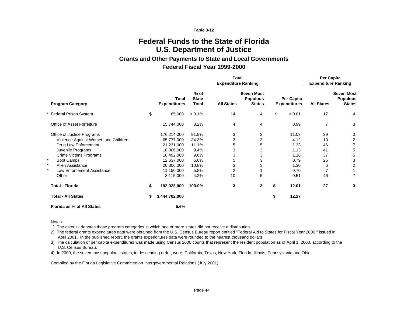## **Federal Funds to the State of Florida U.S. Department of Justice**

### **Grants and Other Payments to State and Local Governments Federal Fiscal Year 1999-2000**

|                                      |    |                                     |                                        | <b>Total</b><br><b>Expenditure Ranking</b> |                                                       |                                   |        | Per Capita<br><b>Expenditure Ranking</b> |                                                       |  |
|--------------------------------------|----|-------------------------------------|----------------------------------------|--------------------------------------------|-------------------------------------------------------|-----------------------------------|--------|------------------------------------------|-------------------------------------------------------|--|
| <b>Program Category</b>              |    | <b>Total</b><br><b>Expenditures</b> | $%$ of<br><b>State</b><br><b>Total</b> | <b>All States</b>                          | <b>Seven Most</b><br><b>Populous</b><br><b>States</b> | Per Capita<br><b>Expenditures</b> |        | <b>All States</b>                        | <b>Seven Most</b><br><b>Populous</b><br><b>States</b> |  |
| <b>Federal Prison System</b>         | \$ | 65,000                              | $< 0.1\%$                              | 14                                         | 4                                                     | \$                                | < 0.01 | 17                                       | 4                                                     |  |
| Office of Asset Forfeiture           |    | 15,744,000                          | 8.2%                                   | 4                                          | 4                                                     |                                   | 0.99   | $\overline{7}$                           | 3                                                     |  |
| Office of Justice Programs           |    | 176,214,000                         | 91.8%                                  | 3                                          | 3                                                     |                                   | 11.03  | 29                                       | 3                                                     |  |
| Violence Against Women and Children  |    | 65,777,000                          | 34.3%                                  | 3                                          | 3                                                     |                                   | 4.12   | 10                                       | $\overline{c}$                                        |  |
| Drug Law Enforcement                 |    | 21,231,000                          | 11.1%                                  | 5                                          | 5                                                     |                                   | 1.33   | 46                                       | $\overline{7}$                                        |  |
| Juvenile Programs                    |    | 18,006,000                          | 9.4%                                   | 3                                          | 3                                                     |                                   | 1.13   | 41                                       | 5                                                     |  |
| <b>Crime Victims Programs</b>        |    | 18,492,000                          | 9.6%                                   | 3                                          | 3                                                     |                                   | 1.16   | 37                                       | 5                                                     |  |
| $^\star$<br><b>Boot Camps</b>        |    | 12,637,000                          | 6.6%                                   | 5                                          | 3                                                     |                                   | 0.79   | 25                                       | 3                                                     |  |
| $\star$<br>Alien Assistance          |    | 20,806,000                          | 10.8%                                  | 3                                          | 3                                                     |                                   | 1.30   | 6                                        | $\boldsymbol{2}$                                      |  |
| $\ast$<br>Law Enforcement Assistance |    | 11,150,000                          | 5.8%                                   | 2                                          |                                                       |                                   | 0.70   |                                          |                                                       |  |
| Other                                |    | 8,115,000                           | 4.2%                                   | 10                                         | 5                                                     |                                   | 0.51   | 46                                       | $\overline{7}$                                        |  |
| <b>Total - Florida</b>               | \$ | 192,023,000                         | 100.0%                                 | 3                                          | 3                                                     | \$                                | 12.01  | 27                                       | 3                                                     |  |
| <b>Total - All States</b>            | S. | 3,444,702,000                       |                                        |                                            |                                                       | \$                                | 12.27  |                                          |                                                       |  |
| Florida as % of All States           |    | 5.6%                                |                                        |                                            |                                                       |                                   |        |                                          |                                                       |  |

Notes:

1) The asterisk denotes those program categories in which one or more states did not receive a distribution.

2) The federal grants expenditures data were obtained from the U.S. Census Bureau report entitled "Federal Aid to States for Fiscal Year 2000," issued in April 2001. In the published report, the grants expenditures data were rounded to the nearest thousand dollars.

3) The calculation of per capita expenditures was made using Census 2000 counts that represent the resident population as of April 1, 2000, according to the U.S. Census Bureau.

4) In 2000, the seven most populous states, in descending order, were: California, Texas, New York, Florida, Illinois, Pennsylvania and Ohio.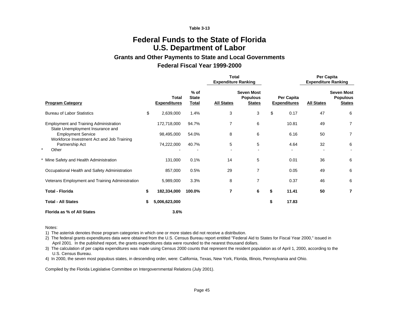# **Federal Funds to the State of Florida U.S. Department of Labor**

### **Grants and Other Payments to State and Local Governments Federal Fiscal Year 1999-2000**

|                                                                                   |                              |                                        | <b>Total</b><br><b>Expenditure Ranking</b> |                                                       |    |                                   | Per Capita<br><b>Expenditure Ranking</b> |                                                       |
|-----------------------------------------------------------------------------------|------------------------------|----------------------------------------|--------------------------------------------|-------------------------------------------------------|----|-----------------------------------|------------------------------------------|-------------------------------------------------------|
| <b>Program Category</b>                                                           | Total<br><b>Expenditures</b> | $%$ of<br><b>State</b><br><u>Total</u> | <b>All States</b>                          | <b>Seven Most</b><br><b>Populous</b><br><b>States</b> |    | Per Capita<br><b>Expenditures</b> | <b>All States</b>                        | <b>Seven Most</b><br><b>Populous</b><br><b>States</b> |
| <b>Bureau of Labor Statistics</b>                                                 | \$<br>2,639,000              | 1.4%                                   | 3                                          | 3                                                     | \$ | 0.17                              | 47                                       | 6                                                     |
| <b>Employment and Training Administration</b><br>State Unemployment Insurance and | 172,718,000                  | 94.7%                                  | 7                                          | 6                                                     |    | 10.81                             | 49                                       | 7                                                     |
| <b>Employment Service</b><br>Workforce Investment Act and Job Training            | 98,495,000                   | 54.0%                                  | 8                                          | 6                                                     |    | 6.16                              | 50                                       | $\overline{7}$                                        |
| Partnership Act<br>Other                                                          | 74,222,000                   | 40.7%                                  | 5                                          | 5                                                     |    | 4.64                              | 32                                       | 6                                                     |
| Mine Safety and Health Administration                                             | 131,000                      | 0.1%                                   | 14                                         | 5                                                     |    | 0.01                              | 36                                       | 6                                                     |
| Occupational Health and Safety Administration                                     | 857,000                      | 0.5%                                   | 29                                         | $\overline{7}$                                        |    | 0.05                              | 49                                       | 6                                                     |
| Veterans Employment and Training Administration                                   | 5,989,000                    | 3.3%                                   | 8                                          | $\overline{7}$                                        |    | 0.37                              | 46                                       | 6                                                     |
| <b>Total - Florida</b>                                                            | \$<br>182,334,000            | 100.0%                                 | 7                                          | 6                                                     | \$ | 11.41                             | 50                                       | $\overline{7}$                                        |
| <b>Total - All States</b>                                                         | \$<br>5,006,623,000          |                                        |                                            |                                                       | \$ | 17.83                             |                                          |                                                       |
| Florida as % of All States                                                        | 3.6%                         |                                        |                                            |                                                       |    |                                   |                                          |                                                       |

Notes:

1) The asterisk denotes those program categories in which one or more states did not receive a distribution.

2) The federal grants expenditures data were obtained from the U.S. Census Bureau report entitled "Federal Aid to States for Fiscal Year 2000," issued in April 2001. In the published report, the grants expenditures data were rounded to the nearest thousand dollars.

3) The calculation of per capita expenditures was made using Census 2000 counts that represent the resident population as of April 1, 2000, according to the U.S. Census Bureau.

4) In 2000, the seven most populous states, in descending order, were: California, Texas, New York, Florida, Illinois, Pennsylvania and Ohio.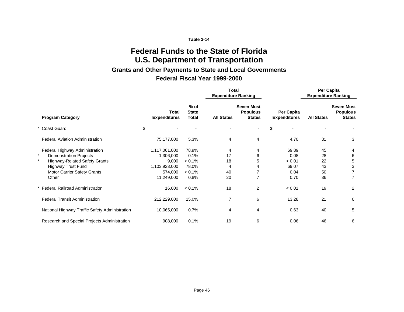# **Federal Funds to the State of Florida U.S. Department of Transportation**

## **Grants and Other Payments to State and Local Governments**

## **Federal Fiscal Year 1999-2000**

|                                                 |                              |                               | <b>Total</b><br><b>Expenditure Ranking</b> |                                                       |                                   | Per Capita<br><b>Expenditure Ranking</b> |                                                       |  |
|-------------------------------------------------|------------------------------|-------------------------------|--------------------------------------------|-------------------------------------------------------|-----------------------------------|------------------------------------------|-------------------------------------------------------|--|
| <b>Program Category</b>                         | Total<br><b>Expenditures</b> | % of<br><b>State</b><br>Total | <b>All States</b>                          | <b>Seven Most</b><br><b>Populous</b><br><b>States</b> | Per Capita<br><b>Expenditures</b> | <b>All States</b>                        | <b>Seven Most</b><br><b>Populous</b><br><b>States</b> |  |
| * Coast Guard                                   | \$                           |                               |                                            | $\blacksquare$                                        | \$<br>$\blacksquare$              |                                          |                                                       |  |
| <b>Federal Aviation Administration</b>          | 75,177,000                   | 5.3%                          | 4                                          | 4                                                     | 4.70                              | 31                                       | 3                                                     |  |
| Federal Highway Administration                  | 1,117,061,000                | 78.9%                         | 4                                          | 4                                                     | 69.89                             | 45                                       | 4                                                     |  |
| <b>Demonstration Projects</b>                   | 1,306,000                    | 0.1%                          | 17                                         | 6                                                     | 0.08                              | 28                                       | 6                                                     |  |
| $\star$<br><b>Highway-Related Safety Grants</b> | 9,000                        | $< 0.1\%$                     | 18                                         | 5                                                     | < 0.01                            | 22                                       | 5                                                     |  |
| Highway Trust Fund                              | 1,103,923,000                | 78.0%                         | 4                                          | 4                                                     | 69.07                             | 43                                       | 3                                                     |  |
| <b>Motor Carrier Safety Grants</b>              | 574,000                      | $< 0.1\%$                     | 40                                         |                                                       | 0.04                              | 50                                       | 7                                                     |  |
| Other                                           | 11,249,000                   | 0.8%                          | 20                                         | 7                                                     | 0.70                              | 36                                       | 7                                                     |  |
| * Federal Railroad Administration               | 16,000                       | $< 0.1\%$                     | 18                                         | $\overline{2}$                                        | < 0.01                            | 19                                       | 2                                                     |  |
| <b>Federal Transit Administration</b>           | 212,229,000                  | 15.0%                         | 7                                          | 6                                                     | 13.28                             | 21                                       | 6                                                     |  |
| National Highway Traffic Safety Administration  | 10,065,000                   | 0.7%                          | 4                                          | 4                                                     | 0.63                              | 40                                       | 5                                                     |  |
| Research and Special Projects Administration    | 908,000                      | 0.1%                          | 19                                         | 6                                                     | 0.06                              | 46                                       | 6                                                     |  |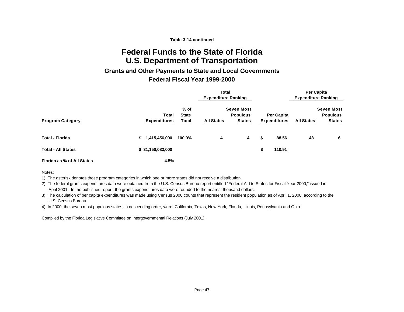**Table 3-14 continued**

# **Federal Funds to the State of Florida U.S. Department of Transportation**

### **Grants and Other Payments to State and Local Governments**

### **Federal Fiscal Year 1999-2000**

| <b>Program Category</b>    |                                     |                                 | <b>Total</b><br><b>Expenditure Ranking</b> |                                                       | Per Capita<br><b>Expenditure Ranking</b> |                   |                                                       |
|----------------------------|-------------------------------------|---------------------------------|--------------------------------------------|-------------------------------------------------------|------------------------------------------|-------------------|-------------------------------------------------------|
|                            | <b>Total</b><br><b>Expenditures</b> | $%$ of<br><b>State</b><br>Total | <b>All States</b>                          | <b>Seven Most</b><br><b>Populous</b><br><b>States</b> | <b>Per Capita</b><br><b>Expenditures</b> | <b>All States</b> | <b>Seven Most</b><br><b>Populous</b><br><b>States</b> |
| <b>Total - Florida</b>     | 1,415,456,000<br>\$                 | 100.0%                          | 4                                          | $\overline{4}$                                        | \$<br>88.56                              | 48                | 6                                                     |
| <b>Total - All States</b>  | \$31,150,083,000                    |                                 |                                            |                                                       | \$<br>110.91                             |                   |                                                       |
| Florida as % of All States | 4.5%                                |                                 |                                            |                                                       |                                          |                   |                                                       |

Notes:

1) The asterisk denotes those program categories in which one or more states did not receive a distribution.

2) The federal grants expenditures data were obtained from the U.S. Census Bureau report entitled "Federal Aid to States for Fiscal Year 2000," issued in April 2001. In the published report, the grants expenditures data were rounded to the nearest thousand dollars.

3) The calculation of per capita expenditures was made using Census 2000 counts that represent the resident population as of April 1, 2000, according to the U.S. Census Bureau.

4) In 2000, the seven most populous states, in descending order, were: California, Texas, New York, Florida, Illinois, Pennsylvania and Ohio.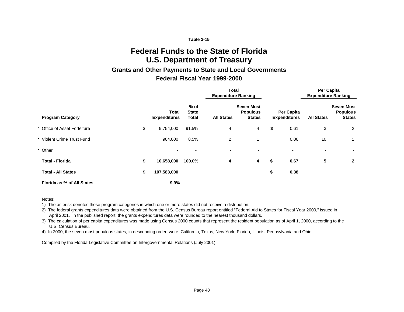# **Federal Funds to the State of Florida U.S. Department of Treasury**

### **Grants and Other Payments to State and Local Governments**

### **Federal Fiscal Year 1999-2000**

|                              |                                     |                                        | <b>Total</b><br><b>Expenditure Ranking</b> |                                                       |                                   | Per Capita<br><b>Expenditure Ranking</b> |                                                       |
|------------------------------|-------------------------------------|----------------------------------------|--------------------------------------------|-------------------------------------------------------|-----------------------------------|------------------------------------------|-------------------------------------------------------|
| <b>Program Category</b>      | <b>Total</b><br><b>Expenditures</b> | $%$ of<br><b>State</b><br><b>Total</b> | <b>All States</b>                          | <b>Seven Most</b><br><b>Populous</b><br><b>States</b> | Per Capita<br><b>Expenditures</b> | <b>All States</b>                        | <b>Seven Most</b><br><b>Populous</b><br><b>States</b> |
| * Office of Asset Forfeiture | \$<br>9,754,000                     | 91.5%                                  | 4                                          | 4                                                     | \$<br>0.61                        | 3                                        | 2                                                     |
| * Violent Crime Trust Fund   | 904,000                             | 8.5%                                   | 2                                          |                                                       | 0.06                              | 10                                       | 1                                                     |
| ¥<br>Other                   | $\overline{\phantom{0}}$            | $\overline{\phantom{0}}$               |                                            | $\blacksquare$                                        | $\overline{\phantom{0}}$          |                                          |                                                       |
| <b>Total - Florida</b>       | \$<br>10,658,000                    | 100.0%                                 | 4                                          | 4                                                     | \$<br>0.67                        | 5                                        | $\mathbf{2}$                                          |
| <b>Total - All States</b>    | \$<br>107,583,000                   |                                        |                                            |                                                       | \$<br>0.38                        |                                          |                                                       |
| Florida as % of All States   | 9.9%                                |                                        |                                            |                                                       |                                   |                                          |                                                       |

### Notes:

1) The asterisk denotes those program categories in which one or more states did not receive a distribution.

2) The federal grants expenditures data were obtained from the U.S. Census Bureau report entitled "Federal Aid to States for Fiscal Year 2000," issued in April 2001. In the published report, the grants expenditures data were rounded to the nearest thousand dollars.

3) The calculation of per capita expenditures was made using Census 2000 counts that represent the resident population as of April 1, 2000, according to the U.S. Census Bureau.

4) In 2000, the seven most populous states, in descending order, were: California, Texas, New York, Florida, Illinois, Pennsylvania and Ohio.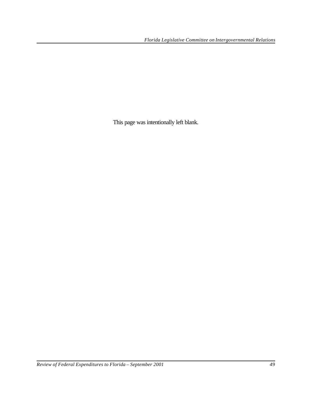This page was intentionally left blank.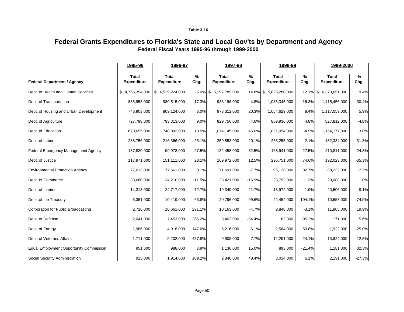## **Federal Grants Expenditures to Florida's State and Local Gov'ts by Department and Agency Federal Fiscal Years 1995-96 through 1999-2000**

|                                                | 1995-96                            | 1996-97                            |              | 1997-98                            |           | 1998-99                            |           | 1999-2000                          |              |
|------------------------------------------------|------------------------------------|------------------------------------|--------------|------------------------------------|-----------|------------------------------------|-----------|------------------------------------|--------------|
| <b>Federal Department / Agency</b>             | <b>Total</b><br><b>Expenditure</b> | <b>Total</b><br><b>Expenditure</b> | $\%$<br>Chg. | <b>Total</b><br><b>Expenditure</b> | %<br>Chg. | <b>Total</b><br><b>Expenditure</b> | %<br>Chg. | <b>Total</b><br><b>Expenditure</b> | $\%$<br>Chg. |
| Dept. of Health and Human Services             | 4,765,354,000<br>S.                | \$4,529,224,000                    | $-5.0\%$ \$  | 5,197,789,000                      | 14.8%     | \$5,825,280,000                    |           | 12.1% \$ 6,370,651,000             | 9.4%         |
| Dept. of Transportation                        | 835,953,000                        | 980,515,000                        | 17.3%        | 933,196,000                        | $-4.8%$   | 1,085,345,000                      | 16.3%     | 1,415,456,000                      | 30.4%        |
| Dept. of Housing and Urban Development         | 748,903,000                        | 809,124,000                        | 8.0%         | 973,312,000                        | 20.3%     | 1,054,629,000                      | 8.4%      | 1,117,059,000                      | 5.9%         |
| Dept. of Agriculture                           | 727,798,000                        | 793,313,000                        | 9.0%         | 829,750,000                        | 4.6%      | 869,936,000                        | 4.8%      | 827,812,000                        | $-4.8%$      |
| Dept. of Education                             | 670,655,000                        | 740,893,000                        | 10.5%        | 1,074,145,000                      | 45.0%     | 1,021,054,000                      | $-4.9%$   | 1,154,177,000                      | 13.0%        |
| Dept. of Labor                                 | 288,756,000                        | 216,366,000                        | $-25.1%$     | 259,853,000                        | 20.1%     | 265,255,000                        | 2.1%      | 182,334,000                        | $-31.3%$     |
| <b>Federal Emergency Management Agency</b>     | 137,820,000                        | 99,978,000                         | $-27.5%$     | 132,458,000                        | 32.5%     | 168,941,000                        | 27.5%     | 210,811,000                        | 24.8%        |
| Dept. of Justice                               | 117,971,000                        | 151,111,000                        | 28.1%        | 169,972,000                        | 12.5%     | 296,751,000                        | 74.6%     | 192,023,000                        | $-35.3%$     |
| <b>Environmental Protection Agency</b>         | 77,613,000                         | 77,661,000                         | 0.1%         | 71,691,000                         | $-7.7%$   | 95,128,000                         | 32.7%     | 88,232,000                         | $-7.2%$      |
| Dept. of Commerce                              | 38,660,000                         | 34,210,000                         | $-11.5%$     | 28,421,000                         | $-16.9%$  | 28,792,000                         | 1.3%      | 29,088,000                         | 1.0%         |
| Dept. of Interior                              | 14,313,000                         | 24,717,000                         | 72.7%        | 19,349,000                         | $-21.7%$  | 18,972,000                         | $-1.9%$   | 20,506,000                         | 8.1%         |
| Dept. of the Treasury                          | 6,361,000                          | 10,419,000                         | 63.8%        | 20,796,000                         | 99.6%     | 42,454,000                         | 104.1%    | 10,658,000                         | $-74.9%$     |
| Corporation for Public Broadcasting            | 2,726,000                          | 10,661,000                         | 291.1%       | 10,163,000                         | $-4.7%$   | 9,848,000                          | $-3.1%$   | 11,805,000                         | 19.9%        |
| Dept. of Defense                               | 2,041,000                          | 7,453,000                          | 265.2%       | 3,402,000                          | $-54.4%$  | 162,000                            | $-95.2%$  | 171,000                            | 5.6%         |
| Dept. of Energy                                | 1,986,000                          | 4,918,000                          | 147.6%       | 5,216,000                          | 6.1%      | 2,564,000                          | $-50.8%$  | 1,922,000                          | $-25.0%$     |
| Dept. of Veterans Affairs                      | 1,711,000                          | 9,202,000                          | 437.8%       | 9,908,000                          | 7.7%      | 12,291,000                         | 24.1%     | 13,824,000                         | 12.5%        |
| <b>Equal Employment Opportunity Commission</b> | 951,000                            | 988,000                            | 3.9%         | 1,136,000                          | 15.0%     | 893,000                            | $-21.4%$  | 1,181,000                          | 32.3%        |
| Social Security Administration                 | 915,000                            | 1,914,000                          | 109.2%       | 2,840,000                          | 48.4%     | 3,014,000                          | 6.1%      | 2,191,000                          | $-27.3%$     |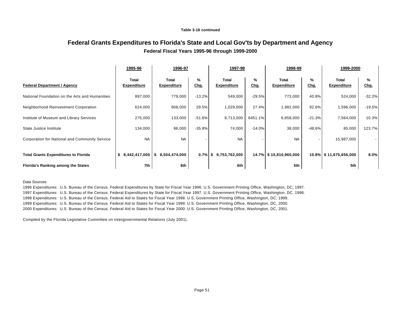#### **Table 3-16 continued**

### **Federal Grants Expenditures to Florida's State and Local Gov'ts by Department and Agency Federal Fiscal Years 1995-96 through 1999-2000**

|                                                | 1995-96                     | 1996-97                     |           | 1997-98                            |           | 1998-99                            |                          | 1999-2000                          |           |
|------------------------------------------------|-----------------------------|-----------------------------|-----------|------------------------------------|-----------|------------------------------------|--------------------------|------------------------------------|-----------|
| <b>Federal Department / Agency</b>             | Total<br><b>Expenditure</b> | Total<br><b>Expenditure</b> | %<br>Chg. | <b>Total</b><br><b>Expenditure</b> | %<br>Chg. | <b>Total</b><br><b>Expenditure</b> | %<br>Chg.                | <b>Total</b><br><b>Expenditure</b> | %<br>Chg. |
| National Foundation on the Arts and Humanities | 897,000                     | 779,000                     | $-13.2%$  | 549,000                            | $-29.5%$  | 773,000                            | 40.8%                    | 524,000                            | $-32.2%$  |
| Neighborhood Reinvestment Corporation          | 624,000                     | 808,000                     | 29.5%     | 1,029,000                          | 27.4%     | 1,982,000                          | 92.6%                    | 1,596,000                          | $-19.5%$  |
| Institute of Museum and Library Services       | 275,000                     | 133,000                     | $-51.6%$  | 8,713,000                          | 6451.1%   | 6,858,000                          | $-21.3%$                 | 7,564,000                          | 10.3%     |
| State Justice Institute                        | 134,000                     | 86,000                      | $-35.8%$  | 74,000                             | $-14.0%$  | 38,000                             | $-48.6%$                 | 85,000                             | 123.7%    |
| Corporation for National and Community Service | <b>NA</b>                   | <b>NA</b>                   |           | <b>NA</b>                          |           | <b>NA</b>                          | $\overline{\phantom{a}}$ | 15,987,000                         |           |
| <b>Total Grants Expenditures to Florida</b>    | 8,442,417,000<br>S.         | 8,504,474,000               | 0.7%      | 9,753,762,000<br>S.                |           | 14.7% \$10,810,960,000             |                          | 10.8% \$11,675,656,000             | 8.0%      |
| <b>Florida's Ranking among the States</b>      | 7th                         | 6th                         |           | 6th                                |           | 5th                                |                          | 5th                                |           |

Data Sources:

1996 Expenditures: U.S. Bureau of the Census. Federal Expenditures by State for Fiscal Year 1996. U.S. Government Printing Office, Washington, DC, 1997. 1997 Expenditures: U.S. Bureau of the Census. Federal Expenditures by State for Fiscal Year 1997. U.S. Government Printing Office, Washington, DC, 1998. 1998 Expenditures: U.S. Bureau of the Census. Federal Aid to States for Fiscal Year 1998. U.S. Government Printing Office, Washington, DC, 1999. 1999 Expenditures: U.S. Bureau of the Census. Federal Aid to States for Fiscal Year 1999. U.S. Government Printing Office, Washington, DC, 2000. 2000 Expenditures: U.S. Bureau of the Census. Federal Aid to States for Fiscal Year 2000. U.S. Government Printing Office, Washington, DC, 2001.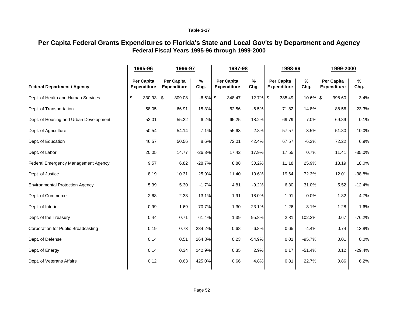## **Per Capita Federal Grants Expenditures to Florida's State and Local Gov'ts by Department and Agency Federal Fiscal Years 1995-96 through 1999-2000**

|                                            | 1995-96                                 | 1996-97                          |              | 1997-98                                 |                       | 1998-99                                 |                       | 1999-2000                        |           |  |
|--------------------------------------------|-----------------------------------------|----------------------------------|--------------|-----------------------------------------|-----------------------|-----------------------------------------|-----------------------|----------------------------------|-----------|--|
| <b>Federal Department / Agency</b>         | <b>Per Capita</b><br><b>Expenditure</b> | Per Capita<br><b>Expenditure</b> | $\%$<br>Chg. | <b>Per Capita</b><br><b>Expenditure</b> | $\frac{9}{6}$<br>Chg. | <b>Per Capita</b><br><b>Expenditure</b> | $\frac{9}{6}$<br>Chq. | Per Capita<br><b>Expenditure</b> | %<br>Chg. |  |
| Dept. of Health and Human Services         | \$<br>330.93                            | \$<br>309.08                     | $-6.6\%$ \$  | 348.47                                  | 12.7% \$              | 385.49                                  | $10.6\%$ \$           | 398.60                           | 3.4%      |  |
| Dept. of Transportation                    | 58.05                                   | 66.91                            | 15.3%        | 62.56                                   | $-6.5%$               | 71.82                                   | 14.8%                 | 88.56                            | 23.3%     |  |
| Dept. of Housing and Urban Development     | 52.01                                   | 55.22                            | 6.2%         | 65.25                                   | 18.2%                 | 69.79                                   | 7.0%                  | 69.89                            | 0.1%      |  |
| Dept. of Agriculture                       | 50.54                                   | 54.14                            | 7.1%         | 55.63                                   | 2.8%                  | 57.57                                   | 3.5%                  | 51.80                            | $-10.0%$  |  |
| Dept. of Education                         | 46.57                                   | 50.56                            | 8.6%         | 72.01                                   | 42.4%                 | 67.57                                   | $-6.2%$               | 72.22                            | 6.9%      |  |
| Dept. of Labor                             | 20.05                                   | 14.77                            | $-26.3%$     | 17.42                                   | 17.9%                 | 17.55                                   | 0.7%                  | 11.41                            | $-35.0%$  |  |
| <b>Federal Emergency Management Agency</b> | 9.57                                    | 6.82                             | $-28.7%$     | 8.88                                    | 30.2%                 | 11.18                                   | 25.9%                 | 13.19                            | 18.0%     |  |
| Dept. of Justice                           | 8.19                                    | 10.31                            | 25.9%        | 11.40                                   | 10.6%                 | 19.64                                   | 72.3%                 | 12.01                            | $-38.8%$  |  |
| <b>Environmental Protection Agency</b>     | 5.39                                    | 5.30                             | $-1.7%$      | 4.81                                    | $-9.2%$               | 6.30                                    | 31.0%                 | 5.52                             | $-12.4%$  |  |
| Dept. of Commerce                          | 2.68                                    | 2.33                             | $-13.1%$     | 1.91                                    | $-18.0%$              | 1.91                                    | 0.0%                  | 1.82                             | $-4.7%$   |  |
| Dept. of Interior                          | 0.99                                    | 1.69                             | 70.7%        | 1.30                                    | $-23.1%$              | 1.26                                    | $-3.1%$               | 1.28                             | 1.6%      |  |
| Dept. of the Treasury                      | 0.44                                    | 0.71                             | 61.4%        | 1.39                                    | 95.8%                 | 2.81                                    | 102.2%                | 0.67                             | $-76.2%$  |  |
| Corporation for Public Broadcasting        | 0.19                                    | 0.73                             | 284.2%       | 0.68                                    | $-6.8%$               | 0.65                                    | $-4.4%$               | 0.74                             | 13.8%     |  |
| Dept. of Defense                           | 0.14                                    | 0.51                             | 264.3%       | 0.23                                    | $-54.9%$              | 0.01                                    | $-95.7%$              | 0.01                             | 0.0%      |  |
| Dept. of Energy                            | 0.14                                    | 0.34                             | 142.9%       | 0.35                                    | 2.9%                  | 0.17                                    | $-51.4%$              | 0.12                             | $-29.4%$  |  |
| Dept. of Veterans Affairs                  | 0.12                                    | 0.63                             | 425.0%       | 0.66                                    | 4.8%                  | 0.81                                    | 22.7%                 | 0.86                             | 6.2%      |  |
|                                            |                                         |                                  |              |                                         |                       |                                         |                       |                                  |           |  |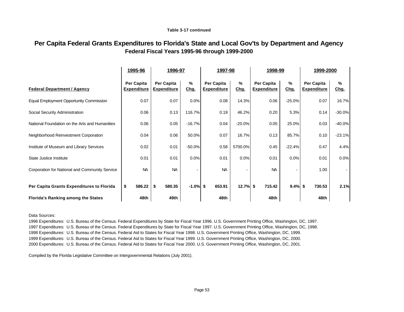### **Table 3-17 continued**

## **Per Capita Federal Grants Expenditures to Florida's State and Local Gov'ts by Department and Agency Federal Fiscal Years 1995-96 through 1999-2000**

|                                                | 1995-96                          | 1996-97                          |             | 1997-98                          |                       | 1998-99                          |            | 1999-2000                        |           |
|------------------------------------------------|----------------------------------|----------------------------------|-------------|----------------------------------|-----------------------|----------------------------------|------------|----------------------------------|-----------|
| <b>Federal Department / Agency</b>             | Per Capita<br><b>Expenditure</b> | Per Capita<br><b>Expenditure</b> | %<br>Chg.   | Per Capita<br><b>Expenditure</b> | $\frac{9}{6}$<br>Chg. | Per Capita<br><b>Expenditure</b> | %<br>Chg.  | Per Capita<br><b>Expenditure</b> | %<br>Chg. |
| Equal Employment Opportunity Commission        | 0.07                             | 0.07                             | 0.0%        | 0.08                             | 14.3%                 | 0.06                             | $-25.0%$   | 0.07                             | 16.7%     |
| Social Security Administration                 | 0.06                             | 0.13                             | 116.7%      | 0.19                             | 46.2%                 | 0.20                             | 5.3%       | 0.14                             | $-30.0%$  |
| National Foundation on the Arts and Humanities | 0.06                             | 0.05                             | $-16.7%$    | 0.04                             | $-20.0%$              | 0.05                             | 25.0%      | 0.03                             | $-40.0%$  |
| Neighborhood Reinvestment Corporation          | 0.04                             | 0.06                             | 50.0%       | 0.07                             | 16.7%                 | 0.13                             | 85.7%      | 0.10                             | $-23.1%$  |
| Institute of Museum and Library Services       | 0.02                             | 0.01                             | $-50.0%$    | 0.58                             | 5700.0%               | 0.45                             | $-22.4%$   | 0.47                             | 4.4%      |
| State Justice Institute                        | 0.01                             | 0.01                             | 0.0%        | 0.01                             | 0.0%                  | 0.01                             | 0.0%       | 0.01                             | 0.0%      |
| Corporation for National and Community Service | <b>NA</b>                        | <b>NA</b>                        |             | <b>NA</b>                        |                       | <b>NA</b>                        |            | 1.00                             |           |
| Per Capita Grants Expenditures to Florida      | \$<br>586.22                     | \$<br>580.35                     | $-1.0\%$ \$ | 653.91                           | $12.7%$ \$            | 715.42                           | $9.4\%$ \$ | 730.53                           | 2.1%      |
| <b>Florida's Ranking among the States</b>      | 48th                             | 49th                             |             | 48th                             |                       | 48th                             |            | 48th                             |           |

Data Sources:

1996 Expenditures: U.S. Bureau of the Census. Federal Expenditures by State for Fiscal Year 1996. U.S. Government Printing Office, Washington, DC, 1997.

1997 Expenditures: U.S. Bureau of the Census. Federal Expenditures by State for Fiscal Year 1997. U.S. Government Printing Office, Washington, DC, 1998.

1998 Expenditures: U.S. Bureau of the Census. Federal Aid to States for Fiscal Year 1998. U.S. Government Printing Office, Washington, DC, 1999.

1999 Expenditures: U.S. Bureau of the Census. Federal Aid to States for Fiscal Year 1999. U.S. Government Printing Office, Washington, DC, 2000.

2000 Expenditures: U.S. Bureau of the Census. Federal Aid to States for Fiscal Year 2000. U.S. Government Printing Office, Washington, DC, 2001.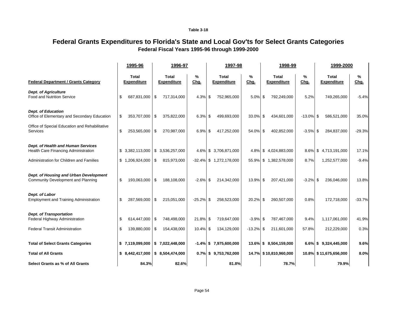### **Federal Grants Expenditures to Florida's State and Local Gov'ts for Select Grants Categories Federal Fiscal Years 1995-96 through 1999-2000**

|                                                                              |    | 1995-96                     |    | 1996-97                     |              | 1997-98 |                             |              | 1998-99 |                             |              | 1999-2000                   |           |
|------------------------------------------------------------------------------|----|-----------------------------|----|-----------------------------|--------------|---------|-----------------------------|--------------|---------|-----------------------------|--------------|-----------------------------|-----------|
| <b>Federal Department / Grants Category</b>                                  |    | Total<br><b>Expenditure</b> |    | Total<br><b>Expenditure</b> | %<br>Chg.    |         | Total<br><b>Expenditure</b> | %<br>Chg.    |         | Total<br><b>Expenditure</b> | %<br>Chg.    | Total<br><b>Expenditure</b> | %<br>Chg. |
| <b>Dept. of Agriculture</b><br><b>Food and Nutrition Service</b>             | \$ | 687,831,000                 | \$ | 717,314,000                 | $4.3\%$ \$   |         | 752,965,000                 | 5.0%         | \$      | 792,249,000                 | 5.2%         | 749,265,000                 | $-5.4%$   |
| <b>Dept. of Education</b><br>Office of Elementary and Secondary Education    | \$ | 353,707,000                 | \$ | 375,822,000                 | $6.3\%$ \$   |         | 499,693,000                 | 33.0% \$     |         | 434,601,000                 | $-13.0\%$ \$ | 586,521,000                 | 35.0%     |
| Office of Special Education and Rehabilitative<br><b>Services</b>            | \$ | 253,565,000                 | \$ | 270,987,000                 | $6.9\%$ \$   |         | 417,252,000                 | 54.0% \$     |         | 402,852,000                 | $-3.5\%$ \$  | 284,837,000                 | $-29.3%$  |
| Dept. of Health and Human Services<br>Health Care Financing Administration   | \$ | 3,382,113,000               |    | \$3,536,257,000             |              |         | 4.6% \$ 3,706,871,000       |              |         | 4.8% \$4,024,883,000        |              | 8.6% \$4,713,191,000        | 17.1%     |
| Administration for Children and Families                                     |    | \$1,206,924,000             | \$ | 815,973,000                 |              |         | $-32.4\%$ \$ 1,272,178,000  |              |         | 55.9% \$1,382,578,000       | 8.7%         | 1,252,577,000               | $-9.4%$   |
| Dept. of Housing and Urban Development<br>Community Development and Planning | \$ | 193,063,000                 | \$ | 188,108,000                 | $-2.6\%$ \$  |         | 214,342,000                 | 13.9% \$     |         | 207,421,000                 | $-3.2\%$ \$  | 236,046,000                 | 13.8%     |
| Dept. of Labor<br><b>Employment and Training Administration</b>              | \$ | 287,569,000                 | \$ | 215,051,000                 | $-25.2\%$ \$ |         | 258,523,000                 | $20.2\%$ \$  |         | 260,507,000                 | 0.8%         | 172,718,000                 | $-33.7%$  |
| <b>Dept. of Transportation</b><br>Federal Highway Administration             | \$ | 614.447.000                 | \$ | 748.498.000                 | 21.8% \$     |         | 719.647.000                 | $-3.9%$      | - \$    | 787.467.000                 | 9.4%         | 1.117.061.000               | 41.9%     |
| <b>Federal Transit Administration</b>                                        | \$ | 139,880,000                 | \$ | 154,438,000                 | 10.4% \$     |         | 134,129,000                 | $-13.2\%$ \$ |         | 211,601,000                 | 57.8%        | 212,229,000                 | 0.3%      |
| <b>Total of Select Grants Categories</b>                                     |    | \$7,119,099,000             |    | \$7,022,448,000             |              |         | $-1.4\%$ \$ 7,975,600,000   |              |         | 13.6% \$ 8,504,159,000      |              | $6.6\%$ \$ 9,324,445,000    | 9.6%      |
| <b>Total of All Grants</b>                                                   |    | \$8,442,417,000             |    | \$8,504,474,000             |              |         | $0.7\%$ \$ 9,753,762,000    |              |         | 14.7% \$10,810,960,000      |              | 10.8% \$11,675,656,000      | 8.0%      |
| Select Grants as % of All Grants                                             |    | 84.3%                       |    | 82.6%                       |              |         | 81.8%                       |              |         | 78.7%                       |              | 79.9%                       |           |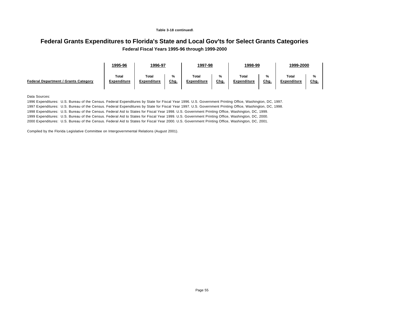#### **Table 3-18 continued\**

### **Federal Grants Expenditures to Florida's State and Local Gov'ts for Select Grants Categories Federal Fiscal Years 1995-96 through 1999-2000**

|                                             | 1995-96            | 1996-97            |      | 1997-98     |      | 1998-99            |      | 1999-2000          |      |
|---------------------------------------------|--------------------|--------------------|------|-------------|------|--------------------|------|--------------------|------|
| <b>Federal Department / Grants Category</b> | Total              | Total              | %    | Total       | %    | Total              | %    | Total              | %    |
|                                             | <b>Expenditure</b> | <b>Expenditure</b> | Chg. | Expenditure | Chg. | <b>Expenditure</b> | Chg. | <b>Expenditure</b> | Chg. |

Data Sources:

1996 Expenditures: U.S. Bureau of the Census. Federal Expenditures by State for Fiscal Year 1996. U.S. Government Printing Office, Washington, DC, 1997.

1997 Expenditures: U.S. Bureau of the Census. Federal Expenditures by State for Fiscal Year 1997. U.S. Government Printing Office, Washington, DC, 1998.

1998 Expenditures: U.S. Bureau of the Census. Federal Aid to States for Fiscal Year 1998. U.S. Government Printing Office, Washington, DC, 1999.

1999 Expenditures: U.S. Bureau of the Census. Federal Aid to States for Fiscal Year 1999. U.S. Government Printing Office, Washington, DC, 2000.

2000 Expenditures: U.S. Bureau of the Census. Federal Aid to States for Fiscal Year 2000. U.S. Government Printing Office, Washington, DC, 2001.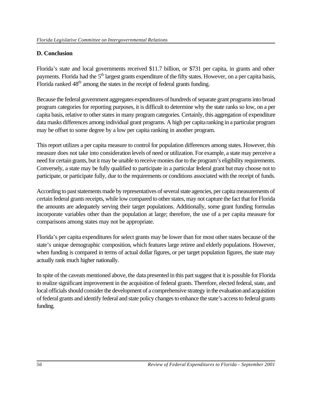### **D. Conclusion**

Florida's state and local governments received \$11.7 billion, or \$731 per capita, in grants and other payments. Florida had the 5<sup>th</sup> largest grants expenditure of the fifty states. However, on a per capita basis, Florida ranked 48<sup>th</sup> among the states in the receipt of federal grants funding.

Because the federal government aggregates expenditures of hundreds of separate grant programs into broad program categories for reporting purposes, it is difficult to determine why the state ranks so low, on a per capita basis, relative to other states in many program categories. Certainly, this aggregation of expenditure data masks differences among individual grant programs. A high per capita ranking in a particular program may be offset to some degree by a low per capita ranking in another program.

This report utilizes a per capita measure to control for population differences among states. However, this measure does not take into consideration levels of need or utilization. For example, a state may perceive a need for certain grants, but it may be unable to receive monies due to the program's eligibility requirements. Conversely, a state may be fully qualified to participate in a particular federal grant but may choose not to participate, or participate fully, due to the requirements or conditions associated with the receipt of funds.

According to past statements made by representatives of several state agencies, per capita measurements of certain federal grants receipts, while low compared to other states, may not capture the fact that for Florida the amounts are adequately serving their target populations. Additionally, some grant funding formulas incorporate variables other than the population at large; therefore, the use of a per capita measure for comparisons among states may not be appropriate.

Florida's per capita expenditures for select grants may be lower than for most other states because of the state's unique demographic composition, which features large retiree and elderly populations. However, when funding is compared in terms of actual dollar figures, or per target population figures, the state may actually rank much higher nationally.

In spite of the caveats mentioned above, the data presented in this part suggest that it is possible for Florida to realize significant improvement in the acquisition of federal grants. Therefore, elected federal, state, and local officials should consider the development of a comprehensive strategy in the evaluation and acquisition of federal grants and identify federal and state policy changes to enhance the state's access to federal grants funding.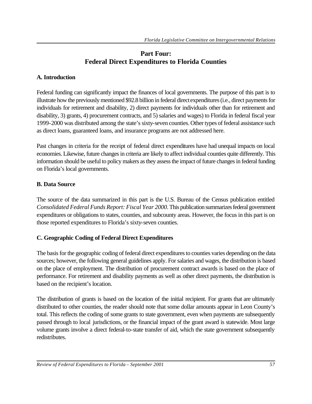## **Part Four: Federal Direct Expenditures to Florida Counties**

### **A. Introduction**

Federal funding can significantly impact the finances of local governments. The purpose of this part is to illustrate how the previously mentioned \$92.8 billion in federal direct expenditures (i.e., direct payments for individuals for retirement and disability, 2) direct payments for individuals other than for retirement and disability, 3) grants, 4) procurement contracts, and 5) salaries and wages) to Florida in federal fiscal year 1999-2000 was distributed among the state's sixty-seven counties. Other types of federal assistance such as direct loans, guaranteed loans, and insurance programs are not addressed here.

Past changes in criteria for the receipt of federal direct expenditures have had unequal impacts on local economies. Likewise, future changes in criteria are likely to affect individual counties quite differently. This information should be useful to policy makers as they assess the impact of future changes in federal funding on Florida's local governments.

## **B. Data Source**

The source of the data summarized in this part is the U.S. Bureau of the Census publication entitled *Consolidated Federal Funds Report: Fiscal Year 2000*. This publication summarizes federal government expenditures or obligations to states, counties, and subcounty areas. However, the focus in this part is on those reported expenditures to Florida's sixty-seven counties.

### **C. Geographic Coding of Federal Direct Expenditures**

The basis for the geographic coding of federal direct expenditures to counties varies depending on the data sources; however, the following general guidelines apply. For salaries and wages, the distribution is based on the place of employment. The distribution of procurement contract awards is based on the place of performance. For retirement and disability payments as well as other direct payments, the distribution is based on the recipient's location.

The distribution of grants is based on the location of the initial recipient. For grants that are ultimately distributed to other counties, the reader should note that some dollar amounts appear in Leon County's total. This reflects the coding of some grants to state government, even when payments are subsequently passed through to local jurisdictions, or the financial impact of the grant award is statewide. Most large volume grants involve a direct federal-to-state transfer of aid, which the state government subsequently redistributes.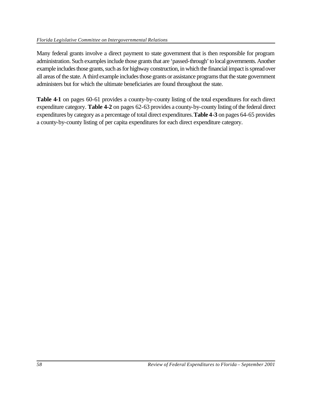Many federal grants involve a direct payment to state government that is then responsible for program administration. Such examples include those grants that are 'passed-through' to local governments. Another example includes those grants, such as for highway construction, in which the financial impact is spread over all areas of the state. A third example includes those grants or assistance programs that the state government administers but for which the ultimate beneficiaries are found throughout the state.

**Table 4-1** on pages 60-61 provides a county-by-county listing of the total expenditures for each direct expenditure category. **Table 4-2** on pages 62-63 provides a county-by-county listing of the federal direct expenditures by category as a percentage of total direct expenditures. **Table 4-3** on pages 64-65 provides a county-by-county listing of per capita expenditures for each direct expenditure category.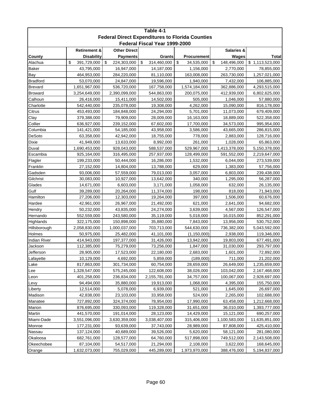| Table 4-1                                              |                         |                     |                   |                    |                   |                 |  |  |  |
|--------------------------------------------------------|-------------------------|---------------------|-------------------|--------------------|-------------------|-----------------|--|--|--|
| <b>Federal Direct Expenditures to Florida Counties</b> |                         |                     |                   |                    |                   |                 |  |  |  |
| Federal Fiscal Year 1999-2000                          |                         |                     |                   |                    |                   |                 |  |  |  |
|                                                        | <b>Retirement &amp;</b> | <b>Other Direct</b> |                   |                    | Salaries &        |                 |  |  |  |
| <b>County</b>                                          | <b>Disability</b>       | <b>Payments</b>     | Grants            | <b>Procurement</b> | Wages             | Total           |  |  |  |
| Alachua                                                | \$<br>391,729,000       | \$<br>224,303,000   | \$<br>314,460,000 | \$<br>34,535,000   | \$<br>148,496,000 | \$1,113,523,000 |  |  |  |
| <b>Baker</b>                                           | 43,795,000              | 16,947,000          | 14,187,000        | 1,156,000          | 2,770,000         | 78,855,000      |  |  |  |
| Bay                                                    | 464,953,000             | 284,220,000         | 81,110,000        | 163,008,000        | 263,730,000       | 1,257,021,000   |  |  |  |
| <b>Bradford</b>                                        | 53,070,000              | 24,847,000          | 19,596,000        | 1,940,000          | 7,432,000         | 106,885,000     |  |  |  |
| <b>Brevard</b>                                         | 1,651,967,000           | 536,720,000         | 167,758,000       | 1,574,184,000      | 362,886,000       | 4,293,515,000   |  |  |  |
| <b>Broward</b>                                         | 3,254,649,000           | 2,390,099,000       | 544,863,000       | 200,075,000        | 412,939,000       | 6,802,625,000   |  |  |  |
| Calhoun                                                | 26,416,000              | 15,411,000          | 14,502,000        | 505,000            | 1,046,000         | 57,880,000      |  |  |  |
| Charlotte                                              | 542,440,000             | 235,078,000         | 19,308,000        | 4,262,000          | 15,090,000        | 816,178,000     |  |  |  |
| Citrus                                                 | 453,493,000             | 184,848,000         | 24,294,000        | 5,701,000          | 11,073,000        | 679,409,000     |  |  |  |
| Clay                                                   | 379,388,000             | 79,909,000          | 28,009,000        | 16,163,000         | 18,889,000        | 522,358,000     |  |  |  |
| Collier                                                | 636,927,000             | 239,152,000         | 67,602,000        | 17,700,000         | 34,573,000        | 995,954,000     |  |  |  |
| Columbia                                               | 141,421,000             | 54,185,000          | 43,958,000        | 3,586,000          | 43,665,000        | 286,815,000     |  |  |  |
| <b>DeSoto</b>                                          | 63,358,000              | 42,942,000          | 18,755,000        | 778,000            | 2,883,000         | 128,716,000     |  |  |  |
| <b>Dixie</b>                                           | 41,949,000              | 13,633,000          | 8,992,000         | 261,000            | 1,028,000         | 65,863,000      |  |  |  |
| Duval                                                  | 1,690,453,000           | 928,043,000         | 588,537,000       | 529,967,000        | 1,413,378,000     | 5,150,378,000   |  |  |  |
| Escambia                                               | 925,164,000             | 316,495,000         | 257,937,000       | 128,499,000        | 591,552,000       | 2,219,647,000   |  |  |  |
| Flagler                                                | 199,233,000             | 50,444,000          | 16,286,000        | 1,532,000          | 6,044,000         | 273,539,000     |  |  |  |
| Franklin                                               | 27,152,000              | 14,804,000          | 13,788,000        | 629,000            | 1,383,000         | 57,756,000      |  |  |  |
| Gadsden                                                | 93,006,000              | 57,559,000          | 79,013,000        | 3,057,000          | 6,803,000         | 239,438,000     |  |  |  |
| Gilchrist                                              | 30,083,000              | 10,927,000          | 13,642,000        | 340,000            | 1,295,000         | 56,287,000      |  |  |  |
| Glades                                                 | 14,671,000              | 6,603,000           | 3,171,000         | 1,058,000          | 632,000           | 26,135,000      |  |  |  |
| Gulf                                                   | 39,289,000              | 20,264,000          | 11,374,000        | 198,000            | 818,000           | 71,943,000      |  |  |  |
| Hamilton                                               | 27,206,000              | 12,303,000          | 19,264,000        | 397,000            | 1,506,000         | 60,676,000      |  |  |  |
| Hardee                                                 | 42,961,000              | 26,967,000          | 21,492,000        | 621,000            | 2,641,000         | 94,682,000      |  |  |  |
| Hendry                                                 | 50,232,000              | 43,835,000          | 24,274,000        | 3,639,000          | 4,567,000         | 126,547,000     |  |  |  |
| Hernando                                               | 552,559,000             | 243,580,000         | 35,119,000        | 5,018,000          | 16,015,000        | 852,291,000     |  |  |  |
| Highlands                                              | 322,175,000             | 150,898,000         | 35,880,000        | 7,843,000          | 13,956,000        | 530,752,000     |  |  |  |
| Hillsborough                                           | 2,058,830,000           | 1,000,037,000       | 703,713,000       | 544,630,000        | 736,382,000       | 5,043,592,000   |  |  |  |
| Holmes                                                 | 50,975,000              | 25,482,000          | 41,101,000        | (1, 150, 000)      | 2,938,000         | 119,346,000     |  |  |  |
| <b>Indian River</b>                                    | 414,943,000             | 197,377,000         | 31,426,000        | 13,942,000         | 19,803,000        | 677,491,000     |  |  |  |
| Jackson                                                | 112,385,000             | 75,279,000          | 73,256,000        | 1,847,000          | 31,030,000        | 293,797,000     |  |  |  |
| Jefferson                                              | 28,905,000              | 17,523,000          | 22,180,000        | 2,683,000          | 1,601,000         | 72,892,000      |  |  |  |
| Lafayette                                              | 10,129,000              | 4,692,000           | 5,859,000         | (189,000)          | 711,000           | 21,202,000      |  |  |  |
| Lake                                                   | 817,863,000             | 301,734,000         | 60,754,000        | 28,659,000         | 26,649,000        | 1,235,659,000   |  |  |  |
| Lee                                                    | 1,328,547,000           | 575,245,000         | 122,608,000       | 38,026,000         | 103,042,000       | 2,167,468,000   |  |  |  |
| Leon                                                   | 401,258,000             | 236,834,000         | 2,155,781,000     | 34,757,000         | 100,067,000       | 2,928,697,000   |  |  |  |
|                                                        | 94,494,000              | 35,880,000          | 19,913,000        | 1,068,000          | 4,395,000         | 155,750,000     |  |  |  |
| _evy<br>Liberty                                        | 12,514,000              | 5,078,000           | 6,939,000         | 521,000            | 1,645,000         | 26,697,000      |  |  |  |
|                                                        |                         |                     | 33,958,000        | 524,000            | 2,265,000         |                 |  |  |  |
| Madison                                                | 42,838,000              | 23,103,000          |                   |                    |                   | 102,688,000     |  |  |  |
| Manatee                                                | 727,892,000             | 324,374,000         | 78,954,000        | 17,990,000         | 63,458,000        | 1,212,668,000   |  |  |  |
| Marion                                                 | 876,695,000             | 330,093,000         | 119,328,000       | 31,651,000         | 36,010,000        | 1,393,777,000   |  |  |  |
| Martin                                                 | 441,570,000             | 191,014,000         | 28,123,000        | 14,429,000         | 15,121,000        | 690,257,000     |  |  |  |
| Miami-Dade                                             | 3,551,096,000           | 3,630,359,000       | 3,038,407,000     | 315,406,000        | 1,100,583,000     | 11,635,851,000  |  |  |  |
| Monroe                                                 | 177,231,000             | 93,639,000          | 37,743,000        | 28,989,000         | 87,808,000        | 425,410,000     |  |  |  |
| Nassau                                                 | 137,124,000             | 40,689,000          | 39,526,000        | 5,620,000          | 58,121,000        | 281,080,000     |  |  |  |
| Okaloosa                                               | 682,761,000             | 128,577,000         | 64,760,000        | 517,898,000        | 749,512,000       | 2,143,508,000   |  |  |  |
| Okeechobee                                             | 87,104,000              | 54,517,000          | 21,294,000        | 2,108,000          | 3,622,000         | 168,645,000     |  |  |  |
| Orange                                                 | 1,632,073,000           | 755,029,000         | 445,289,000       | 1,973,970,000      | 388,476,000       | 5,194,837,000   |  |  |  |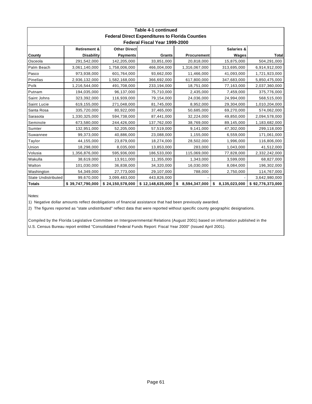| <b>Table 4-1 continued</b>                             |                         |                     |                  |                     |                 |                  |  |  |
|--------------------------------------------------------|-------------------------|---------------------|------------------|---------------------|-----------------|------------------|--|--|
| <b>Federal Direct Expenditures to Florida Counties</b> |                         |                     |                  |                     |                 |                  |  |  |
| Federal Fiscal Year 1999-2000                          |                         |                     |                  |                     |                 |                  |  |  |
|                                                        | <b>Retirement &amp;</b> | <b>Other Direct</b> |                  |                     | Salaries &      |                  |  |  |
| County                                                 | <b>Disability</b>       | <b>Payments</b>     | <b>Grants</b>    | Procurement         | Wages           | <b>Total</b>     |  |  |
| Osceola                                                | 291,542,000             | 142,205,000         | 33,851,000       | 20,818,000          | 15,875,000      | 504,291,000      |  |  |
| Palm Beach                                             | 3,061,140,000           | 1,758,006,000       | 466,004,000      | 1,316,067,000       | 313,695,000     | 6,914,912,000    |  |  |
| Pasco                                                  | 973,938,000             | 601,764,000         | 93,662,000       | 11,466,000          | 41,093,000      | 1,721,923,000    |  |  |
| Pinellas                                               | 2,936,132,000           | 1,582,168,000       | 366,692,000      | 617,800,000         | 347,683,000     | 5,850,475,000    |  |  |
| Polk                                                   | 1,216,544,000           | 491,708,000         | 233,194,000      | 18,751,000          | 77,163,000      | 2,037,360,000    |  |  |
| Putnam                                                 | 194,035,000             | 96,137,000          | 75,710,000       | 2,435,000           | 7,459,000       | 375,776,000      |  |  |
| Saint Johns                                            | 323,392,000             | 116,939,000         | 79,154,000       | 24,036,000          | 24,994,000      | 568,515,000      |  |  |
| Saint Lucie                                            | 619,155,000             | 271,048,000         | 81,745,000       | 8,952,000           | 29,304,000      | 1,010,204,000    |  |  |
| Santa Rosa                                             | 335,720,000             | 80,922,000          | 37,465,000       | 50,685,000          | 69,270,000      | 574,062,000      |  |  |
| Sarasota                                               | 1,330,325,000           | 594,738,000         | 87,441,000       | 32,224,000          | 49,850,000      | 2,094,578,000    |  |  |
| Seminole                                               | 673,580,000             | 244,426,000         | 137,762,000      | 38,769,000          | 89,145,000      | 1,183,682,000    |  |  |
| Sumter                                                 | 132,951,000             | 52,205,000          | 57,519,000       | 9,141,000           | 47,302,000      | 299,118,000      |  |  |
| Suwannee                                               | 99,373,000              | 40,886,000          | 23,088,000       | 1,155,000           | 6,559,000       | 171,061,000      |  |  |
| Taylor                                                 | 44,155,000              | 23,879,000          | 18,274,000       | 28,502,000          | 1,996,000       | 116,806,000      |  |  |
| Union                                                  | 18,298,000              | 8,035,000           | 13,853,000       | 283,000             | 1,043,000       | 41,512,000       |  |  |
| Volusia                                                | 1,356,876,000           | 595,936,000         | 186,533,000      | 115,069,000         | 77,828,000      | 2,332,242,000    |  |  |
| Wakulla                                                | 38,619,000              | 13,911,000          | 11,355,000       | 1,343,000           | 3,599,000       | 68,827,000       |  |  |
| Walton                                                 | 101,030,000             | 36,838,000          | 34,320,000       | 16,030,000          | 8,084,000       | 196,302,000      |  |  |
| Washington                                             | 54,349,000              | 27,773,000          | 29,107,000       | 788,000             | 2,750,000       | 114,767,000      |  |  |
| <b>State Undistributed</b>                             | 99,670,000              | 3,099,483,000       | 443,826,000      |                     |                 | 3,642,980,000    |  |  |
| <b>Totals</b>                                          | \$39,747,790,000        | \$24,150,578,000    | \$12,148,635,000 | \$<br>8,594,347,000 | \$8,135,023,000 | \$92,776,373,000 |  |  |

Notes:

1) Negative dollar amounts reflect deobligations of financial assistance that had been previously awarded.

2) The figures reported as "state undistributed" reflect data that were reported without specific county geographic designations.

Compiled by the Florida Legislative Committee on Intergovernmental Relations (August 2001) based on information published in the U.S. Census Bureau report entitled "Consolidated Federal Funds Report: Fiscal Year 2000" (Issued April 2001).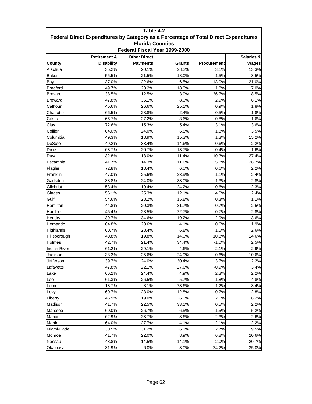| Table 4-2                                                                            |                         |                     |                               |                    |            |  |  |  |
|--------------------------------------------------------------------------------------|-------------------------|---------------------|-------------------------------|--------------------|------------|--|--|--|
| Federal Direct Expenditures by Category as a Percentage of Total Direct Expenditures |                         |                     |                               |                    |            |  |  |  |
| <b>Florida Counties</b>                                                              |                         |                     |                               |                    |            |  |  |  |
|                                                                                      |                         |                     | Federal Fiscal Year 1999-2000 |                    |            |  |  |  |
|                                                                                      | <b>Retirement &amp;</b> | <b>Other Direct</b> |                               |                    | Salaries & |  |  |  |
| <b>County</b>                                                                        | <b>Disability</b>       | <b>Payments</b>     | <b>Grants</b>                 | <b>Procurement</b> | Wages      |  |  |  |
| Alachua                                                                              | 35.2%                   | 20.1%               | 28.2%                         | 3.1%               | 13.3%      |  |  |  |
| <b>Baker</b>                                                                         | 55.5%                   | 21.5%               | 18.0%                         | 1.5%               | 3.5%       |  |  |  |
| Bay                                                                                  | 37.0%                   | 22.6%               | 6.5%                          | 13.0%              | 21.0%      |  |  |  |
| <b>Bradford</b>                                                                      | 49.7%                   | 23.2%               | 18.3%                         | 1.8%               | 7.0%       |  |  |  |
| <b>Brevard</b>                                                                       | 38.5%                   | 12.5%               | 3.9%                          | 36.7%              | 8.5%       |  |  |  |
| <b>Broward</b>                                                                       | 47.8%                   | 35.1%               | 8.0%                          | 2.9%               | 6.1%       |  |  |  |
| Calhoun                                                                              | 45.6%                   | 26.6%               | 25.1%                         | 0.9%               | 1.8%       |  |  |  |
| Charlotte                                                                            | 66.5%                   | 28.8%               | 2.4%                          | 0.5%               | 1.8%       |  |  |  |
| Citrus                                                                               | 66.7%                   | 27.2%               | 3.6%                          | 0.8%               | 1.6%       |  |  |  |
| Clay                                                                                 | 72.6%                   | 15.3%               | 5.4%                          | 3.1%               | 3.6%       |  |  |  |
| Collier                                                                              | 64.0%                   | 24.0%               | 6.8%                          | 1.8%               | 3.5%       |  |  |  |
| Columbia                                                                             | 49.3%                   | 18.9%               | 15.3%                         | 1.3%               | 15.2%      |  |  |  |
| DeSoto                                                                               | 49.2%                   | 33.4%               | 14.6%                         | 0.6%               | 2.2%       |  |  |  |
| <b>Dixie</b>                                                                         | 63.7%                   | 20.7%               | 13.7%                         | 0.4%               | 1.6%       |  |  |  |
| Duval                                                                                | 32.8%                   | 18.0%               | 11.4%                         | 10.3%              | 27.4%      |  |  |  |
| Escambia                                                                             | 41.7%                   | 14.3%               | 11.6%                         | 5.8%               | 26.7%      |  |  |  |
| Flagler                                                                              | 72.8%                   | 18.4%               | 6.0%                          | 0.6%               | 2.2%       |  |  |  |
| Franklin                                                                             | 47.0%                   | 25.6%               | 23.9%                         | 1.1%               | 2.4%       |  |  |  |
| Gadsden                                                                              | 38.8%                   | 24.0%               | 33.0%                         | 1.3%               | 2.8%       |  |  |  |
| Gilchrist                                                                            | 53.4%                   | 19.4%               | 24.2%                         | 0.6%               | 2.3%       |  |  |  |
| Glades                                                                               | 56.1%                   | 25.3%               | 12.1%                         | 4.0%               | 2.4%       |  |  |  |
| Gulf                                                                                 | 54.6%                   | 28.2%               | 15.8%                         | 0.3%               | 1.1%       |  |  |  |
| Hamilton                                                                             | 44.8%                   | 20.3%               | 31.7%                         | 0.7%               | 2.5%       |  |  |  |
| Hardee                                                                               | 45.4%                   | 28.5%               | 22.7%                         | 0.7%               | 2.8%       |  |  |  |
| Hendry                                                                               | 39.7%                   | 34.6%               | 19.2%                         | 2.9%               | 3.6%       |  |  |  |
| Hernando                                                                             | 64.8%                   | 28.6%               | 4.1%                          | 0.6%               | 1.9%       |  |  |  |
| Highlands                                                                            | 60.7%                   | 28.4%               | 6.8%                          | 1.5%               | 2.6%       |  |  |  |
| Hillsborough                                                                         | 40.8%                   | 19.8%               | 14.0%                         | 10.8%              | 14.6%      |  |  |  |
| Holmes                                                                               | 42.7%                   | 21.4%               | 34.4%                         | $-1.0%$            | 2.5%       |  |  |  |
| <b>Indian River</b>                                                                  | 61.2%                   | 29.1%               | 4.6%                          | 2.1%               | 2.9%       |  |  |  |
| Jackson                                                                              | 38.3%                   | 25.6%               | 24.9%                         | 0.6%               | 10.6%      |  |  |  |
| Jefferson                                                                            | 39.7%                   | 24.0%               | 30.4%                         | 3.7%               | 2.2%       |  |  |  |
| Lafayette                                                                            | 47.8%                   | 22.1%               | 27.6%                         | $-0.9%$            | 3.4%       |  |  |  |
| Lake                                                                                 | 66.2%                   | 24.4%               | 4.9%                          | 2.3%               | 2.2%       |  |  |  |
| Lee                                                                                  | 61.3%                   | 26.5%               | 5.7%                          | 1.8%               | 4.8%       |  |  |  |
| Leon                                                                                 | 13.7%                   | 8.1%                | 73.6%                         | 1.2%               | 3.4%       |  |  |  |
| Levy                                                                                 | 60.7%                   | 23.0%               | 12.8%                         | 0.7%               | 2.8%       |  |  |  |
| Liberty                                                                              | 46.9%                   | 19.0%               | 26.0%                         | 2.0%               | 6.2%       |  |  |  |
| Madison                                                                              | 41.7%                   | 22.5%               | 33.1%                         | 0.5%               | 2.2%       |  |  |  |
| Manatee                                                                              | 60.0%                   | 26.7%               | 6.5%                          | 1.5%               | 5.2%       |  |  |  |
| Marion                                                                               | 62.9%                   | 23.7%               | 8.6%                          | 2.3%               | 2.6%       |  |  |  |
| Martin                                                                               | 64.0%                   | 27.7%               | 4.1%                          | 2.1%               | 2.2%       |  |  |  |
| Miami-Dade                                                                           | 30.5%                   | 31.2%               | 26.1%                         | 2.7%               | 9.5%       |  |  |  |
| Monroe                                                                               | 41.7%                   | 22.0%               | 8.9%                          | 6.8%               | 20.6%      |  |  |  |
| Nassau                                                                               | 48.8%                   | 14.5%               | 14.1%                         | 2.0%               | 20.7%      |  |  |  |
| Okaloosa                                                                             | 31.9%                   | 6.0%                | 3.0%                          | 24.2%              | 35.0%      |  |  |  |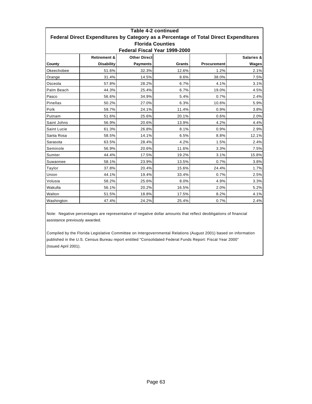| Table 4-2 continued                                                                  |                         |                     |        |             |            |  |  |  |
|--------------------------------------------------------------------------------------|-------------------------|---------------------|--------|-------------|------------|--|--|--|
| Federal Direct Expenditures by Category as a Percentage of Total Direct Expenditures |                         |                     |        |             |            |  |  |  |
| <b>Florida Counties</b>                                                              |                         |                     |        |             |            |  |  |  |
| Federal Fiscal Year 1999-2000                                                        |                         |                     |        |             |            |  |  |  |
|                                                                                      | <b>Retirement &amp;</b> | <b>Other Direct</b> |        |             | Salaries & |  |  |  |
| County                                                                               | <b>Disability</b>       | <b>Payments</b>     | Grants | Procurement | Wages      |  |  |  |
| Okeechobee                                                                           | 51.6%                   | 32.3%               | 12.6%  | 1.2%        | 2.1%       |  |  |  |
| Orange                                                                               | 31.4%                   | 14.5%               | 8.6%   | 38.0%       | 7.5%       |  |  |  |
| Osceola                                                                              | 57.8%                   | 28.2%               | 6.7%   | 4.1%        | 3.1%       |  |  |  |
| Palm Beach                                                                           | 44.3%                   | 25.4%               | 6.7%   | 19.0%       | 4.5%       |  |  |  |
| Pasco                                                                                | 56.6%                   | 34.9%               | 5.4%   | 0.7%        | 2.4%       |  |  |  |
| Pinellas                                                                             | 50.2%                   | 27.0%               | 6.3%   | 10.6%       | 5.9%       |  |  |  |
| Polk                                                                                 | 59.7%                   | 24.1%               | 11.4%  | 0.9%        | 3.8%       |  |  |  |
| Putnam                                                                               | 51.6%                   | 25.6%               | 20.1%  | 0.6%        | 2.0%       |  |  |  |
| Saint Johns                                                                          | 56.9%                   | 20.6%               | 13.9%  | 4.2%        | 4.4%       |  |  |  |
| Saint Lucie                                                                          | 61.3%                   | 26.8%               | 8.1%   | 0.9%        | 2.9%       |  |  |  |
| Santa Rosa                                                                           | 58.5%                   | 14.1%               | 6.5%   | 8.8%        | 12.1%      |  |  |  |
| Sarasota                                                                             | 63.5%                   | 28.4%               | 4.2%   | 1.5%        | 2.4%       |  |  |  |
| Seminole                                                                             | 56.9%                   | 20.6%               | 11.6%  | 3.3%        | 7.5%       |  |  |  |
| Sumter                                                                               | 44.4%                   | 17.5%               | 19.2%  | 3.1%        | 15.8%      |  |  |  |
| Suwannee                                                                             | 58.1%                   | 23.9%               | 13.5%  | 0.7%        | 3.8%       |  |  |  |
| Taylor                                                                               | 37.8%                   | 20.4%               | 15.6%  | 24.4%       | 1.7%       |  |  |  |
| Union                                                                                | 44.1%                   | 19.4%               | 33.4%  | 0.7%        | 2.5%       |  |  |  |
| Volusia                                                                              | 58.2%                   | 25.6%               | 8.0%   | 4.9%        | 3.3%       |  |  |  |
| Wakulla                                                                              | 56.1%                   | 20.2%               | 16.5%  | 2.0%        | 5.2%       |  |  |  |
| Walton                                                                               | 51.5%                   | 18.8%               | 17.5%  | 8.2%        | 4.1%       |  |  |  |
| Washington                                                                           | 47.4%                   | 24.2%               | 25.4%  | 0.7%        | 2.4%       |  |  |  |

Note: Negative percentages are representative of negative dollar amounts that reflect deobligations of financial assistance previously awarded.

Compiled by the Florida Legislative Committee on Intergovernmental Relations (August 2001) based on information published in the U.S. Census Bureau report entitled "Consolidated Federal Funds Report: Fiscal Year 2000" (Issued April 2001).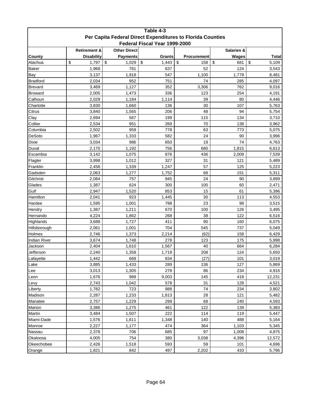| Table 4-3                                                                                   |    |                         |                     |             |    |             |              |             |  |
|---------------------------------------------------------------------------------------------|----|-------------------------|---------------------|-------------|----|-------------|--------------|-------------|--|
| Per Capita Federal Direct Expenditures to Florida Counties<br>Federal Fiscal Year 1999-2000 |    |                         |                     |             |    |             |              |             |  |
|                                                                                             |    | <b>Retirement &amp;</b> | <b>Other Direct</b> |             |    |             | Salaries &   |             |  |
| <b>County</b>                                                                               |    | <b>Disability</b>       | <b>Payments</b>     | Grants      |    | Procurement | Wages        | Total       |  |
| Alachua                                                                                     | \$ | 1,797                   | \$<br>1,029         | \$<br>1,443 | \$ | 158         | \$<br>681    | \$<br>5,109 |  |
| Baker                                                                                       |    | 1,968                   | 761                 | 637         |    | 52          | 124          | 3,543       |  |
| Bay                                                                                         |    | 3,137                   | 1,918               | 547         |    | 1,100       | 1,779        | 8,481       |  |
| <b>Bradford</b>                                                                             |    | 2,034                   | 952                 | 751         |    | 74          | 285          | 4,097       |  |
| <b>Brevard</b>                                                                              |    | 3,469                   | 1,127               | 352         |    | 3,306       | 762          | 9,016       |  |
| <b>Broward</b>                                                                              |    | 2,005                   | 1,473               | 336         |    | 123         | 254          | 4,191       |  |
| Calhoun                                                                                     |    | 2,029                   | 1,184               | 1,114       |    | 39          | 80           | 4,446       |  |
| Charlotte                                                                                   |    | 3,830                   | 1,660               | 136         |    | 30          | 107          | 5,763       |  |
| Citrus                                                                                      |    | 3,840                   | 1,565               | 206         |    | 48          | 94           | 5,754       |  |
| Clay                                                                                        |    | 2,694                   | 567                 | 199         |    | 115         | 134          | 3,710       |  |
| Collier                                                                                     |    | 2,534                   | 951                 | 269         |    | 70          | 138          | 3,962       |  |
| Columbia                                                                                    |    | 2,502                   | 959                 | 778         |    | 63          | 773          | 5,075       |  |
| DeSoto                                                                                      |    | 1,967                   | 1,333               | 582         |    | 24          | 90           | 3,996       |  |
| Dixie                                                                                       |    | 3,034                   | 986                 | 650         |    | 19          | 74           | 4,763       |  |
| Duval                                                                                       |    | 2,170                   | 1,192               | 756         |    | 680         | 1,815        | 6,613       |  |
| Escambia                                                                                    |    | 3,142                   |                     |             |    |             |              |             |  |
|                                                                                             |    |                         | 1,075               | 876         |    | 436<br>31   | 2,009<br>121 | 7,539       |  |
| Flagler                                                                                     |    | 3,998                   | 1,012               | 327         |    |             |              | 5,489       |  |
| Franklin                                                                                    |    | 2,456                   | 1,339               | 1,247       |    | 57          | 125          | 5,223       |  |
| Gadsden                                                                                     |    | 2,063                   | 1,277               | 1,752       |    | 68          | 151          | 5,311       |  |
| Gilchrist                                                                                   |    | 2,084                   | 757                 | 945         |    | 24          | 90           | 3,899       |  |
| Glades                                                                                      |    | 1,387                   | 624                 | 300         |    | 100         | 60           | 2,471       |  |
| Gulf                                                                                        |    | 2,947                   | 1,520               | 853         |    | 15          | 61           | 5,396       |  |
| Hamilton                                                                                    |    | 2,041                   | 923                 | 1,445       |    | 30          | 113          | 4,553       |  |
| Hardee                                                                                      |    | 1,595                   | 1,001               | 798         |    | 23          | 98           | 3,515       |  |
| Hendry                                                                                      |    | 1,387                   | 1,211               | 670         |    | 100         | 126          | 3,495       |  |
| Hernando                                                                                    |    | 4,224                   | 1,862               | 268         |    | 38          | 122          | 6,516       |  |
| Highlands                                                                                   |    | 3,688                   | 1,727               | 411         |    | 90          | 160          | 6,075       |  |
| Hillsborough                                                                                |    | 2,061                   | 1,001               | 704         |    | 545         | 737          | 5,049       |  |
| Holmes                                                                                      |    | 2,746                   | 1,373               | 2,214       |    | (62)        | 158          | 6,429       |  |
| <b>Indian River</b>                                                                         |    | 3,674                   | 1,748               | 278         |    | 123         | 175          | 5,998       |  |
| Jackson                                                                                     |    | 2,404                   | 1,610               | 1,567       |    | 40          | 664          | 6,284       |  |
| Jefferson                                                                                   |    | 2,240                   | 1,358               | 1,719       |    | 208         | 124          | 5,650       |  |
| Lafayette                                                                                   |    | 1,442                   | 668                 | 834         |    | (27)        | 101          | 3,019       |  |
| Lake                                                                                        |    | 3,885                   | 1,433               | 289         |    | 136         | 127          | 5,869       |  |
| Lee                                                                                         |    | 3,013                   | 1,305               | 278         |    | 86          | 234          | 4,916       |  |
| Leon                                                                                        |    | 1,676                   | 989                 | 9,003       |    | 145         | 418          | 12,231      |  |
| Levy                                                                                        |    | 2,743                   | 1,042               | 578         |    | 31          | 128          | 4,521       |  |
| Liberty                                                                                     |    | 1,782                   | 723                 | 988         |    | 74          | 234          | 3,802       |  |
| Madison                                                                                     |    | 2,287                   | 1,233               | 1,813       |    | 28          | 121          | 5,482       |  |
| Manatee                                                                                     |    | 2,757                   | 1,229               | 299         |    | 68          | 240          | 4,593       |  |
| Marion                                                                                      |    | 3,386                   | 1,275               | 461         |    | 122         | 139          | 5,383       |  |
| Martin                                                                                      |    | 3,484                   | 1,507               | 222         |    | 114         | 119          | 5,447       |  |
| Miami-Dade                                                                                  |    | 1,576                   | 1,611               | 1,348       |    | 140         | 488          | 5,164       |  |
| Monroe                                                                                      |    | 2,227                   | 1,177               | 474         |    | 364         | 1,103        | 5,345       |  |
| Nassau                                                                                      |    | 2,378                   | 706                 | 685         |    | 97          | 1,008        | 4,875       |  |
| Okaloosa                                                                                    |    | 4,005                   | 754                 | 380         |    | 3,038       | 4,396        | 12,572      |  |
| Okeechobee                                                                                  |    | 2,426                   | 1,518               | 593         |    | 59          | 101          | 4,696       |  |
| Orange                                                                                      |    | 1,821                   | 842                 | 497         |    | 2,202       | 433          | 5,796       |  |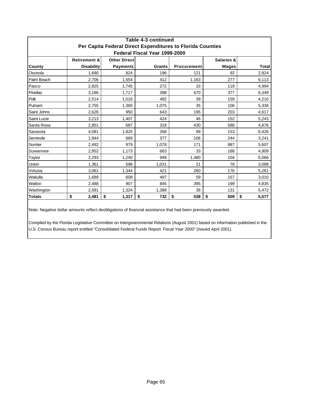| Table 4-3 continued                                        |                                                              |                 |               |                    |           |             |  |  |  |
|------------------------------------------------------------|--------------------------------------------------------------|-----------------|---------------|--------------------|-----------|-------------|--|--|--|
| Per Capita Federal Direct Expenditures to Florida Counties |                                                              |                 |               |                    |           |             |  |  |  |
| Federal Fiscal Year 1999-2000                              |                                                              |                 |               |                    |           |             |  |  |  |
|                                                            | Salaries &<br><b>Retirement &amp;</b><br><b>Other Direct</b> |                 |               |                    |           |             |  |  |  |
| <b>County</b>                                              | <b>Disability</b>                                            | <b>Payments</b> | <b>Grants</b> | <b>Procurement</b> | Wages     | Total       |  |  |  |
| Osceola                                                    | 1,690                                                        | 824             | 196           | 121                | 92        | 2,924       |  |  |  |
| Palm Beach                                                 | 2,706                                                        | 1,554           | 412           | 1,163              | 277       | 6,113       |  |  |  |
| Pasco                                                      | 2,825                                                        | 1,745           | 272           | 33                 | 119       | 4,994       |  |  |  |
| Pinellas                                                   | 3,186                                                        | 1,717           | 398           | 670                | 377       | 6,349       |  |  |  |
| Polk                                                       | 2,514                                                        | 1,016           | 482           | 39                 | 159       | 4,210       |  |  |  |
| Putnam                                                     | 2,755                                                        | 1,365           | 1,075         | 35                 | 106       | 5,336       |  |  |  |
| Saint Johns                                                | 2,626                                                        | 950             | 643           | 195                | 203       | 4,617       |  |  |  |
| Saint Lucie                                                | 3,213                                                        | 1,407           | 424           | 46                 | 152       | 5,243       |  |  |  |
| Santa Rosa                                                 | 2,851                                                        | 687             | 318           | 430                | 588       | 4,876       |  |  |  |
| Sarasota                                                   | 4,081                                                        | 1,825           | 268           | 99                 | 153       | 6,426       |  |  |  |
| Seminole                                                   | 1,844                                                        | 669             | 377           | 106                | 244       | 3,241       |  |  |  |
| Sumter                                                     | 2,492                                                        | 979             | 1,078         | 171                | 887       | 5,607       |  |  |  |
| Suwannee                                                   | 2,852                                                        | 1,173           | 663           | 33                 | 188       | 4,909       |  |  |  |
| Taylor                                                     | 2,293                                                        | 1,240           | 949           | 1,480              | 104       | 6,066       |  |  |  |
| Union                                                      | 1,361                                                        | 598             | 1,031         | 21                 | 78        | 3,088       |  |  |  |
| Volusia                                                    | 3,061                                                        | 1,344           | 421           | 260                | 176       | 5,261       |  |  |  |
| Wakulla                                                    | 1,689                                                        | 608             | 497           | 59                 | 157       | 3,010       |  |  |  |
| Walton                                                     | 2,488                                                        | 907             | 845           | 395                | 199       | 4,835       |  |  |  |
| Washington                                                 | 2,591                                                        | 1,324           | 1,388         | 38                 | 131       | 5,472       |  |  |  |
| <b>Totals</b>                                              | \$<br>2,481                                                  | \$<br>1,317     | \$<br>732     | \$<br>538          | \$<br>509 | \$<br>5,577 |  |  |  |

Note: Negative dollar amounts reflect deobligations of financial assistance that had been previously awarded.

Compiled by the Florida Legislative Committee on Intergovernmental Relations (August 2001) based on information published in the U.S. Census Bureau report entitled "Consolidated Federal Funds Report: Fiscal Year 2000" (Issued April 2001).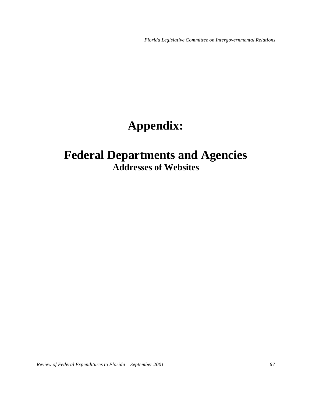# **Appendix:**

## **Federal Departments and Agencies Addresses of Websites**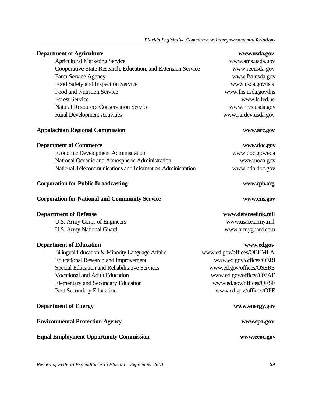### **Department of Agriculture www.usda.gov**

Agricultural Marketing Service www.ams.usda.gov Cooperative State Research, Education, and Extension Service www.reeusda.gov Farm Service Agency and the state of the state www.fsa.usda.gov Food Safety and Inspection Service www.usda.gov/fsis Food and Nutrition Service www.fns.usda.gov/fns Forest Service www.fs.fed.us Natural Resources Conservation Service www.nrcs.usda.gov Rural Development Activities www.rurdev.usda.gov

### **Appalachian Regional Commission www.arc.gov**

### **Department of Commerce www.doc.gov**

Economic Development Administration www.doc.gov/eda National Oceanic and Atmospheric Administration www.noaa.gov National Telecommunications and Information Administration www.ntia.doc.gov

### **Corporation for Public Broadcasting www.cpb.org**

### **Corporation for National and Community Service www.cns.gov**

### **Department of Defense** www.defenselink.mil

U.S. Army Corps of Engineers www.usace.army.mil U.S. Army National Guard www.armyguard.com

### **Department of Education www.edgov**

Bilingual Education & Minority Language Affairs www.ed.gov/offices/OBEMLA Educational Research and Improvement www.ed.gov/offices/OERI Special Education and Rehabilitative Services www.ed.gov/offices/OSERS Vocational and Adult Education www.ed.gov/offices/OVAE Elementary and Secondary Education www.ed.gov/offices/OESE Post Secondary Education www.ed.gov/offices/OPE

### **Department of Energy www.energy.gov**

**Environmental Protection Agency www.epa.gov**

### **Equal Employment Opportunity Commission www.eeoc.gov**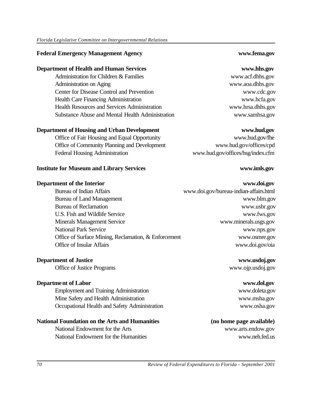### **Federal Emergency Management Agency www.fema.gov**

### **Department of Health and Human Services www.hhs.gov**

Administration for Children & Families www.acf.dhhs.gov Administration on Aging www.aoa.dhhs.gov Center for Disease Control and Prevention www.cdc.gov Health Care Financing Administration www.hcfa.gov Health Resources and Services Administration www.hrsa.dhhs.gov Substance Abuse and Mental Health Administration www.samhsa.gov

### **Department of Housing and Urban Development WWW.hud.gov**

Office of Fair Housing and Equal Opportunity www.hud.gov/fhe Office of Community Planning and Development www.hud.gov/offices/cpd Federal Housing Administration www.hud.gov/offices/hsg/index.cfm

### **Institute for Museum and Library Services www.imls.gov**

### **Department of the Interior www.doi.gov**

Bureau of Indian Affairs www.doi.gov/bureau-indian-affairs.html Bureau of Land Management www.blm.gov Bureau of Reclamation www.usbr.gov U.S. Fish and Wildlife Service www.fws.gov Minerals Management Service www.minerals.usgs.gov National Park Service www.nps.gov Office of Surface Mining, Reclamation, & Enforcement www.osmre.gov Office of Insular Affairs www.doi.gov/oia

### **Department of Justice www.usdoj.gov**

Office of Justice Programs www.ojp.usdoj.gov

### **Department of Labor www.dol.gov**

Employment and Training Administration www.doleta.gov Mine Safety and Health Administration www.msha.gov Occupational Health and Safety Administration www.osha.gov

### **National Foundation on the Arts and Humanities (no home page available)**

National Endowment for the Arts www.arts.endow.gov National Endowment for the Humanities www.neh.fed.us